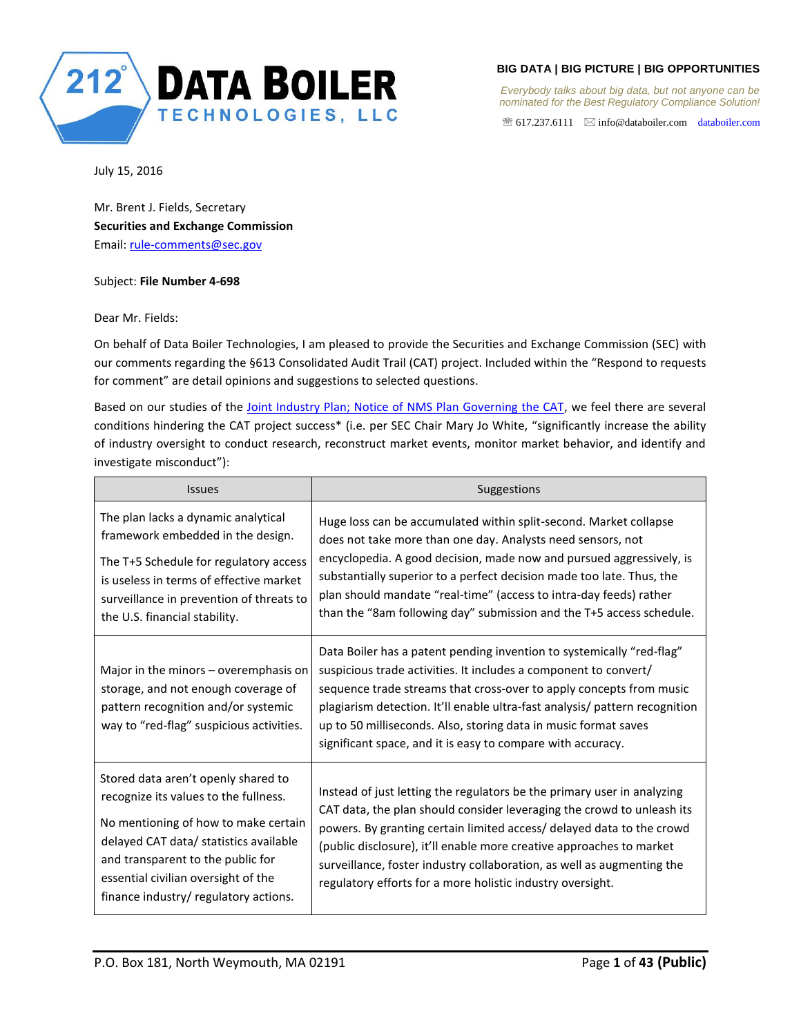

*Everybody talks about big data, but not anyone can be nominated for the Best Regulatory Compliance Solution!* 

 $\mathcal{F}$  617.237.6111  $\boxtimes$  info@databoiler.com databoiler.com

July 15, 2016

Mr. Brent J. Fields, Secretary **Securities and Exchange Commission** Email: rule-comments@sec.gov

## Subject: **File Number 4-698**

Dear Mr. Fields:

On behalf of Data Boiler Technologies, I am pleased to provide the Securities and Exchange Commission (SEC) with our comments regarding the §613 Consolidated Audit Trail (CAT) project. Included within the "Respond to requests for comment" are detail opinions and suggestions to selected questions.

Based on our studies of the Joint Industry Plan; Notice of NMS Plan Governing the CAT, we feel there are several conditions hindering the CAT project success\* (i.e. per SEC Chair Mary Jo White, "significantly increase the ability of industry oversight to conduct research, reconstruct market events, monitor market behavior, and identify and investigate misconduct"):

| <b>Issues</b>                                                                                                                                                                                                                                                                       | Suggestions                                                                                                                                                                                                                                                                                                                                                                                                                                |
|-------------------------------------------------------------------------------------------------------------------------------------------------------------------------------------------------------------------------------------------------------------------------------------|--------------------------------------------------------------------------------------------------------------------------------------------------------------------------------------------------------------------------------------------------------------------------------------------------------------------------------------------------------------------------------------------------------------------------------------------|
| The plan lacks a dynamic analytical<br>framework embedded in the design.<br>The T+5 Schedule for regulatory access<br>is useless in terms of effective market<br>surveillance in prevention of threats to<br>the U.S. financial stability.                                          | Huge loss can be accumulated within split-second. Market collapse<br>does not take more than one day. Analysts need sensors, not<br>encyclopedia. A good decision, made now and pursued aggressively, is<br>substantially superior to a perfect decision made too late. Thus, the<br>plan should mandate "real-time" (access to intra-day feeds) rather<br>than the "8am following day" submission and the T+5 access schedule.            |
| Major in the minors – overemphasis on<br>storage, and not enough coverage of<br>pattern recognition and/or systemic<br>way to "red-flag" suspicious activities.                                                                                                                     | Data Boiler has a patent pending invention to systemically "red-flag"<br>suspicious trade activities. It includes a component to convert/<br>sequence trade streams that cross-over to apply concepts from music<br>plagiarism detection. It'll enable ultra-fast analysis/ pattern recognition<br>up to 50 milliseconds. Also, storing data in music format saves<br>significant space, and it is easy to compare with accuracy.          |
| Stored data aren't openly shared to<br>recognize its values to the fullness.<br>No mentioning of how to make certain<br>delayed CAT data/ statistics available<br>and transparent to the public for<br>essential civilian oversight of the<br>finance industry/ regulatory actions. | Instead of just letting the regulators be the primary user in analyzing<br>CAT data, the plan should consider leveraging the crowd to unleash its<br>powers. By granting certain limited access/ delayed data to the crowd<br>(public disclosure), it'll enable more creative approaches to market<br>surveillance, foster industry collaboration, as well as augmenting the<br>regulatory efforts for a more holistic industry oversight. |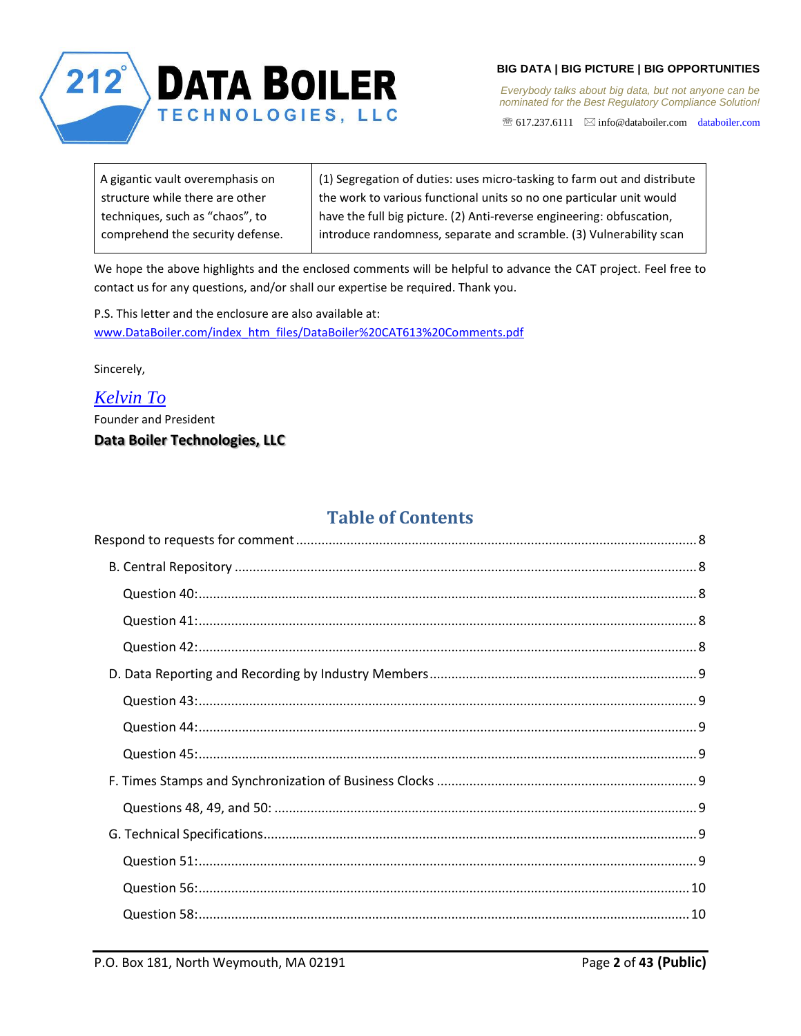

617.237.6111 info@databoiler.com databoiler.com

| A gigantic vault overemphasis on | (1) Segregation of duties: uses micro-tasking to farm out and distribute |
|----------------------------------|--------------------------------------------------------------------------|
| structure while there are other  | the work to various functional units so no one particular unit would     |
| techniques, such as "chaos", to  | have the full big picture. (2) Anti-reverse engineering: obfuscation,    |
| comprehend the security defense. | introduce randomness, separate and scramble. (3) Vulnerability scan      |

We hope the above highlights and the enclosed comments will be helpful to advance the CAT project. Feel free to contact us for any questions, and/or shall our expertise be required. Thank you.

P.S. This letter and the enclosure are also available at: www.DataBoiler.com/index\_htm\_files/DataBoiler%20CAT613%20Comments.pdf

Sincerely,

# *Kelvin To*

Founder and President

# **Data Boiler Technologies, LLC**

# **Table of Contents**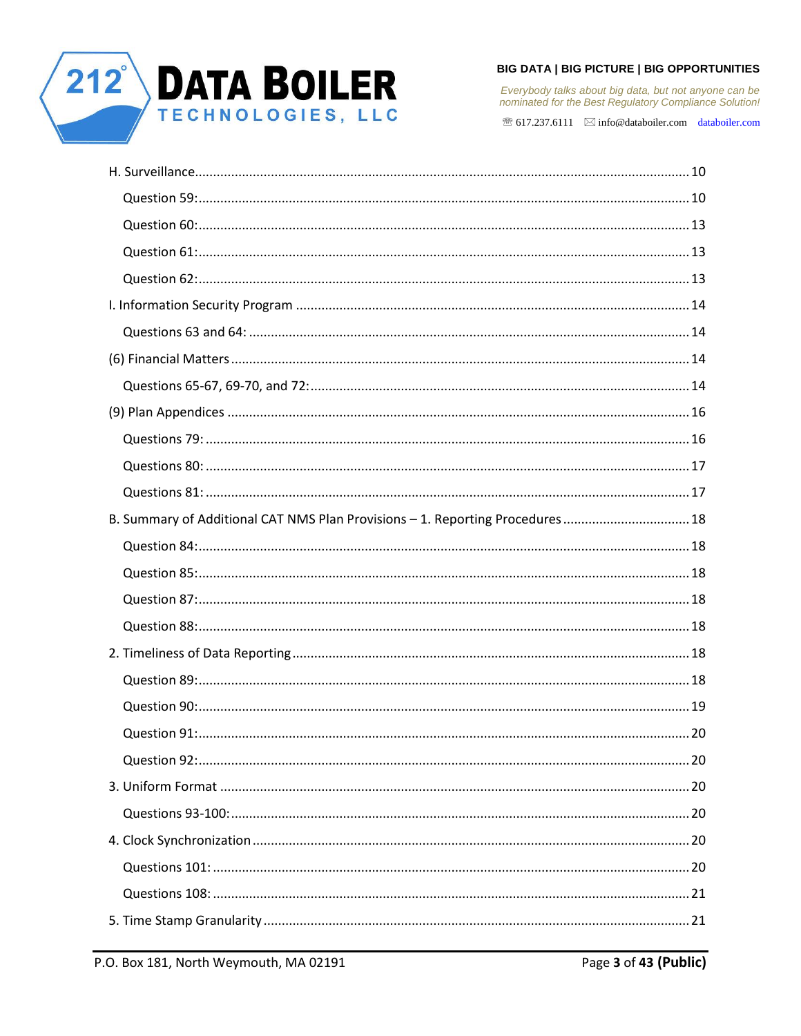

Everybody talks about big data, but not anyone can be<br>nominated for the Best Regulatory Compliance Solution!

| B. Summary of Additional CAT NMS Plan Provisions - 1. Reporting Procedures 18 |  |
|-------------------------------------------------------------------------------|--|
|                                                                               |  |
|                                                                               |  |
|                                                                               |  |
|                                                                               |  |
|                                                                               |  |
|                                                                               |  |
|                                                                               |  |
|                                                                               |  |
|                                                                               |  |
|                                                                               |  |
|                                                                               |  |
|                                                                               |  |
|                                                                               |  |
|                                                                               |  |
|                                                                               |  |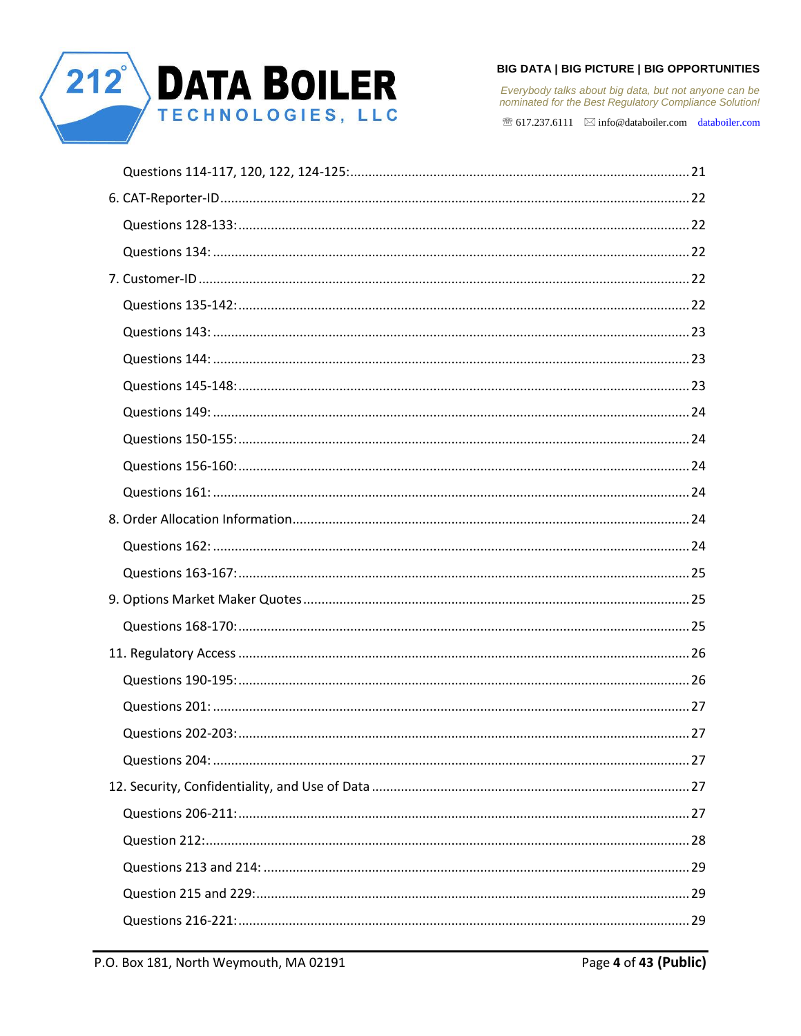

Everybody talks about big data, but not anyone can be<br>nominated for the Best Regulatory Compliance Solution!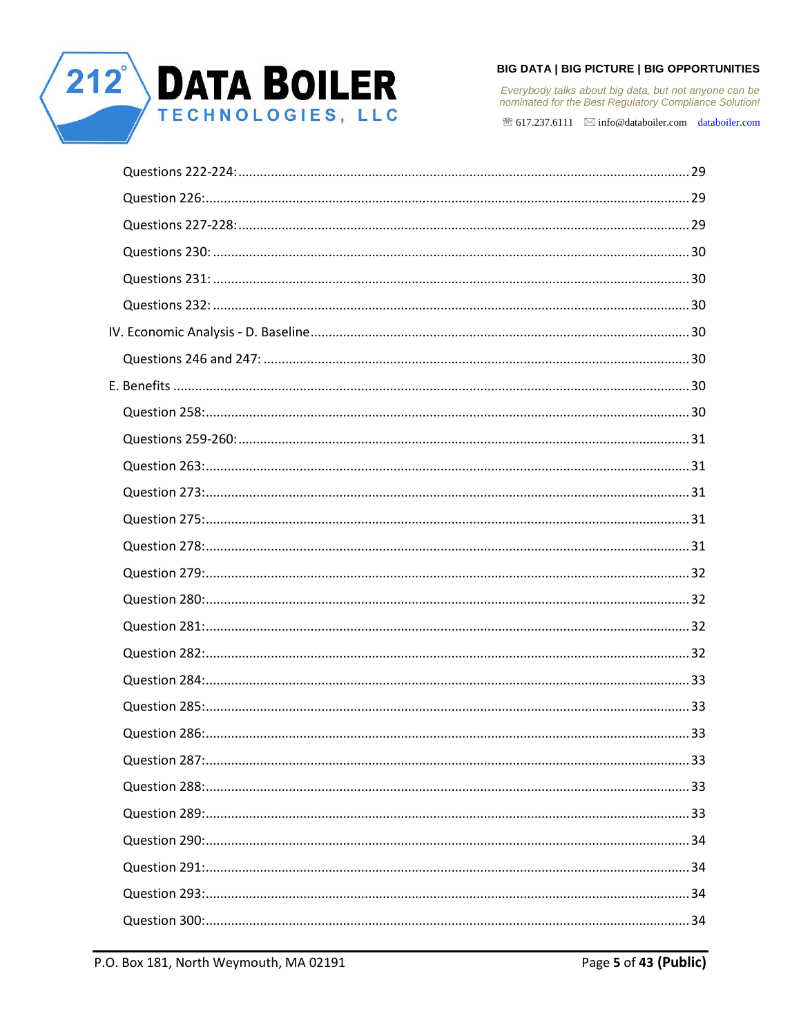

Everybody talks about big data, but not anyone can be<br>nominated for the Best Regulatory Compliance Solution!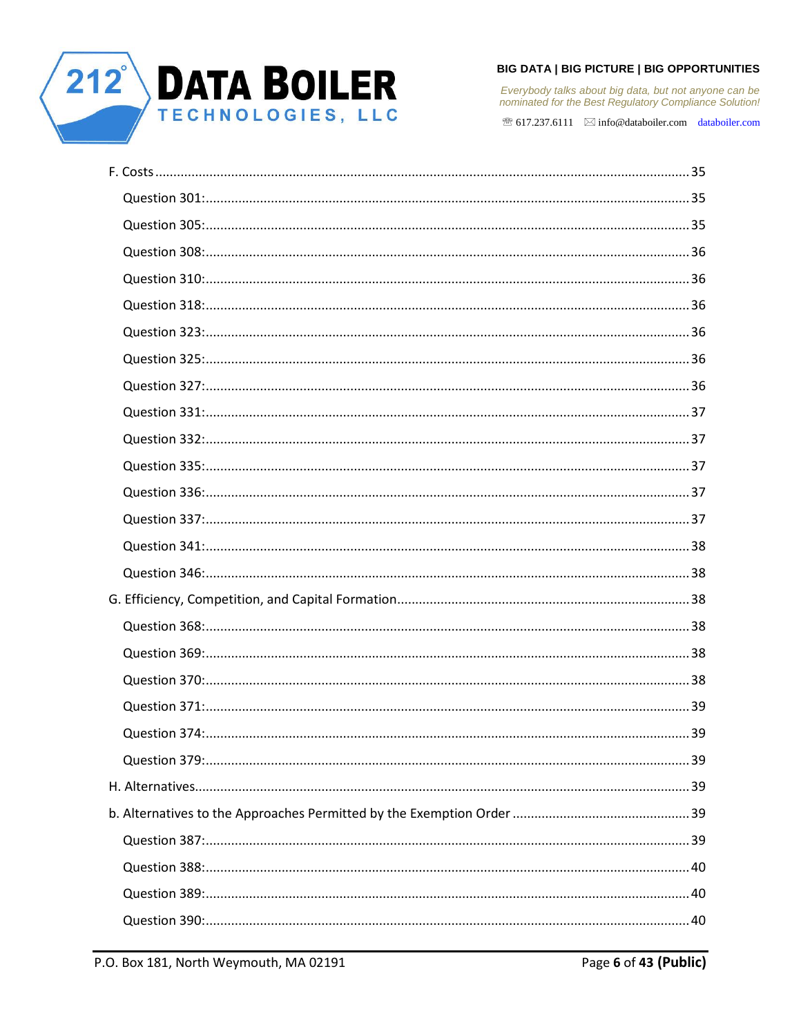

Everybody talks about big data, but not anyone can be<br>nominated for the Best Regulatory Compliance Solution!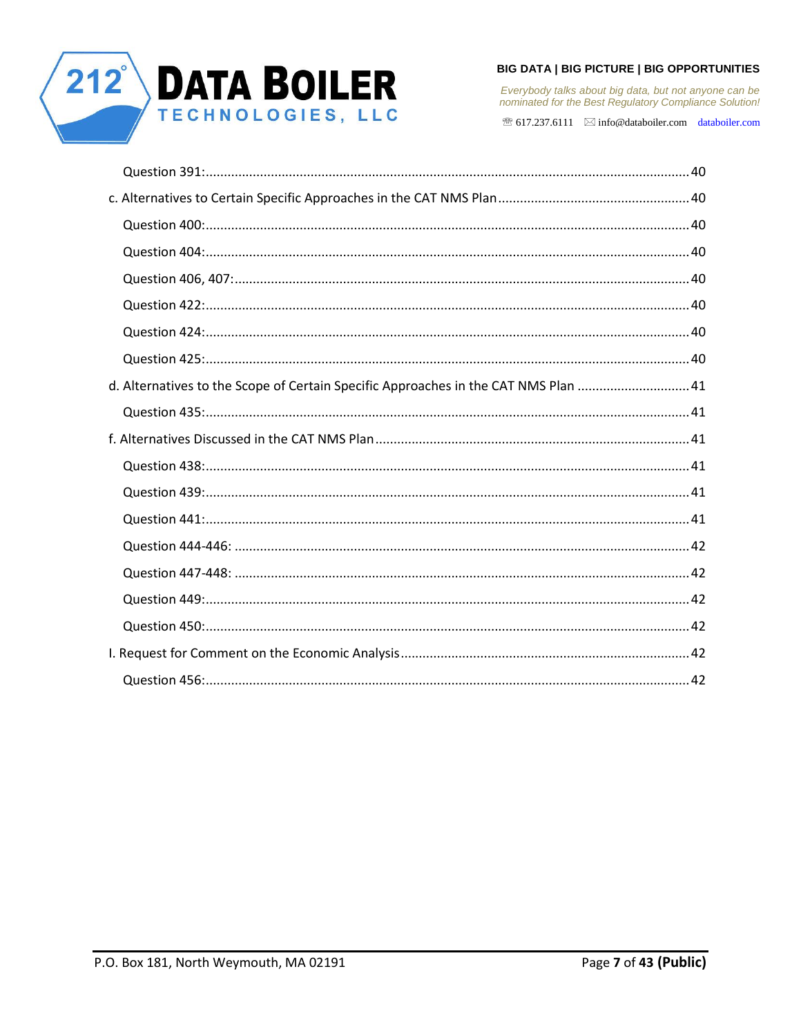

Everybody talks about big data, but not anyone can be<br>nominated for the Best Regulatory Compliance Solution!

| d. Alternatives to the Scope of Certain Specific Approaches in the CAT NMS Plan 41 |  |
|------------------------------------------------------------------------------------|--|
|                                                                                    |  |
|                                                                                    |  |
|                                                                                    |  |
|                                                                                    |  |
|                                                                                    |  |
|                                                                                    |  |
|                                                                                    |  |
|                                                                                    |  |
|                                                                                    |  |
|                                                                                    |  |
|                                                                                    |  |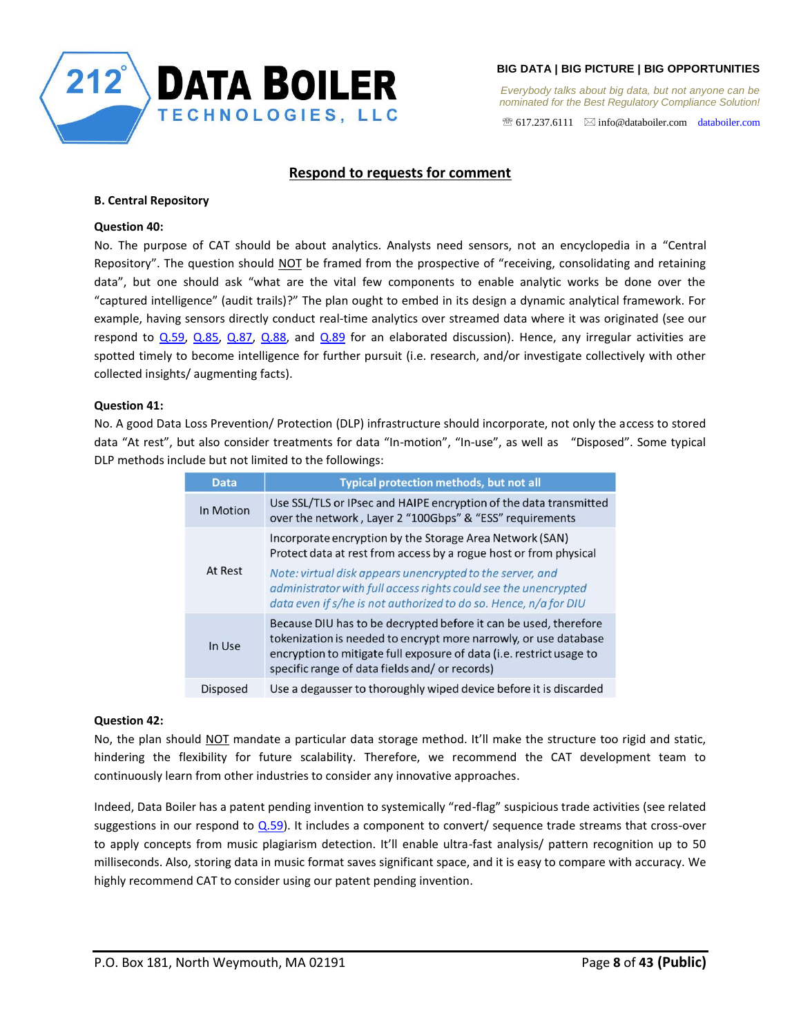

 $\mathcal{F}$  617.237.6111  $\boxtimes$  info@databoiler.com databoiler.com

# **Respond to requests for comment**

#### <span id="page-7-1"></span><span id="page-7-0"></span>**B. Central Repository**

## <span id="page-7-2"></span>**Question 40:**

No. The purpose of CAT should be about analytics. Analysts need sensors, not an encyclopedia in a "Central Repository". The question should NOT be framed from the prospective of "receiving, consolidating and retaining data", but one should ask "what are the vital few components to enable analytic works be done over the "captured intelligence" (audit trails)?" The plan ought to embed in its design a dynamic analytical framework. For example, having sensors directly conduct real-time analytics over streamed data where it was originated (see our respond to  $Q.59$ ,  $Q.85$ ,  $Q.87$ ,  $Q.88$ , and  $Q.89$  for an elaborated discussion). Hence, any irregular activities are spotted timely to become intelligence for further pursuit (i.e. research, and/or investigate collectively with other collected insights/ augmenting facts).

## <span id="page-7-3"></span>**Question 41:**

No. A good Data Loss Prevention/ Protection (DLP) infrastructure should incorporate, not only the access to stored data "At rest", but also consider treatments for data "In-motion", "In-use", as well as "Disposed". Some typical DLP methods include but not limited to the followings:

| <b>Data</b> | Typical protection methods, but not all                                                                                                                                                                                                                       |  |
|-------------|---------------------------------------------------------------------------------------------------------------------------------------------------------------------------------------------------------------------------------------------------------------|--|
| In Motion   | Use SSL/TLS or IPsec and HAIPE encryption of the data transmitted<br>over the network, Layer 2 "100Gbps" & "ESS" requirements                                                                                                                                 |  |
| At Rest     | Incorporate encryption by the Storage Area Network (SAN)<br>Protect data at rest from access by a rogue host or from physical<br>Note: virtual disk appears unencrypted to the server, and                                                                    |  |
|             | administrator with full access rights could see the unencrypted<br>data even if s/he is not authorized to do so. Hence, n/a for DIU                                                                                                                           |  |
| In Use      | Because DIU has to be decrypted before it can be used, therefore<br>tokenization is needed to encrypt more narrowly, or use database<br>encryption to mitigate full exposure of data (i.e. restrict usage to<br>specific range of data fields and/or records) |  |
| Disposed    | Use a degausser to thoroughly wiped device before it is discarded                                                                                                                                                                                             |  |

## <span id="page-7-4"></span>**Question 42:**

No, the plan should NOT mandate a particular data storage method. It'll make the structure too rigid and static, hindering the flexibility for future scalability. Therefore, we recommend the CAT development team to continuously learn from other industries to consider any innovative approaches.

Indeed, Data Boiler has a patent pending invention to systemically "red-flag" suspicious trade activities (see related suggestions in our respond to  $Q.59$ ). It includes a component to convert/ sequence trade streams that cross-over to apply concepts from music plagiarism detection. It'll enable ultra-fast analysis/ pattern recognition up to 50 milliseconds. Also, storing data in music format saves significant space, and it is easy to compare with accuracy. We highly recommend CAT to consider using our patent pending invention.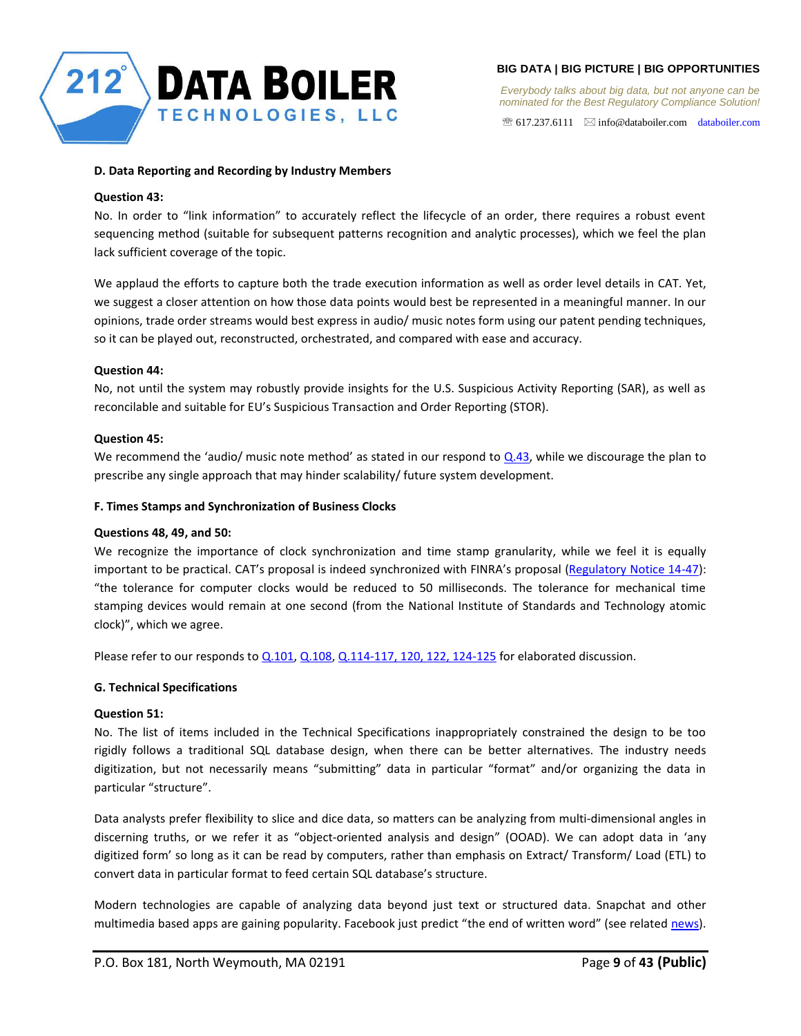

 $\mathcal{F}$  617.237.6111  $\quad \boxtimes$  info@databoiler.com databoiler.com

## <span id="page-8-0"></span>**D. Data Reporting and Recording by Industry Members**

## <span id="page-8-1"></span>**Question 43:**

No. In order to "link information" to accurately reflect the lifecycle of an order, there requires a robust event sequencing method (suitable for subsequent patterns recognition and analytic processes), which we feel the plan lack sufficient coverage of the topic.

We applaud the efforts to capture both the trade execution information as well as order level details in CAT. Yet, we suggest a closer attention on how those data points would best be represented in a meaningful manner. In our opinions, trade order streams would best express in audio/ music notes form using our patent pending techniques, so it can be played out, reconstructed, orchestrated, and compared with ease and accuracy.

# <span id="page-8-2"></span>**Question 44:**

No, not until the system may robustly provide insights for the U.S. Suspicious Activity Reporting (SAR), as well as reconcilable and suitable for EU's Suspicious Transaction and Order Reporting (STOR).

# <span id="page-8-3"></span>**Question 45:**

We recommend the 'audio/ music note method' as stated in our respond to  $Q.43$ , while we discourage the plan to prescribe any single approach that may hinder scalability/ future system development.

# <span id="page-8-4"></span>**F. Times Stamps and Synchronization of Business Clocks**

# <span id="page-8-5"></span>**Questions 48, 49, and 50:**

We recognize the importance of clock synchronization and time stamp granularity, while we feel it is equally important to be practical. CAT's proposal is indeed synchronized with FINRA's proposal (Regulatory Notice 14-47): "the tolerance for computer clocks would be reduced to 50 milliseconds. The tolerance for mechanical time stamping devices would remain at one second (from the National Institute of Standards and Technology atomic clock)", which we agree.

Please refer to our responds to [Q.101,](#page-19-5) [Q.108,](#page-20-0) [Q.114-117, 120, 122, 124-125](#page-20-2) for elaborated discussion.

# <span id="page-8-6"></span>**G. Technical Specifications**

## <span id="page-8-7"></span>**Question 51:**

No. The list of items included in the Technical Specifications inappropriately constrained the design to be too rigidly follows a traditional SQL database design, when there can be better alternatives. The industry needs digitization, but not necessarily means "submitting" data in particular "format" and/or organizing the data in particular "structure".

Data analysts prefer flexibility to slice and dice data, so matters can be analyzing from multi-dimensional angles in discerning truths, or we refer it as "object-oriented analysis and design" (OOAD). We can adopt data in 'any digitized form' so long as it can be read by computers, rather than emphasis on Extract/ Transform/ Load (ETL) to convert data in particular format to feed certain SQL database's structure.

Modern technologies are capable of analyzing data beyond just text or structured data. Snapchat and other multimedia based apps are gaining popularity. Facebook just predict "the end of written word" (see related news).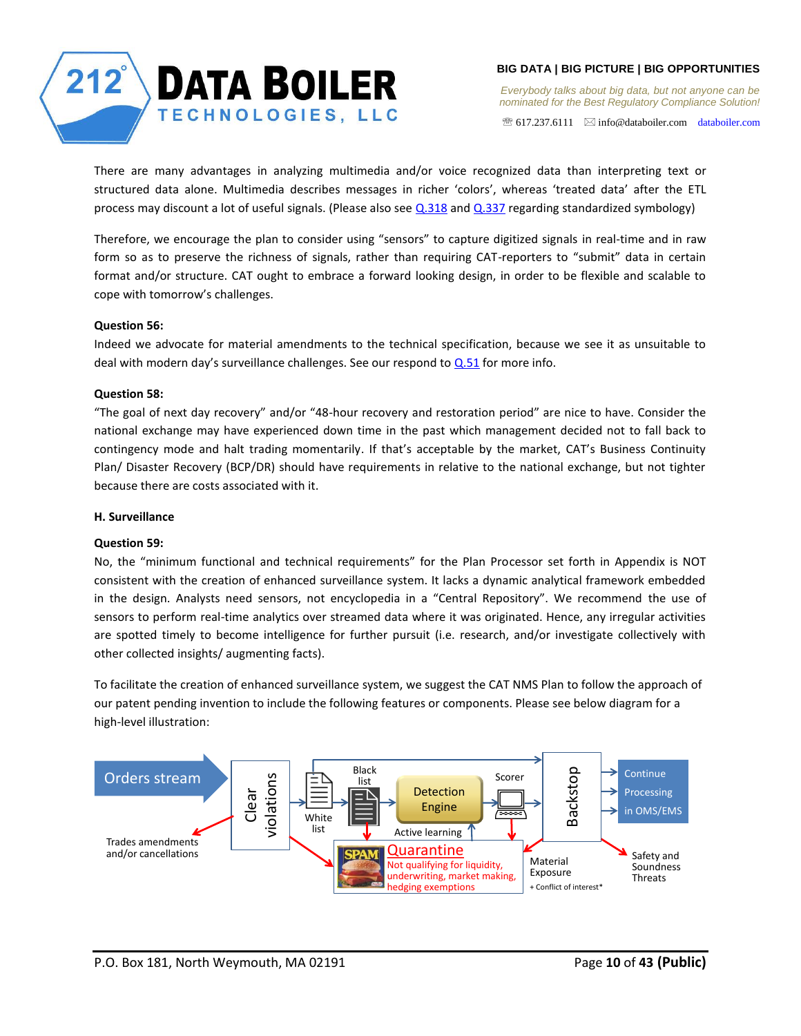

 $\mathcal{F}$  617.237.6111  $\boxtimes$  info@databoiler.com databoiler.com

There are many advantages in analyzing multimedia and/or voice recognized data than interpreting text or structured data alone. Multimedia describes messages in richer 'colors', whereas 'treated data' after the ETL process may discount a lot of useful signals. (Please also see [Q.318](#page-35-2) and [Q.337](#page-36-4) regarding standardized symbology)

Therefore, we encourage the plan to consider using "sensors" to capture digitized signals in real-time and in raw form so as to preserve the richness of signals, rather than requiring CAT-reporters to "submit" data in certain format and/or structure. CAT ought to embrace a forward looking design, in order to be flexible and scalable to cope with tomorrow's challenges.

# <span id="page-9-0"></span>**Question 56:**

Indeed we advocate for material amendments to the technical specification, because we see it as unsuitable to deal with modern day's surveillance challenges. See our respond to  $Q$ .51 for more info.

# <span id="page-9-1"></span>**Question 58:**

"The goal of next day recovery" and/or "48-hour recovery and restoration period" are nice to have. Consider the national exchange may have experienced down time in the past which management decided not to fall back to contingency mode and halt trading momentarily. If that's acceptable by the market, CAT's Business Continuity Plan/ Disaster Recovery (BCP/DR) should have requirements in relative to the national exchange, but not tighter because there are costs associated with it.

# <span id="page-9-2"></span>**H. Surveillance**

## <span id="page-9-3"></span>**Question 59:**

No, the "minimum functional and technical requirements" for the Plan Processor set forth in Appendix is NOT consistent with the creation of enhanced surveillance system. It lacks a dynamic analytical framework embedded in the design. Analysts need sensors, not encyclopedia in a "Central Repository". We recommend the use of sensors to perform real-time analytics over streamed data where it was originated. Hence, any irregular activities are spotted timely to become intelligence for further pursuit (i.e. research, and/or investigate collectively with other collected insights/ augmenting facts).

To facilitate the creation of enhanced surveillance system, we suggest the CAT NMS Plan to follow the approach of our patent pending invention to include the following features or components. Please see below diagram for a high-level illustration:

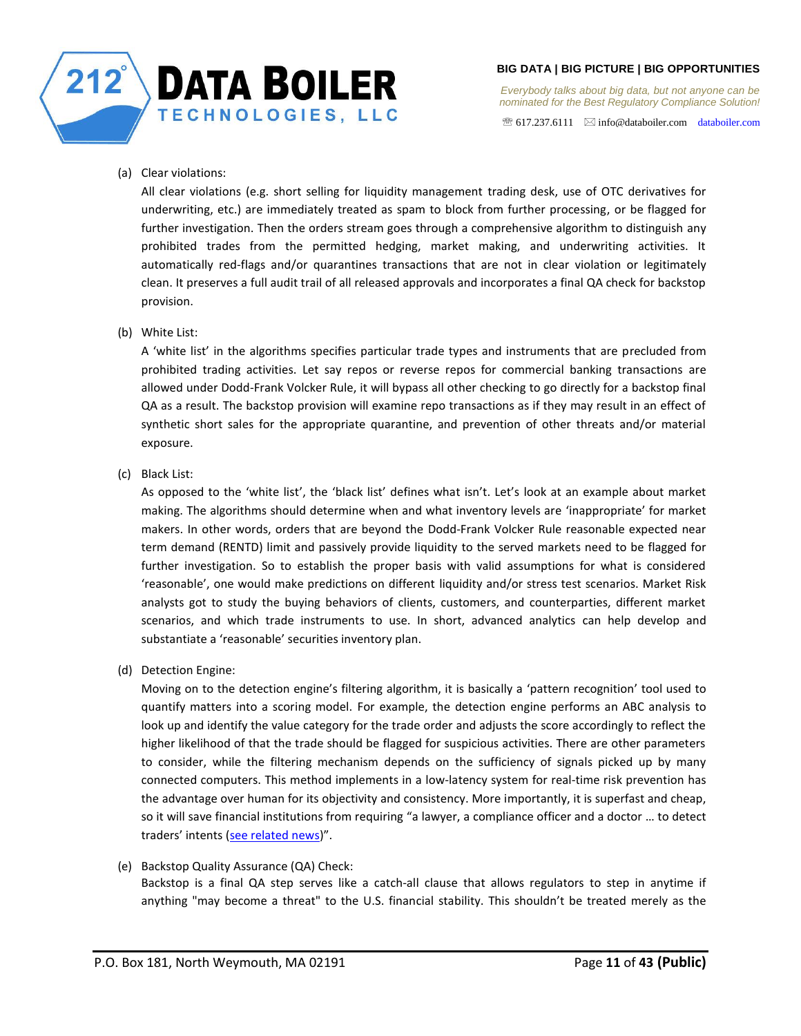

*Everybody talks about big data, but not anyone can be nominated for the Best Regulatory Compliance Solution!* 

 $\mathcal{F}$  617.237.6111  $\boxtimes$  info@databoiler.com databoiler.com

(a) Clear violations:

All clear violations (e.g. short selling for liquidity management trading desk, use of OTC derivatives for underwriting, etc.) are immediately treated as spam to block from further processing, or be flagged for further investigation. Then the orders stream goes through a comprehensive algorithm to distinguish any prohibited trades from the permitted hedging, market making, and underwriting activities. It automatically red-flags and/or quarantines transactions that are not in clear violation or legitimately clean. It preserves a full audit trail of all released approvals and incorporates a final QA check for backstop provision.

# (b) White List:

A 'white list' in the algorithms specifies particular trade types and instruments that are precluded from prohibited trading activities. Let say repos or reverse repos for commercial banking transactions are allowed under Dodd-Frank Volcker Rule, it will bypass all other checking to go directly for a backstop final QA as a result. The backstop provision will examine repo transactions as if they may result in an effect of synthetic short sales for the appropriate quarantine, and prevention of other threats and/or material exposure.

(c) Black List:

As opposed to the 'white list', the 'black list' defines what isn't. Let's look at an example about market making. The algorithms should determine when and what inventory levels are 'inappropriate' for market makers. In other words, orders that are beyond the Dodd-Frank Volcker Rule reasonable expected near term demand (RENTD) limit and passively provide liquidity to the served markets need to be flagged for further investigation. So to establish the proper basis with valid assumptions for what is considered 'reasonable', one would make predictions on different liquidity and/or stress test scenarios. Market Risk analysts got to study the buying behaviors of clients, customers, and counterparties, different market scenarios, and which trade instruments to use. In short, advanced analytics can help develop and substantiate a 'reasonable' securities inventory plan.

(d) Detection Engine:

Moving on to the detection engine's filtering algorithm, it is basically a 'pattern recognition' tool used to quantify matters into a scoring model. For example, the detection engine performs an ABC analysis to look up and identify the value category for the trade order and adjusts the score accordingly to reflect the higher likelihood of that the trade should be flagged for suspicious activities. There are other parameters to consider, while the filtering mechanism depends on the sufficiency of signals picked up by many connected computers. This method implements in a low-latency system for real-time risk prevention has the advantage over human for its objectivity and consistency. More importantly, it is superfast and cheap, so it will save financial institutions from requiring "a lawyer, a compliance officer and a doctor … to detect traders' intents (see related news)".

(e) Backstop Quality Assurance (QA) Check: Backstop is a final QA step serves like a catch-all clause that allows regulators to step in anytime if anything "may become a threat" to the U.S. financial stability. This shouldn't be treated merely as the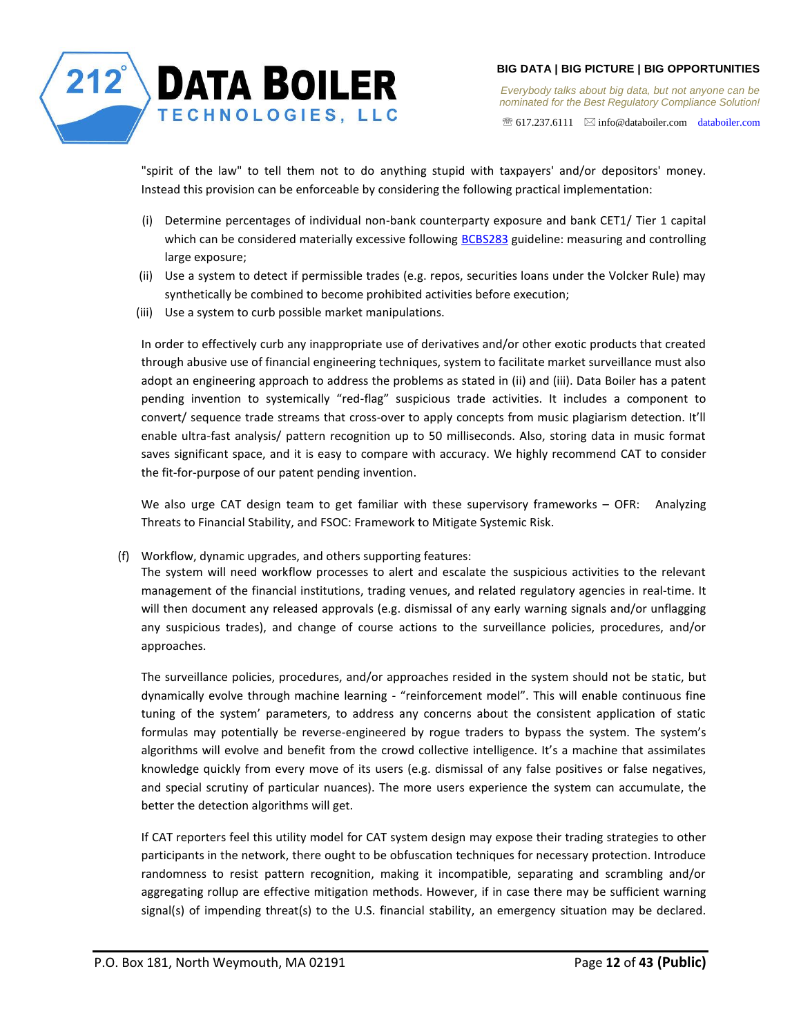

*Everybody talks about big data, but not anyone can be nominated for the Best Regulatory Compliance Solution!* 

 $\mathcal{F}$  617.237.6111  $\boxtimes$  info@databoiler.com databoiler.com

"spirit of the law" to tell them not to do anything stupid with taxpayers' and/or depositors' money. Instead this provision can be enforceable by considering the following practical implementation:

- (i) Determine percentages of individual non-bank counterparty exposure and bank CET1/ Tier 1 capital which can be considered materially excessive following BCBS283 guideline: measuring and controlling large exposure;
- (ii) Use a system to detect if permissible trades (e.g. repos, securities loans under the Volcker Rule) may synthetically be combined to become prohibited activities before execution;
- (iii) Use a system to curb possible market manipulations.

In order to effectively curb any inappropriate use of derivatives and/or other exotic products that created through abusive use of financial engineering techniques, system to facilitate market surveillance must also adopt an engineering approach to address the problems as stated in (ii) and (iii). Data Boiler has a patent pending invention to systemically "red-flag" suspicious trade activities. It includes a component to convert/ sequence trade streams that cross-over to apply concepts from music plagiarism detection. It'll enable ultra-fast analysis/ pattern recognition up to 50 milliseconds. Also, storing data in music format saves significant space, and it is easy to compare with accuracy. We highly recommend CAT to consider the fit-for-purpose of our patent pending invention.

We also urge CAT design team to get familiar with these supervisory frameworks - OFR: Analyzing Threats to Financial Stability, and FSOC: Framework to Mitigate Systemic Risk.

(f) Workflow, dynamic upgrades, and others supporting features:

The system will need workflow processes to alert and escalate the suspicious activities to the relevant management of the financial institutions, trading venues, and related regulatory agencies in real-time. It will then document any released approvals (e.g. dismissal of any early warning signals and/or unflagging any suspicious trades), and change of course actions to the surveillance policies, procedures, and/or approaches.

The surveillance policies, procedures, and/or approaches resided in the system should not be static, but dynamically evolve through machine learning - "reinforcement model". This will enable continuous fine tuning of the system' parameters, to address any concerns about the consistent application of static formulas may potentially be reverse-engineered by rogue traders to bypass the system. The system's algorithms will evolve and benefit from the crowd collective intelligence. It's a machine that assimilates knowledge quickly from every move of its users (e.g. dismissal of any false positives or false negatives, and special scrutiny of particular nuances). The more users experience the system can accumulate, the better the detection algorithms will get.

If CAT reporters feel this utility model for CAT system design may expose their trading strategies to other participants in the network, there ought to be obfuscation techniques for necessary protection. Introduce randomness to resist pattern recognition, making it incompatible, separating and scrambling and/or aggregating rollup are effective mitigation methods. However, if in case there may be sufficient warning signal(s) of impending threat(s) to the U.S. financial stability, an emergency situation may be declared.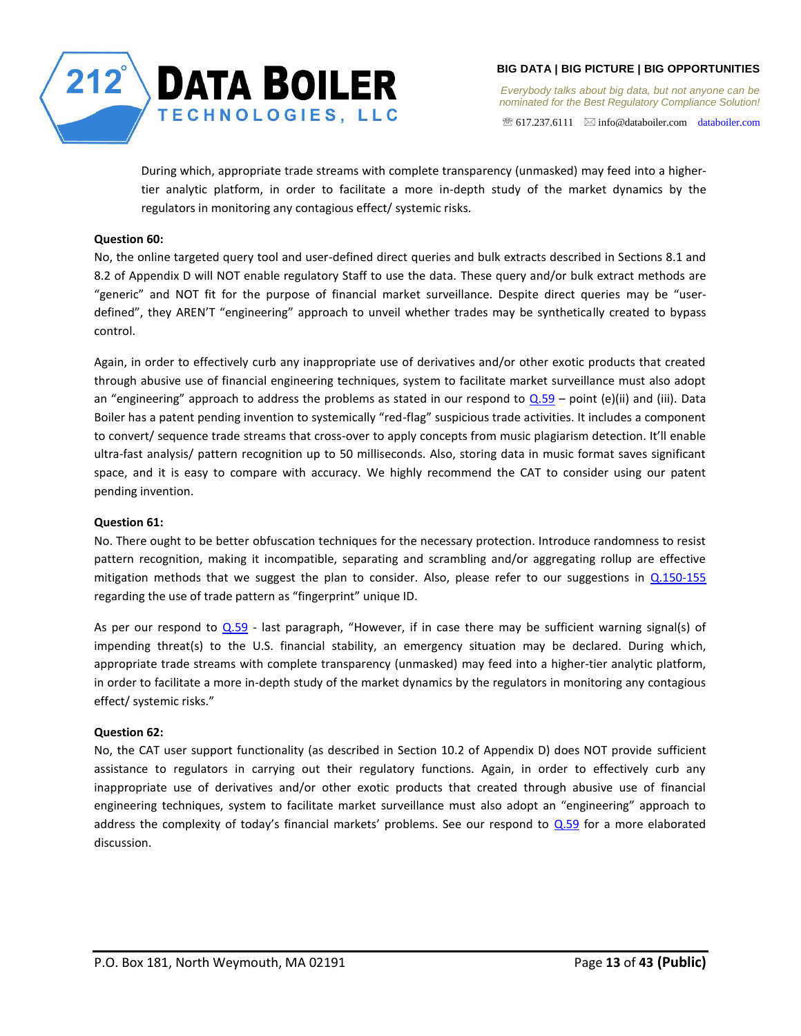

 $\mathcal{F}$  617.237.6111  $\boxtimes$  info@databoiler.com databoiler.com

During which, appropriate trade streams with complete transparency (unmasked) may feed into a highertier analytic platform, in order to facilitate a more in-depth study of the market dynamics by the regulators in monitoring any contagious effect/ systemic risks.

# <span id="page-12-0"></span>**Question 60:**

No, the online targeted query tool and user-defined direct queries and bulk extracts described in Sections 8.1 and 8.2 of Appendix D will NOT enable regulatory Staff to use the data. These query and/or bulk extract methods are "generic" and NOT fit for the purpose of financial market surveillance. Despite direct queries may be "userdefined", they AREN'T "engineering" approach to unveil whether trades may be synthetically created to bypass control.

Again, in order to effectively curb any inappropriate use of derivatives and/or other exotic products that created through abusive use of financial engineering techniques, system to facilitate market surveillance must also adopt an "engineering" approach to address the problems as stated in our respond to  $Q.59$  – point (e)(ii) and (iii). Data Boiler has a patent pending invention to systemically "red-flag" suspicious trade activities. It includes a component to convert/ sequence trade streams that cross-over to apply concepts from music plagiarism detection. It'll enable ultra-fast analysis/ pattern recognition up to 50 milliseconds. Also, storing data in music format saves significant space, and it is easy to compare with accuracy. We highly recommend the CAT to consider using our patent pending invention.

# <span id="page-12-1"></span>**Question 61:**

No. There ought to be better obfuscation techniques for the necessary protection. Introduce randomness to resist pattern recognition, making it incompatible, separating and scrambling and/or aggregating rollup are effective mitigation methods that we suggest the plan to consider. Also, please refer to our suggestions in [Q.150-155](#page-23-1) regarding the use of trade pattern as "fingerprint" unique ID.

As per our respond to  $Q.59$  - last paragraph, "However, if in case there may be sufficient warning signal(s) of impending threat(s) to the U.S. financial stability, an emergency situation may be declared. During which, appropriate trade streams with complete transparency (unmasked) may feed into a higher-tier analytic platform, in order to facilitate a more in-depth study of the market dynamics by the regulators in monitoring any contagious effect/ systemic risks."

# <span id="page-12-2"></span>**Question 62:**

No, the CAT user support functionality (as described in Section 10.2 of Appendix D) does NOT provide sufficient assistance to regulators in carrying out their regulatory functions. Again, in order to effectively curb any inappropriate use of derivatives and/or other exotic products that created through abusive use of financial engineering techniques, system to facilitate market surveillance must also adopt an "engineering" approach to address the complexity of today's financial markets' problems. See our respond to [Q.59](#page-9-3) for a more elaborated discussion.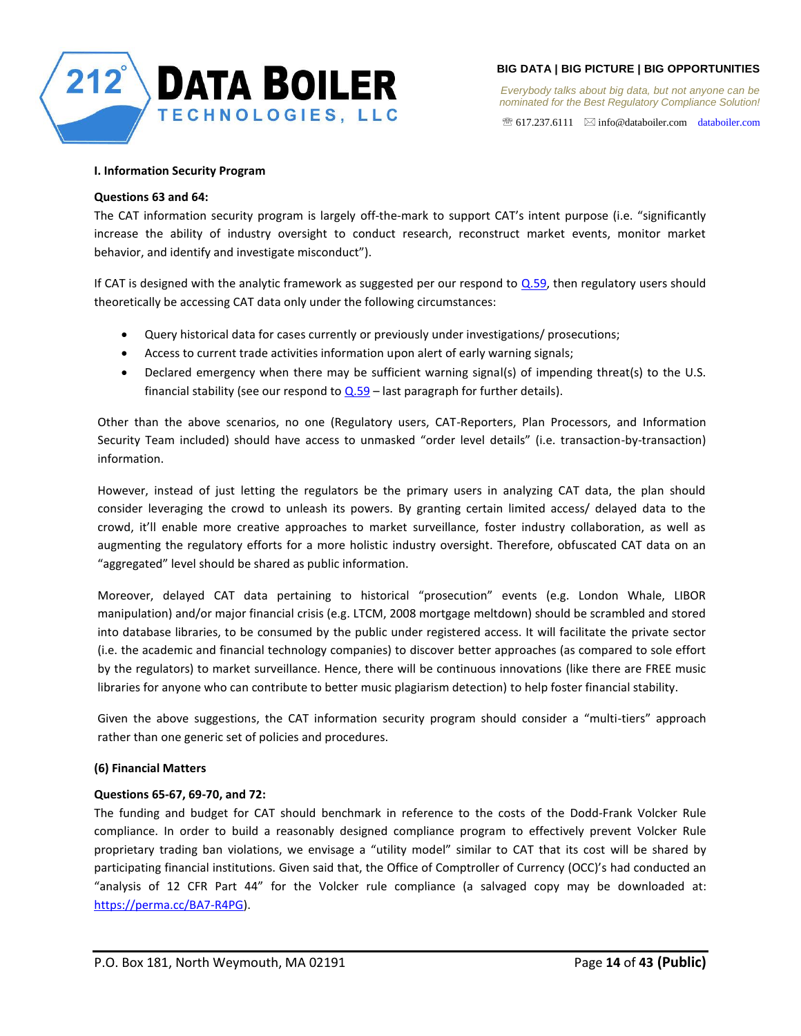

 $\mathcal{F}$  617.237.6111  $\boxtimes$  info@databoiler.com databoiler.com

## <span id="page-13-0"></span>**I. Information Security Program**

#### <span id="page-13-1"></span>**Questions 63 and 64:**

The CAT information security program is largely off-the-mark to support CAT's intent purpose (i.e. "significantly increase the ability of industry oversight to conduct research, reconstruct market events, monitor market behavior, and identify and investigate misconduct").

If CAT is designed with the analytic framework as suggested per our respond to  $Q.59$ , then regulatory users should theoretically be accessing CAT data only under the following circumstances:

- Query historical data for cases currently or previously under investigations/ prosecutions;
- Access to current trade activities information upon alert of early warning signals;
- Declared emergency when there may be sufficient warning signal(s) of impending threat(s) to the U.S. financial stability (see our respond to  $Q.59$  – last paragraph for further details).

Other than the above scenarios, no one (Regulatory users, CAT-Reporters, Plan Processors, and Information Security Team included) should have access to unmasked "order level details" (i.e. transaction-by-transaction) information.

However, instead of just letting the regulators be the primary users in analyzing CAT data, the plan should consider leveraging the crowd to unleash its powers. By granting certain limited access/ delayed data to the crowd, it'll enable more creative approaches to market surveillance, foster industry collaboration, as well as augmenting the regulatory efforts for a more holistic industry oversight. Therefore, obfuscated CAT data on an "aggregated" level should be shared as public information.

Moreover, delayed CAT data pertaining to historical "prosecution" events (e.g. London Whale, LIBOR manipulation) and/or major financial crisis (e.g. LTCM, 2008 mortgage meltdown) should be scrambled and stored into database libraries, to be consumed by the public under registered access. It will facilitate the private sector (i.e. the academic and financial technology companies) to discover better approaches (as compared to sole effort by the regulators) to market surveillance. Hence, there will be continuous innovations (like there are FREE music libraries for anyone who can contribute to better music plagiarism detection) to help foster financial stability.

Given the above suggestions, the CAT information security program should consider a "multi-tiers" approach rather than one generic set of policies and procedures.

## <span id="page-13-2"></span>**(6) Financial Matters**

## <span id="page-13-3"></span>**Questions 65-67, 69-70, and 72:**

The funding and budget for CAT should benchmark in reference to the costs of the Dodd-Frank Volcker Rule compliance. In order to build a reasonably designed compliance program to effectively prevent Volcker Rule proprietary trading ban violations, we envisage a "utility model" similar to CAT that its cost will be shared by participating financial institutions. Given said that, the Office of Comptroller of Currency (OCC)'s had conducted an "analysis of 12 CFR Part 44" for the Volcker rule compliance (a salvaged copy may be downloaded at: https://perma.cc/BA7-R4PG).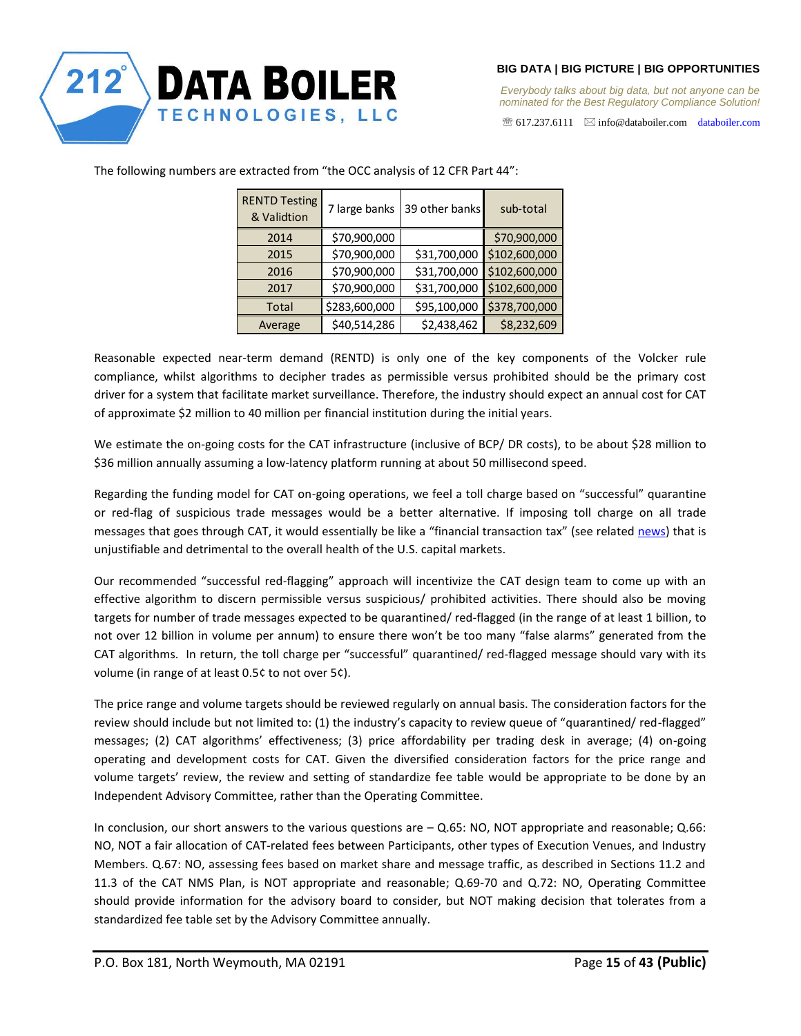

 $\mathcal{F}$  617.237.6111  $\boxtimes$  info@databoiler.com databoiler.com

| <b>RENTD Testing</b><br>& Validtion | 7 large banks | 39 other banks | sub-total     |
|-------------------------------------|---------------|----------------|---------------|
| 2014                                | \$70,900,000  |                | \$70,900,000  |
| 2015                                | \$70,900,000  | \$31,700,000   | \$102,600,000 |
| 2016                                | \$70,900,000  | \$31,700,000   | \$102,600,000 |
| 2017                                | \$70,900,000  | \$31,700,000   | \$102,600,000 |
| Total                               | \$283,600,000 | \$95,100,000   | \$378,700,000 |
| Average                             | \$40,514,286  | \$2,438,462    | \$8,232,609   |

The following numbers are extracted from "the OCC analysis of 12 CFR Part 44":

Reasonable expected near-term demand (RENTD) is only one of the key components of the Volcker rule compliance, whilst algorithms to decipher trades as permissible versus prohibited should be the primary cost driver for a system that facilitate market surveillance. Therefore, the industry should expect an annual cost for CAT of approximate \$2 million to 40 million per financial institution during the initial years.

We estimate the on-going costs for the CAT infrastructure (inclusive of BCP/ DR costs), to be about \$28 million to \$36 million annually assuming a low-latency platform running at about 50 millisecond speed.

Regarding the funding model for CAT on-going operations, we feel a toll charge based on "successful" quarantine or red-flag of suspicious trade messages would be a better alternative. If imposing toll charge on all trade messages that goes through CAT, it would essentially be like a "financial transaction tax" (see related news) that is unjustifiable and detrimental to the overall health of the U.S. capital markets.

Our recommended "successful red-flagging" approach will incentivize the CAT design team to come up with an effective algorithm to discern permissible versus suspicious/ prohibited activities. There should also be moving targets for number of trade messages expected to be quarantined/ red-flagged (in the range of at least 1 billion, to not over 12 billion in volume per annum) to ensure there won't be too many "false alarms" generated from the CAT algorithms. In return, the toll charge per "successful" quarantined/ red-flagged message should vary with its volume (in range of at least 0.5¢ to not over 5¢).

The price range and volume targets should be reviewed regularly on annual basis. The consideration factors for the review should include but not limited to: (1) the industry's capacity to review queue of "quarantined/ red-flagged" messages; (2) CAT algorithms' effectiveness; (3) price affordability per trading desk in average; (4) on-going operating and development costs for CAT. Given the diversified consideration factors for the price range and volume targets' review, the review and setting of standardize fee table would be appropriate to be done by an Independent Advisory Committee, rather than the Operating Committee.

In conclusion, our short answers to the various questions are – Q.65: NO, NOT appropriate and reasonable; Q.66: NO, NOT a fair allocation of CAT-related fees between Participants, other types of Execution Venues, and Industry Members. Q.67: NO, assessing fees based on market share and message traffic, as described in Sections 11.2 and 11.3 of the CAT NMS Plan, is NOT appropriate and reasonable; Q.69-70 and Q.72: NO, Operating Committee should provide information for the advisory board to consider, but NOT making decision that tolerates from a standardized fee table set by the Advisory Committee annually.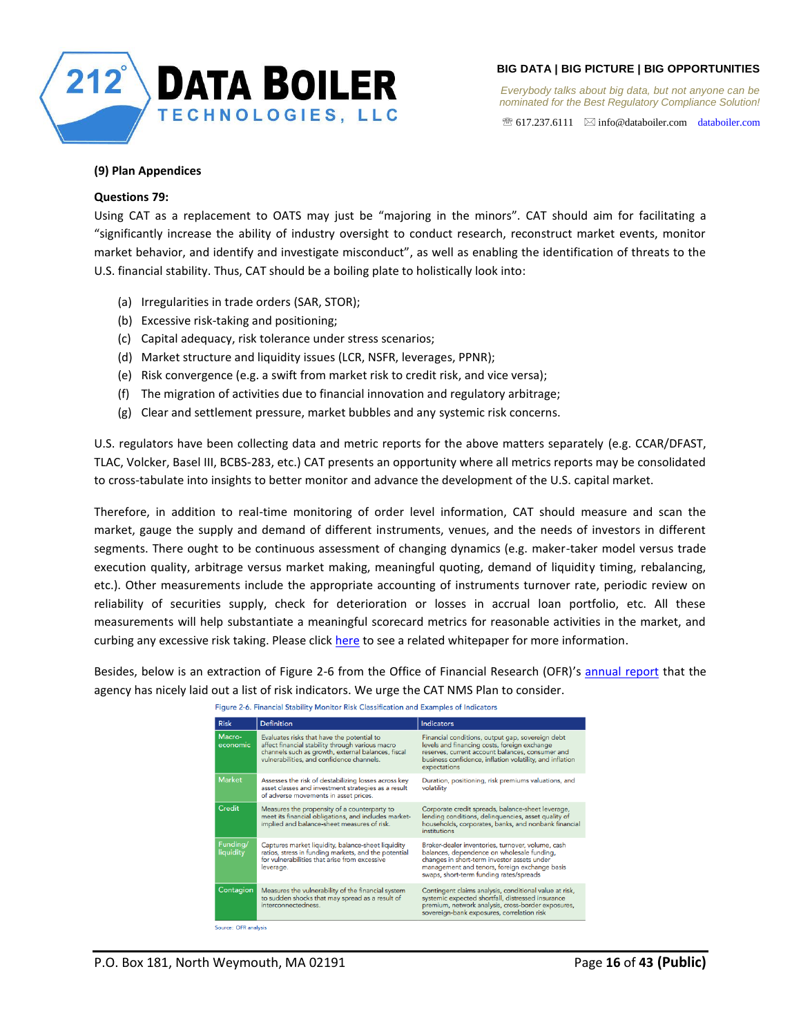

*Everybody talks about big data, but not anyone can be nominated for the Best Regulatory Compliance Solution!* 

 $\mathcal{F}$  617.237.6111  $\quad \boxtimes$  info@databoiler.com databoiler.com

## <span id="page-15-0"></span>**(9) Plan Appendices**

#### <span id="page-15-1"></span>**Questions 79:**

Using CAT as a replacement to OATS may just be "majoring in the minors". CAT should aim for facilitating a "significantly increase the ability of industry oversight to conduct research, reconstruct market events, monitor market behavior, and identify and investigate misconduct", as well as enabling the identification of threats to the U.S. financial stability. Thus, CAT should be a boiling plate to holistically look into:

- (a) Irregularities in trade orders (SAR, STOR);
- (b) Excessive risk-taking and positioning;
- (c) Capital adequacy, risk tolerance under stress scenarios;
- (d) Market structure and liquidity issues (LCR, NSFR, leverages, PPNR);
- (e) Risk convergence (e.g. a swift from market risk to credit risk, and vice versa);
- (f) The migration of activities due to financial innovation and regulatory arbitrage;
- (g) Clear and settlement pressure, market bubbles and any systemic risk concerns.

U.S. regulators have been collecting data and metric reports for the above matters separately (e.g. CCAR/DFAST, TLAC, Volcker, Basel III, BCBS-283, etc.) CAT presents an opportunity where all metrics reports may be consolidated to cross-tabulate into insights to better monitor and advance the development of the U.S. capital market.

Therefore, in addition to real-time monitoring of order level information, CAT should measure and scan the market, gauge the supply and demand of different instruments, venues, and the needs of investors in different segments. There ought to be continuous assessment of changing dynamics (e.g. maker-taker model versus trade execution quality, arbitrage versus market making, meaningful quoting, demand of liquidity timing, rebalancing, etc.). Other measurements include the appropriate accounting of instruments turnover rate, periodic review on reliability of securities supply, check for deterioration or losses in accrual loan portfolio, etc. All these measurements will help substantiate a meaningful scorecard metrics for reasonable activities in the market, and curbing any excessive risk taking. Please click here to see a related whitepaper for more information.

Besides, below is an extraction of Figure 2-6 from the Office of Financial Research (OFR)'s annual report that the agency has nicely laid out a list of risk indicators. We urge the CAT NMS Plan to consider.

Figure 2-6. Financial Stability Monitor Risk Classification and Examples of Indicators

| <b>Risk</b>           | <b>Definition</b>                                                                                                                                                                                 | <b>Indicators</b>                                                                                                                                                                                                                          |
|-----------------------|---------------------------------------------------------------------------------------------------------------------------------------------------------------------------------------------------|--------------------------------------------------------------------------------------------------------------------------------------------------------------------------------------------------------------------------------------------|
|                       |                                                                                                                                                                                                   |                                                                                                                                                                                                                                            |
| Macro-<br>economic    | Evaluates risks that have the potential to<br>affect financial stability through various macro<br>channels such as growth, external balances, fiscal<br>vulnerabilities, and confidence channels. | Financial conditions, output gap, sovereign debt<br>levels and financing costs, foreign exchange<br>reserves, current account balances, consumer and<br>business confidence, inflation volatility, and inflation<br>expectations           |
| <b>Market</b>         | Assesses the risk of destabilizing losses across key<br>asset classes and investment strategies as a result<br>of adverse movements in asset prices.                                              | Duration, positioning, risk premiums valuations, and<br>volatility                                                                                                                                                                         |
| Credit                | Measures the propensity of a counterparty to<br>meet its financial obligations, and includes market-<br>implied and balance-sheet measures of risk.                                               | Corporate credit spreads, balance-sheet leverage,<br>lending conditions, delinquencies, asset quality of<br>households, corporates, banks, and nonbank financial<br>institutions                                                           |
| Funding/<br>liquidity | Captures market liquidity, balance-sheet liquidity<br>ratios, stress in funding markets, and the potential<br>for vulnerabilities that arise from excessive<br>leverage.                          | Broker-dealer inventories, turnover, volume, cash<br>balances, dependence on wholesale funding,<br>changes in short-term investor assets under<br>management and tenors, foreign exchange basis<br>swaps, short-term funding rates/spreads |
| Contagion             | Measures the vulnerability of the financial system<br>to sudden shocks that may spread as a result of<br>interconnectedness.                                                                      | Contingent claims analysis, conditional value at risk,<br>systemic expected shortfall, distressed insurance<br>premium, network analysis, cross-border exposures,<br>sovereign-bank exposures, correlation risk                            |
| Source: OFR analysis  |                                                                                                                                                                                                   |                                                                                                                                                                                                                                            |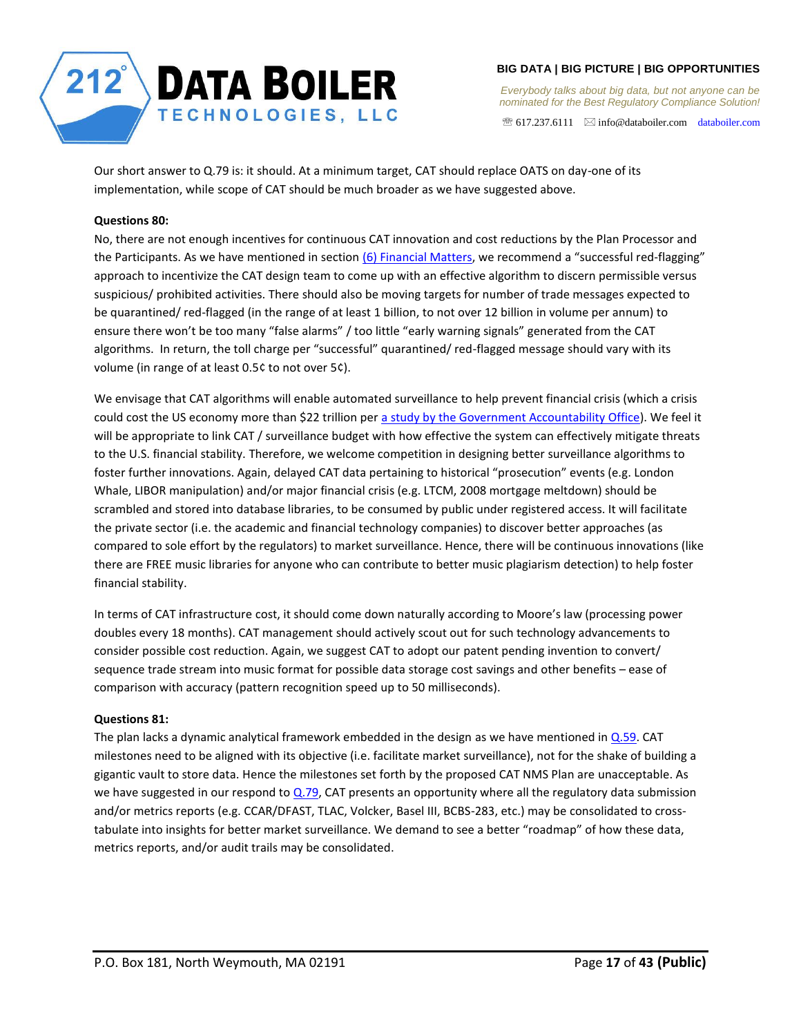

*Everybody talks about big data, but not anyone can be nominated for the Best Regulatory Compliance Solution!* 

 $\mathcal{F}$  617.237.6111  $\boxtimes$  info@databoiler.com databoiler.com

Our short answer to Q.79 is: it should. At a minimum target, CAT should replace OATS on day-one of its implementation, while scope of CAT should be much broader as we have suggested above.

## <span id="page-16-0"></span>**Questions 80:**

No, there are not enough incentives for continuous CAT innovation and cost reductions by the Plan Processor and the Participants. As we have mentioned in section [\(6\) Financial Matters,](#page-13-2) we recommend a "successful red-flagging" approach to incentivize the CAT design team to come up with an effective algorithm to discern permissible versus suspicious/ prohibited activities. There should also be moving targets for number of trade messages expected to be quarantined/ red-flagged (in the range of at least 1 billion, to not over 12 billion in volume per annum) to ensure there won't be too many "false alarms" / too little "early warning signals" generated from the CAT algorithms. In return, the toll charge per "successful" quarantined/ red-flagged message should vary with its volume (in range of at least 0.5¢ to not over 5¢).

We envisage that CAT algorithms will enable automated surveillance to help prevent financial crisis (which a crisis could cost the US economy more than \$22 trillion per a study by the Government Accountability Office). We feel it will be appropriate to link CAT / surveillance budget with how effective the system can effectively mitigate threats to the U.S. financial stability. Therefore, we welcome competition in designing better surveillance algorithms to foster further innovations. Again, delayed CAT data pertaining to historical "prosecution" events (e.g. London Whale, LIBOR manipulation) and/or major financial crisis (e.g. LTCM, 2008 mortgage meltdown) should be scrambled and stored into database libraries, to be consumed by public under registered access. It will facilitate the private sector (i.e. the academic and financial technology companies) to discover better approaches (as compared to sole effort by the regulators) to market surveillance. Hence, there will be continuous innovations (like there are FREE music libraries for anyone who can contribute to better music plagiarism detection) to help foster financial stability.

In terms of CAT infrastructure cost, it should come down naturally according to Moore's law (processing power doubles every 18 months). CAT management should actively scout out for such technology advancements to consider possible cost reduction. Again, we suggest CAT to adopt our patent pending invention to convert/ sequence trade stream into music format for possible data storage cost savings and other benefits – ease of comparison with accuracy (pattern recognition speed up to 50 milliseconds).

## <span id="page-16-1"></span>**Questions 81:**

The plan lacks a dynamic analytical framework embedded in the design as we have mentioned in [Q.59.](#page-9-3) CAT milestones need to be aligned with its objective (i.e. facilitate market surveillance), not for the shake of building a gigantic vault to store data. Hence the milestones set forth by the proposed CAT NMS Plan are unacceptable. As we have suggested in our respond to  $Q.79$ , CAT presents an opportunity where all the regulatory data submission and/or metrics reports (e.g. CCAR/DFAST, TLAC, Volcker, Basel III, BCBS-283, etc.) may be consolidated to crosstabulate into insights for better market surveillance. We demand to see a better "roadmap" of how these data, metrics reports, and/or audit trails may be consolidated.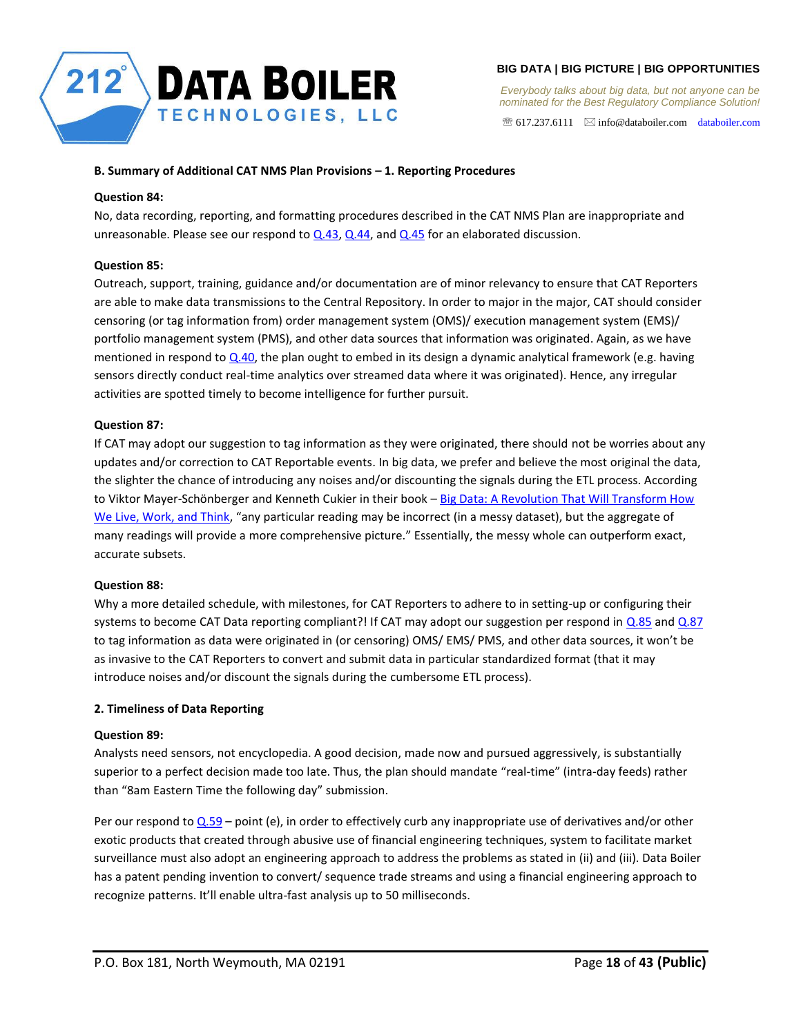

*Everybody talks about big data, but not anyone can be nominated for the Best Regulatory Compliance Solution!* 

 $\mathcal{F}$  617.237.6111  $\boxtimes$  info@databoiler.com databoiler.com

# <span id="page-17-0"></span>**B. Summary of Additional CAT NMS Plan Provisions – 1. Reporting Procedures**

## <span id="page-17-1"></span>**Question 84:**

No, data recording, reporting, and formatting procedures described in the CAT NMS Plan are inappropriate and unreasonable. Please see our respond to  $Q.43$ ,  $Q.44$ , and  $Q.45$  for an elaborated discussion.

# <span id="page-17-2"></span>**Question 85:**

Outreach, support, training, guidance and/or documentation are of minor relevancy to ensure that CAT Reporters are able to make data transmissions to the Central Repository. In order to major in the major, CAT should consider censoring (or tag information from) order management system (OMS)/ execution management system (EMS)/ portfolio management system (PMS), and other data sources that information was originated. Again, as we have mentioned in respond to  $Q.40$ , the plan ought to embed in its design a dynamic analytical framework (e.g. having sensors directly conduct real-time analytics over streamed data where it was originated). Hence, any irregular activities are spotted timely to become intelligence for further pursuit.

# <span id="page-17-3"></span>**Question 87:**

If CAT may adopt our suggestion to tag information as they were originated, there should not be worries about any updates and/or correction to CAT Reportable events. In big data, we prefer and believe the most original the data, the slighter the chance of introducing any noises and/or discounting the signals during the ETL process. According to Viktor Mayer-Schönberger and Kenneth Cukier in their book – Big Data: A Revolution That Will Transform How We Live, Work, and Think, "any particular reading may be incorrect (in a messy dataset), but the aggregate of many readings will provide a more comprehensive picture." Essentially, the messy whole can outperform exact, accurate subsets.

# <span id="page-17-4"></span>**Question 88:**

Why a more detailed schedule, with milestones, for CAT Reporters to adhere to in setting-up or configuring their systems to become CAT Data reporting compliant?! If CAT may adopt our suggestion per respond in [Q.85](#page-17-2) an[d Q.87](#page-17-3) to tag information as data were originated in (or censoring) OMS/ EMS/ PMS, and other data sources, it won't be as invasive to the CAT Reporters to convert and submit data in particular standardized format (that it may introduce noises and/or discount the signals during the cumbersome ETL process).

# <span id="page-17-5"></span>**2. Timeliness of Data Reporting**

# <span id="page-17-6"></span>**Question 89:**

Analysts need sensors, not encyclopedia. A good decision, made now and pursued aggressively, is substantially superior to a perfect decision made too late. Thus, the plan should mandate "real-time" (intra-day feeds) rather than "8am Eastern Time the following day" submission.

Per our respond t[o Q.59](#page-9-3) – point (e), in order to effectively curb any inappropriate use of derivatives and/or other exotic products that created through abusive use of financial engineering techniques, system to facilitate market surveillance must also adopt an engineering approach to address the problems as stated in (ii) and (iii). Data Boiler has a patent pending invention to convert/ sequence trade streams and using a financial engineering approach to recognize patterns. It'll enable ultra-fast analysis up to 50 milliseconds.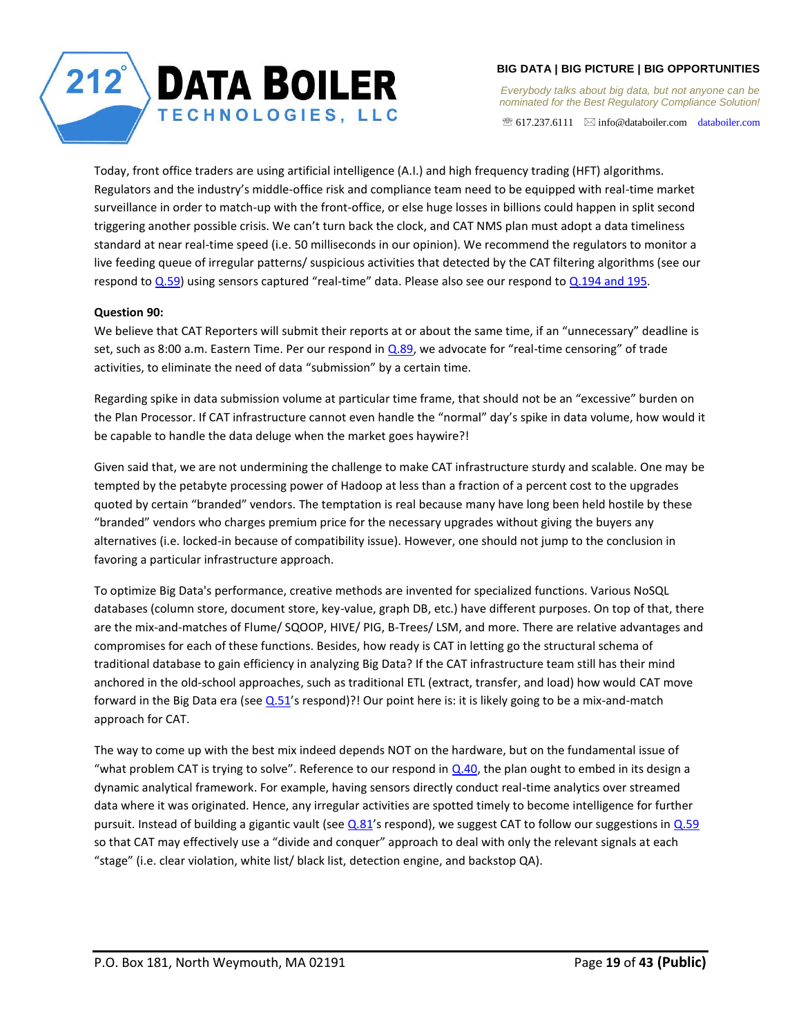*Everybody talks about big data, but not anyone can be nominated for the Best Regulatory Compliance Solution!* 

 $\mathcal{F}$  617.237.6111  $\boxtimes$  info@databoiler.com databoiler.com

Today, front office traders are using artificial intelligence (A.I.) and high frequency trading (HFT) algorithms. Regulators and the industry's middle-office risk and compliance team need to be equipped with real-time market surveillance in order to match-up with the front-office, or else huge losses in billions could happen in split second triggering another possible crisis. We can't turn back the clock, and CAT NMS plan must adopt a data timeliness standard at near real-time speed (i.e. 50 milliseconds in our opinion). We recommend the regulators to monitor a live feeding queue of irregular patterns/ suspicious activities that detected by the CAT filtering algorithms (see our respond t[o Q.59](#page-9-3)) using sensors captured "real-time" data. Please also see our respond to [Q.194 and 195.](#page-25-1)

**DATA BOILER** 

TECHNOLOGIES, LLC

## <span id="page-18-0"></span>**Question 90:**

We believe that CAT Reporters will submit their reports at or about the same time, if an "unnecessary" deadline is set, such as 8:00 a.m. Eastern Time. Per our respond i[n Q.89](#page-17-6), we advocate for "real-time censoring" of trade activities, to eliminate the need of data "submission" by a certain time.

Regarding spike in data submission volume at particular time frame, that should not be an "excessive" burden on the Plan Processor. If CAT infrastructure cannot even handle the "normal" day's spike in data volume, how would it be capable to handle the data deluge when the market goes haywire?!

Given said that, we are not undermining the challenge to make CAT infrastructure sturdy and scalable. One may be tempted by the petabyte processing power of Hadoop at less than a fraction of a percent cost to the upgrades quoted by certain "branded" vendors. The temptation is real because many have long been held hostile by these "branded" vendors who charges premium price for the necessary upgrades without giving the buyers any alternatives (i.e. locked-in because of compatibility issue). However, one should not jump to the conclusion in favoring a particular infrastructure approach.

To optimize Big Data's performance, creative methods are invented for specialized functions. Various NoSQL databases (column store, document store, key-value, graph DB, etc.) have different purposes. On top of that, there are the mix-and-matches of Flume/ SQOOP, HIVE/ PIG, B-Trees/ LSM, and more. There are relative advantages and compromises for each of these functions. Besides, how ready is CAT in letting go the structural schema of traditional database to gain efficiency in analyzing Big Data? If the CAT infrastructure team still has their mind anchored in the old-school approaches, such as traditional ETL (extract, transfer, and load) how would CAT move forward in the Big Data era (see  $Q.51$ 's respond)?! Our point here is: it is likely going to be a mix-and-match approach for CAT.

The way to come up with the best mix indeed depends NOT on the hardware, but on the fundamental issue of "what problem CAT is trying to solve". Reference to our respond in  $Q.40$ , the plan ought to embed in its design a dynamic analytical framework. For example, having sensors directly conduct real-time analytics over streamed data where it was originated. Hence, any irregular activities are spotted timely to become intelligence for further pursuit. Instead of building a gigantic vault (see  $Q.81'$ s respond), we suggest CAT to follow our suggestions in  $Q.59$ so that CAT may effectively use a "divide and conquer" approach to deal with only the relevant signals at each "stage" (i.e. clear violation, white list/ black list, detection engine, and backstop QA).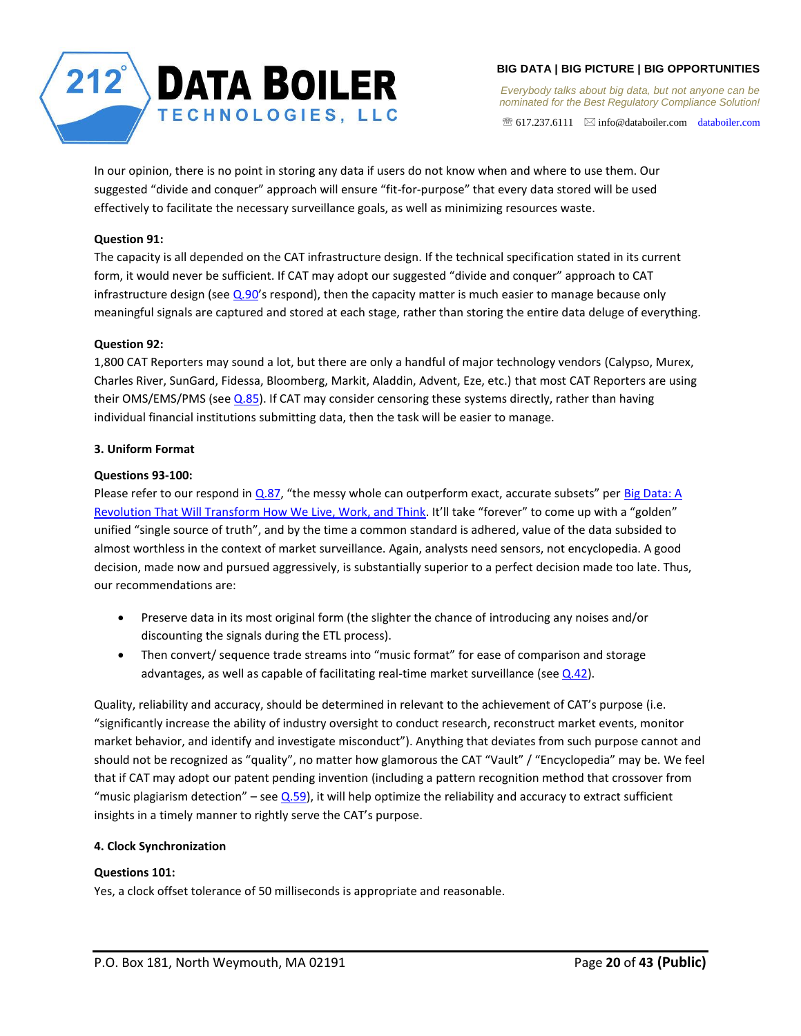

617.237.6111 info@databoiler.com databoiler.com

In our opinion, there is no point in storing any data if users do not know when and where to use them. Our suggested "divide and conquer" approach will ensure "fit-for-purpose" that every data stored will be used effectively to facilitate the necessary surveillance goals, as well as minimizing resources waste.

# <span id="page-19-0"></span>**Question 91:**

The capacity is all depended on the CAT infrastructure design. If the technical specification stated in its current form, it would never be sufficient. If CAT may adopt our suggested "divide and conquer" approach to CAT infrastructure design (see  $Q.90'$ s respond), then the capacity matter is much easier to manage because only meaningful signals are captured and stored at each stage, rather than storing the entire data deluge of everything.

# <span id="page-19-1"></span>**Question 92:**

1,800 CAT Reporters may sound a lot, but there are only a handful of major technology vendors (Calypso, Murex, Charles River, SunGard, Fidessa, Bloomberg, Markit, Aladdin, Advent, Eze, etc.) that most CAT Reporters are using their OMS/EMS/PMS (see [Q.85\)](#page-17-2). If CAT may consider censoring these systems directly, rather than having individual financial institutions submitting data, then the task will be easier to manage.

# <span id="page-19-2"></span>**3. Uniform Format**

# <span id="page-19-3"></span>**Questions 93-100:**

Please refer to our respond in [Q.87](#page-17-3), "the messy whole can outperform exact, accurate subsets" per Big Data: A Revolution That Will Transform How We Live, Work, and Think. It'll take "forever" to come up with a "golden" unified "single source of truth", and by the time a common standard is adhered, value of the data subsided to almost worthless in the context of market surveillance. Again, analysts need sensors, not encyclopedia. A good decision, made now and pursued aggressively, is substantially superior to a perfect decision made too late. Thus, our recommendations are:

- Preserve data in its most original form (the slighter the chance of introducing any noises and/or discounting the signals during the ETL process).
- Then convert/ sequence trade streams into "music format" for ease of comparison and storage advantages, as well as capable of facilitating real-time market surveillance (see  $Q.42$ ).

Quality, reliability and accuracy, should be determined in relevant to the achievement of CAT's purpose (i.e. "significantly increase the ability of industry oversight to conduct research, reconstruct market events, monitor market behavior, and identify and investigate misconduct"). Anything that deviates from such purpose cannot and should not be recognized as "quality", no matter how glamorous the CAT "Vault" / "Encyclopedia" may be. We feel that if CAT may adopt our patent pending invention (including a pattern recognition method that crossover from "music plagiarism detection" – see  $Q.59$ ), it will help optimize the reliability and accuracy to extract sufficient insights in a timely manner to rightly serve the CAT's purpose.

## <span id="page-19-4"></span>**4. Clock Synchronization**

# <span id="page-19-5"></span>**Questions 101:**

Yes, a clock offset tolerance of 50 milliseconds is appropriate and reasonable.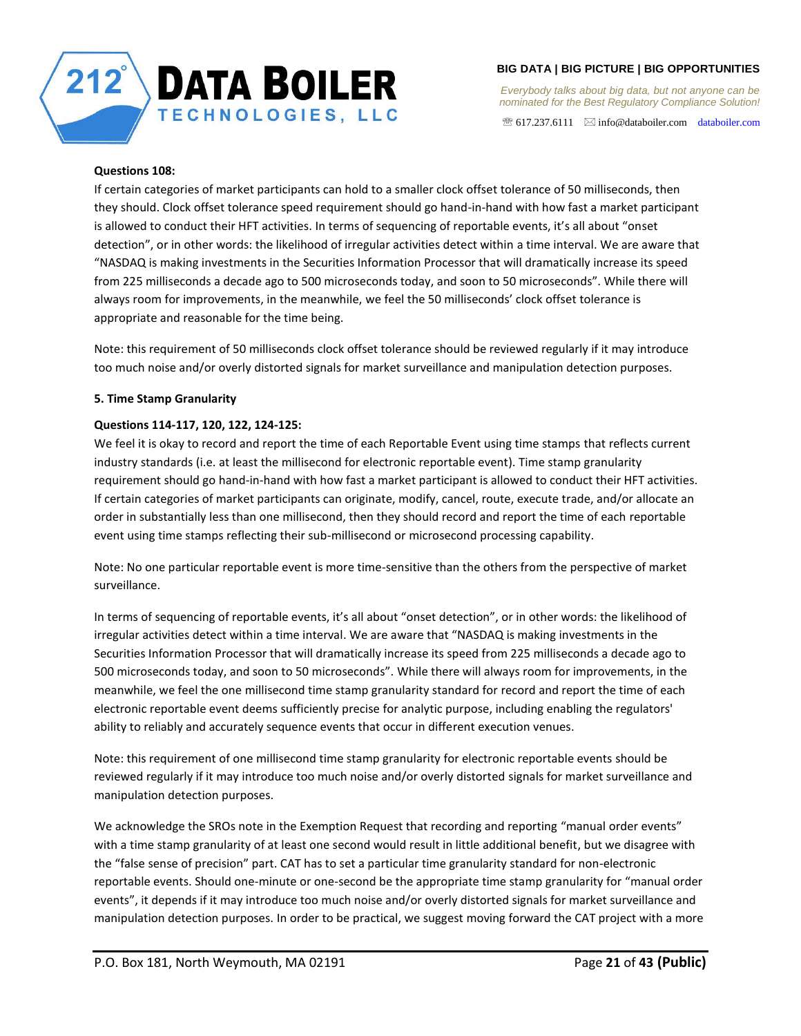

*Everybody talks about big data, but not anyone can be nominated for the Best Regulatory Compliance Solution!* 

 $\mathcal{F}$  617.237.6111  $\boxtimes$  info@databoiler.com databoiler.com

## <span id="page-20-0"></span>**Questions 108:**

If certain categories of market participants can hold to a smaller clock offset tolerance of 50 milliseconds, then they should. Clock offset tolerance speed requirement should go hand-in-hand with how fast a market participant is allowed to conduct their HFT activities. In terms of sequencing of reportable events, it's all about "onset detection", or in other words: the likelihood of irregular activities detect within a time interval. We are aware that "NASDAQ is making investments in the Securities Information Processor that will dramatically increase its speed from 225 milliseconds a decade ago to 500 microseconds today, and soon to 50 microseconds". While there will always room for improvements, in the meanwhile, we feel the 50 milliseconds' clock offset tolerance is appropriate and reasonable for the time being.

Note: this requirement of 50 milliseconds clock offset tolerance should be reviewed regularly if it may introduce too much noise and/or overly distorted signals for market surveillance and manipulation detection purposes.

## <span id="page-20-1"></span>**5. Time Stamp Granularity**

# <span id="page-20-2"></span>**Questions 114-117, 120, 122, 124-125:**

We feel it is okay to record and report the time of each Reportable Event using time stamps that reflects current industry standards (i.e. at least the millisecond for electronic reportable event). Time stamp granularity requirement should go hand-in-hand with how fast a market participant is allowed to conduct their HFT activities. If certain categories of market participants can originate, modify, cancel, route, execute trade, and/or allocate an order in substantially less than one millisecond, then they should record and report the time of each reportable event using time stamps reflecting their sub-millisecond or microsecond processing capability.

Note: No one particular reportable event is more time-sensitive than the others from the perspective of market surveillance.

In terms of sequencing of reportable events, it's all about "onset detection", or in other words: the likelihood of irregular activities detect within a time interval. We are aware that "NASDAQ is making investments in the Securities Information Processor that will dramatically increase its speed from 225 milliseconds a decade ago to 500 microseconds today, and soon to 50 microseconds". While there will always room for improvements, in the meanwhile, we feel the one millisecond time stamp granularity standard for record and report the time of each electronic reportable event deems sufficiently precise for analytic purpose, including enabling the regulators' ability to reliably and accurately sequence events that occur in different execution venues.

Note: this requirement of one millisecond time stamp granularity for electronic reportable events should be reviewed regularly if it may introduce too much noise and/or overly distorted signals for market surveillance and manipulation detection purposes.

We acknowledge the SROs note in the Exemption Request that recording and reporting "manual order events" with a time stamp granularity of at least one second would result in little additional benefit, but we disagree with the "false sense of precision" part. CAT has to set a particular time granularity standard for non-electronic reportable events. Should one-minute or one-second be the appropriate time stamp granularity for "manual order events", it depends if it may introduce too much noise and/or overly distorted signals for market surveillance and manipulation detection purposes. In order to be practical, we suggest moving forward the CAT project with a more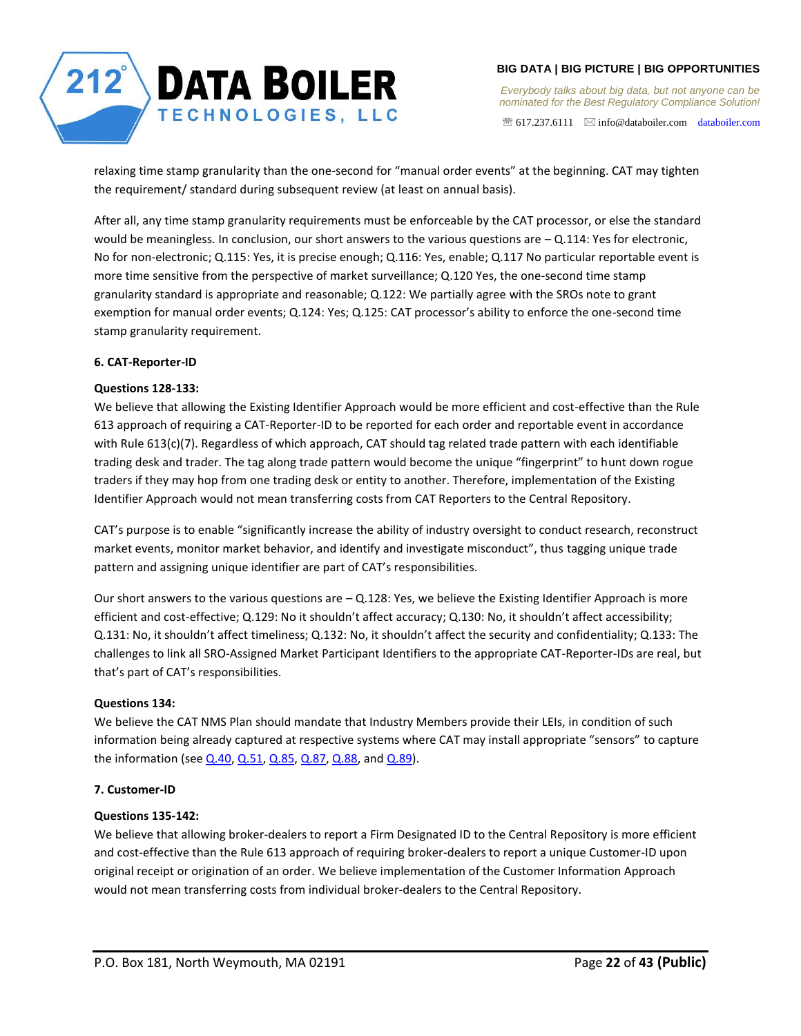

*Everybody talks about big data, but not anyone can be nominated for the Best Regulatory Compliance Solution!* 

 $\mathcal{F}$  617.237.6111  $\boxtimes$  info@databoiler.com databoiler.com

relaxing time stamp granularity than the one-second for "manual order events" at the beginning. CAT may tighten the requirement/ standard during subsequent review (at least on annual basis).

After all, any time stamp granularity requirements must be enforceable by the CAT processor, or else the standard would be meaningless. In conclusion, our short answers to the various questions are  $-$  Q.114: Yes for electronic, No for non-electronic; Q.115: Yes, it is precise enough; Q.116: Yes, enable; Q.117 No particular reportable event is more time sensitive from the perspective of market surveillance; Q.120 Yes, the one-second time stamp granularity standard is appropriate and reasonable; Q.122: We partially agree with the SROs note to grant exemption for manual order events; Q.124: Yes; Q.125: CAT processor's ability to enforce the one-second time stamp granularity requirement.

# <span id="page-21-0"></span>**6. CAT-Reporter-ID**

# <span id="page-21-1"></span>**Questions 128-133:**

We believe that allowing the Existing Identifier Approach would be more efficient and cost-effective than the Rule 613 approach of requiring a CAT-Reporter-ID to be reported for each order and reportable event in accordance with Rule 613(c)(7). Regardless of which approach, CAT should tag related trade pattern with each identifiable trading desk and trader. The tag along trade pattern would become the unique "fingerprint" to hunt down rogue traders if they may hop from one trading desk or entity to another. Therefore, implementation of the Existing Identifier Approach would not mean transferring costs from CAT Reporters to the Central Repository.

CAT's purpose is to enable "significantly increase the ability of industry oversight to conduct research, reconstruct market events, monitor market behavior, and identify and investigate misconduct", thus tagging unique trade pattern and assigning unique identifier are part of CAT's responsibilities.

Our short answers to the various questions are  $-$  Q.128: Yes, we believe the Existing Identifier Approach is more efficient and cost-effective; Q.129: No it shouldn't affect accuracy; Q.130: No, it shouldn't affect accessibility; Q.131: No, it shouldn't affect timeliness; Q.132: No, it shouldn't affect the security and confidentiality; Q.133: The challenges to link all SRO-Assigned Market Participant Identifiers to the appropriate CAT-Reporter-IDs are real, but that's part of CAT's responsibilities.

## <span id="page-21-2"></span>**Questions 134:**

We believe the CAT NMS Plan should mandate that Industry Members provide their LEIs, in condition of such information being already captured at respective systems where CAT may install appropriate "sensors" to capture the information (see  $Q.40$ ,  $Q.51$ ,  $Q.85$ ,  $Q.87$ ,  $Q.88$ , and  $Q.89$ ).

## <span id="page-21-3"></span>**7. Customer-ID**

# <span id="page-21-4"></span>**Questions 135-142:**

We believe that allowing broker-dealers to report a Firm Designated ID to the Central Repository is more efficient and cost-effective than the Rule 613 approach of requiring broker-dealers to report a unique Customer-ID upon original receipt or origination of an order. We believe implementation of the Customer Information Approach would not mean transferring costs from individual broker-dealers to the Central Repository.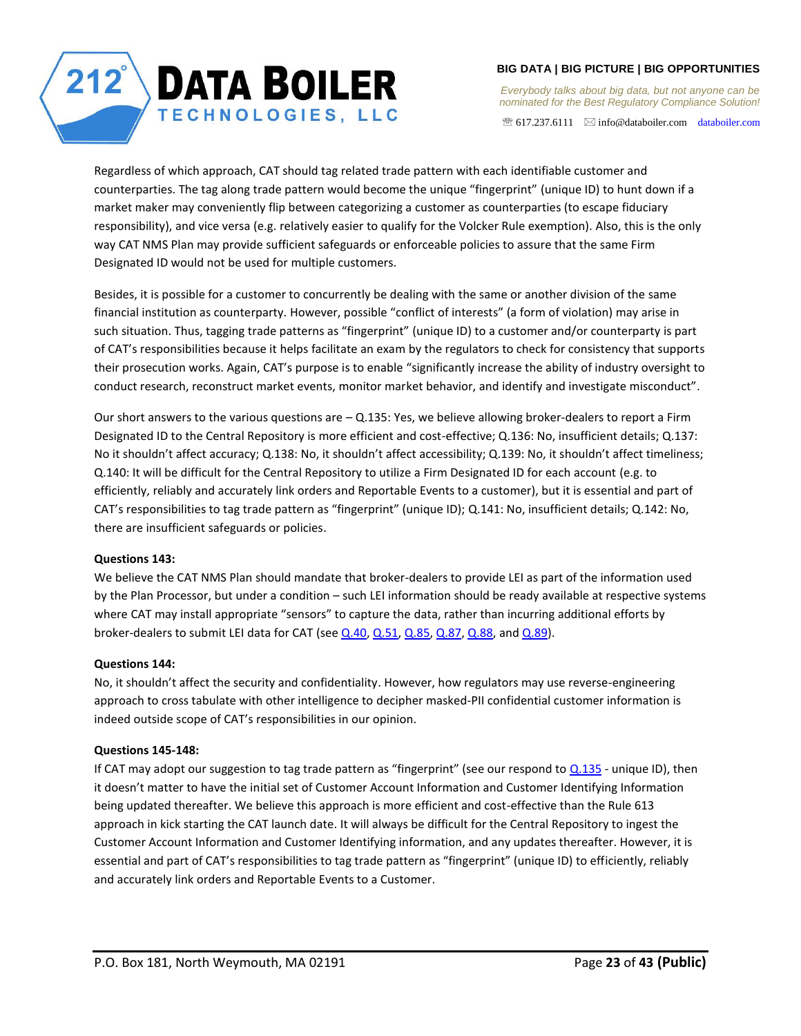# **DATA BOILER** TECHNOLOGIES, LLC

# **BIG DATA | BIG PICTURE | BIG OPPORTUNITIES**

*Everybody talks about big data, but not anyone can be nominated for the Best Regulatory Compliance Solution!* 

 $\mathcal{F}$  617.237.6111  $\boxtimes$  info@databoiler.com databoiler.com

Regardless of which approach, CAT should tag related trade pattern with each identifiable customer and counterparties. The tag along trade pattern would become the unique "fingerprint" (unique ID) to hunt down if a market maker may conveniently flip between categorizing a customer as counterparties (to escape fiduciary responsibility), and vice versa (e.g. relatively easier to qualify for the Volcker Rule exemption). Also, this is the only way CAT NMS Plan may provide sufficient safeguards or enforceable policies to assure that the same Firm Designated ID would not be used for multiple customers.

Besides, it is possible for a customer to concurrently be dealing with the same or another division of the same financial institution as counterparty. However, possible "conflict of interests" (a form of violation) may arise in such situation. Thus, tagging trade patterns as "fingerprint" (unique ID) to a customer and/or counterparty is part of CAT's responsibilities because it helps facilitate an exam by the regulators to check for consistency that supports their prosecution works. Again, CAT's purpose is to enable "significantly increase the ability of industry oversight to conduct research, reconstruct market events, monitor market behavior, and identify and investigate misconduct".

Our short answers to the various questions are – Q.135: Yes, we believe allowing broker-dealers to report a Firm Designated ID to the Central Repository is more efficient and cost-effective; Q.136: No, insufficient details; Q.137: No it shouldn't affect accuracy; Q.138: No, it shouldn't affect accessibility; Q.139: No, it shouldn't affect timeliness; Q.140: It will be difficult for the Central Repository to utilize a Firm Designated ID for each account (e.g. to efficiently, reliably and accurately link orders and Reportable Events to a customer), but it is essential and part of CAT's responsibilities to tag trade pattern as "fingerprint" (unique ID); Q.141: No, insufficient details; Q.142: No, there are insufficient safeguards or policies.

# <span id="page-22-0"></span>**Questions 143:**

We believe the CAT NMS Plan should mandate that broker-dealers to provide LEI as part of the information used by the Plan Processor, but under a condition – such LEI information should be ready available at respective systems where CAT may install appropriate "sensors" to capture the data, rather than incurring additional efforts by broker-dealers to submit LEI data for CAT (see  $Q.40$ ,  $Q.51$ ,  $Q.85$ ,  $Q.87$ ,  $Q.88$ , and  $Q.89$ ).

# <span id="page-22-1"></span>**Questions 144:**

No, it shouldn't affect the security and confidentiality. However, how regulators may use reverse-engineering approach to cross tabulate with other intelligence to decipher masked-PII confidential customer information is indeed outside scope of CAT's responsibilities in our opinion.

## <span id="page-22-2"></span>**Questions 145-148:**

If CAT may adopt our suggestion to tag trade pattern as "fingerprint" (see our respond to  $Q.135$  - unique ID), then it doesn't matter to have the initial set of Customer Account Information and Customer Identifying Information being updated thereafter. We believe this approach is more efficient and cost-effective than the Rule 613 approach in kick starting the CAT launch date. It will always be difficult for the Central Repository to ingest the Customer Account Information and Customer Identifying information, and any updates thereafter. However, it is essential and part of CAT's responsibilities to tag trade pattern as "fingerprint" (unique ID) to efficiently, reliably and accurately link orders and Reportable Events to a Customer.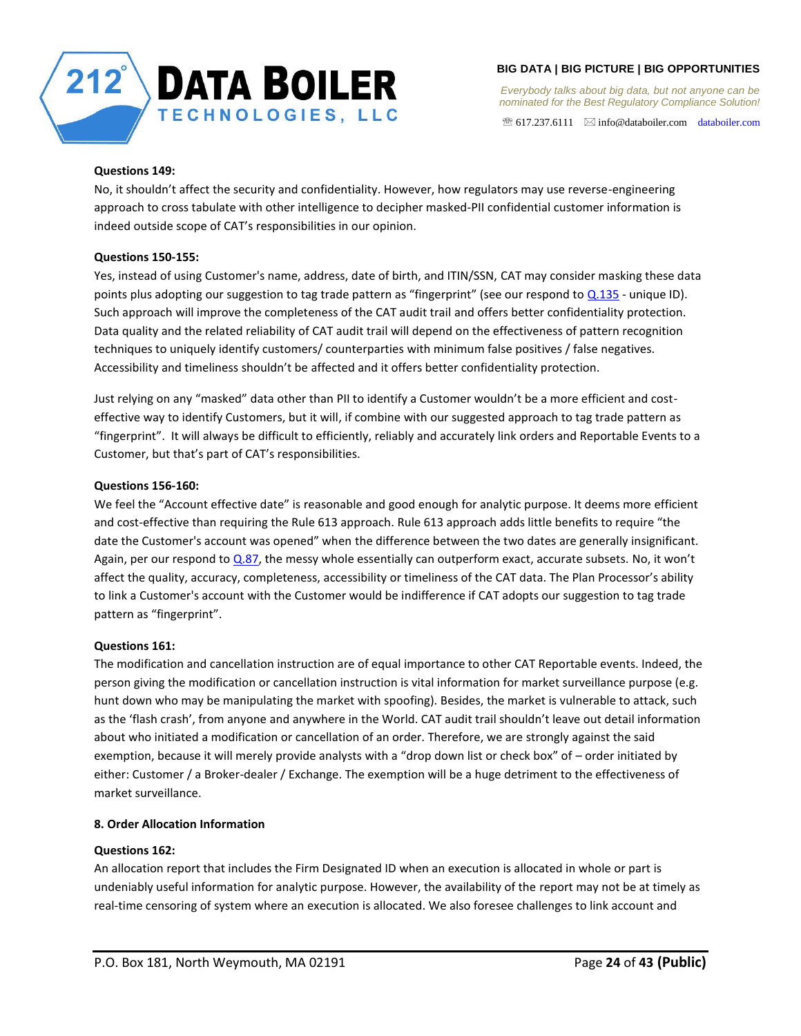

*Everybody talks about big data, but not anyone can be nominated for the Best Regulatory Compliance Solution!* 

 $\mathcal{F}$  617.237.6111  $\boxtimes$  info@databoiler.com databoiler.com

## <span id="page-23-0"></span>**Questions 149:**

No, it shouldn't affect the security and confidentiality. However, how regulators may use reverse-engineering approach to cross tabulate with other intelligence to decipher masked-PII confidential customer information is indeed outside scope of CAT's responsibilities in our opinion.

# <span id="page-23-1"></span>**Questions 150-155:**

Yes, instead of using Customer's name, address, date of birth, and ITIN/SSN, CAT may consider masking these data points plus adopting our suggestion to tag trade pattern as "fingerprint" (see our respond to  $Q.135$  - unique ID). Such approach will improve the completeness of the CAT audit trail and offers better confidentiality protection. Data quality and the related reliability of CAT audit trail will depend on the effectiveness of pattern recognition techniques to uniquely identify customers/ counterparties with minimum false positives / false negatives. Accessibility and timeliness shouldn't be affected and it offers better confidentiality protection.

Just relying on any "masked" data other than PII to identify a Customer wouldn't be a more efficient and costeffective way to identify Customers, but it will, if combine with our suggested approach to tag trade pattern as "fingerprint". It will always be difficult to efficiently, reliably and accurately link orders and Reportable Events to a Customer, but that's part of CAT's responsibilities.

# <span id="page-23-2"></span>**Questions 156-160:**

We feel the "Account effective date" is reasonable and good enough for analytic purpose. It deems more efficient and cost-effective than requiring the Rule 613 approach. Rule 613 approach adds little benefits to require "the date the Customer's account was opened" when the difference between the two dates are generally insignificant. Again, per our respond to  $Q.87$ , the messy whole essentially can outperform exact, accurate subsets. No, it won't affect the quality, accuracy, completeness, accessibility or timeliness of the CAT data. The Plan Processor's ability to link a Customer's account with the Customer would be indifference if CAT adopts our suggestion to tag trade pattern as "fingerprint".

# <span id="page-23-3"></span>**Questions 161:**

The modification and cancellation instruction are of equal importance to other CAT Reportable events. Indeed, the person giving the modification or cancellation instruction is vital information for market surveillance purpose (e.g. hunt down who may be manipulating the market with spoofing). Besides, the market is vulnerable to attack, such as the 'flash crash', from anyone and anywhere in the World. CAT audit trail shouldn't leave out detail information about who initiated a modification or cancellation of an order. Therefore, we are strongly against the said exemption, because it will merely provide analysts with a "drop down list or check box" of – order initiated by either: Customer / a Broker-dealer / Exchange. The exemption will be a huge detriment to the effectiveness of market surveillance.

## <span id="page-23-4"></span>**8. Order Allocation Information**

## <span id="page-23-5"></span>**Questions 162:**

An allocation report that includes the Firm Designated ID when an execution is allocated in whole or part is undeniably useful information for analytic purpose. However, the availability of the report may not be at timely as real-time censoring of system where an execution is allocated. We also foresee challenges to link account and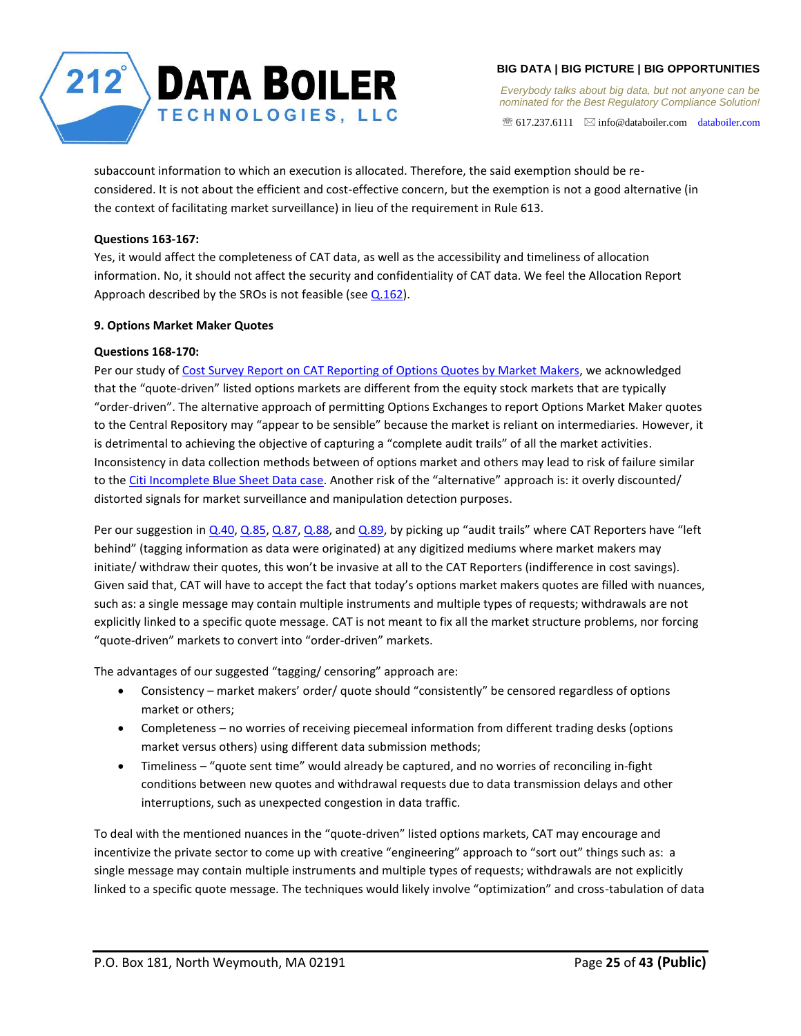

*Everybody talks about big data, but not anyone can be nominated for the Best Regulatory Compliance Solution!* 

 $\mathcal{F}$  617.237.6111  $\boxtimes$  info@databoiler.com databoiler.com

subaccount information to which an execution is allocated. Therefore, the said exemption should be reconsidered. It is not about the efficient and cost-effective concern, but the exemption is not a good alternative (in the context of facilitating market surveillance) in lieu of the requirement in Rule 613.

# <span id="page-24-0"></span>**Questions 163-167:**

Yes, it would affect the completeness of CAT data, as well as the accessibility and timeliness of allocation information. No, it should not affect the security and confidentiality of CAT data. We feel the Allocation Report Approach described by the SROs is not feasible (see  $Q.162$ ).

## <span id="page-24-1"></span>**9. Options Market Maker Quotes**

# <span id="page-24-2"></span>**Questions 168-170:**

Per our study of Cost Survey Report on CAT Reporting of Options Quotes by Market Makers, we acknowledged that the "quote-driven" listed options markets are different from the equity stock markets that are typically "order-driven". The alternative approach of permitting Options Exchanges to report Options Market Maker quotes to the Central Repository may "appear to be sensible" because the market is reliant on intermediaries. However, it is detrimental to achieving the objective of capturing a "complete audit trails" of all the market activities. Inconsistency in data collection methods between of options market and others may lead to risk of failure similar to the Citi Incomplete Blue Sheet Data case. Another risk of the "alternative" approach is: it overly discounted/ distorted signals for market surveillance and manipulation detection purposes.

Per our suggestion in [Q.40,](#page-7-2) [Q.85,](#page-17-2) [Q.87,](#page-17-3) [Q.88,](#page-17-4) and [Q.89](#page-17-6), by picking up "audit trails" where CAT Reporters have "left behind" (tagging information as data were originated) at any digitized mediums where market makers may initiate/ withdraw their quotes, this won't be invasive at all to the CAT Reporters (indifference in cost savings). Given said that, CAT will have to accept the fact that today's options market makers quotes are filled with nuances, such as: a single message may contain multiple instruments and multiple types of requests; withdrawals are not explicitly linked to a specific quote message. CAT is not meant to fix all the market structure problems, nor forcing "quote-driven" markets to convert into "order-driven" markets.

The advantages of our suggested "tagging/ censoring" approach are:

- Consistency market makers' order/ quote should "consistently" be censored regardless of options market or others;
- Completeness no worries of receiving piecemeal information from different trading desks (options market versus others) using different data submission methods;
- Timeliness "quote sent time" would already be captured, and no worries of reconciling in-fight conditions between new quotes and withdrawal requests due to data transmission delays and other interruptions, such as unexpected congestion in data traffic.

To deal with the mentioned nuances in the "quote-driven" listed options markets, CAT may encourage and incentivize the private sector to come up with creative "engineering" approach to "sort out" things such as: a single message may contain multiple instruments and multiple types of requests; withdrawals are not explicitly linked to a specific quote message. The techniques would likely involve "optimization" and cross-tabulation of data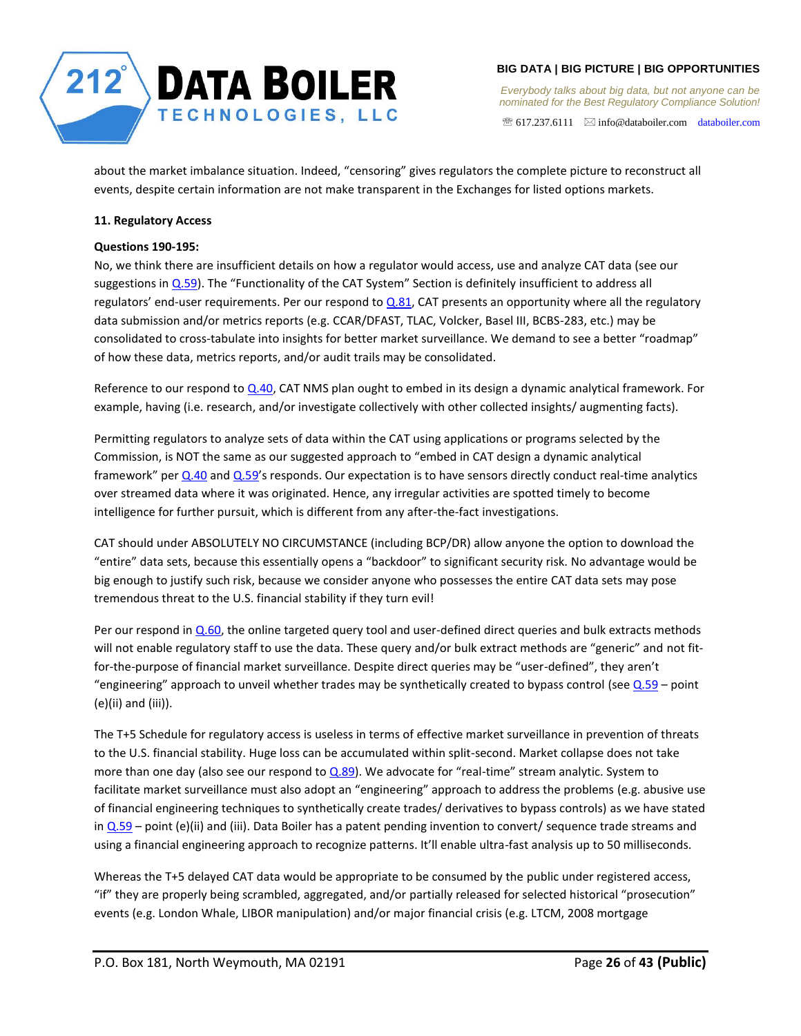

 $\mathcal{F}$  617.237.6111  $\boxtimes$  info@databoiler.com databoiler.com

about the market imbalance situation. Indeed, "censoring" gives regulators the complete picture to reconstruct all events, despite certain information are not make transparent in the Exchanges for listed options markets.

# <span id="page-25-0"></span>**11. Regulatory Access**

# <span id="page-25-1"></span>**Questions 190-195:**

No, we think there are insufficient details on how a regulator would access, use and analyze CAT data (see our suggestions in [Q.59](#page-9-3)). The "Functionality of the CAT System" Section is definitely insufficient to address all regulators' end-user requirements. Per our respond to  $Q.81$ , CAT presents an opportunity where all the regulatory data submission and/or metrics reports (e.g. CCAR/DFAST, TLAC, Volcker, Basel III, BCBS-283, etc.) may be consolidated to cross-tabulate into insights for better market surveillance. We demand to see a better "roadmap" of how these data, metrics reports, and/or audit trails may be consolidated.

Reference to our respond to  $Q.40$ , CAT NMS plan ought to embed in its design a dynamic analytical framework. For example, having (i.e. research, and/or investigate collectively with other collected insights/ augmenting facts).

Permitting regulators to analyze sets of data within the CAT using applications or programs selected by the Commission, is NOT the same as our suggested approach to "embed in CAT design a dynamic analytical framework" per  $Q.40$  and  $Q.59'$ s responds. Our expectation is to have sensors directly conduct real-time analytics over streamed data where it was originated. Hence, any irregular activities are spotted timely to become intelligence for further pursuit, which is different from any after-the-fact investigations.

CAT should under ABSOLUTELY NO CIRCUMSTANCE (including BCP/DR) allow anyone the option to download the "entire" data sets, because this essentially opens a "backdoor" to significant security risk. No advantage would be big enough to justify such risk, because we consider anyone who possesses the entire CAT data sets may pose tremendous threat to the U.S. financial stability if they turn evil!

Per our respond in  $Q.60$ , the online targeted query tool and user-defined direct queries and bulk extracts methods will not enable regulatory staff to use the data. These query and/or bulk extract methods are "generic" and not fitfor-the-purpose of financial market surveillance. Despite direct queries may be "user-defined", they aren't "engineering" approach to unveil whether trades may be synthetically created to bypass control (see  $Q.59 -$  point (e)(ii) and (iii)).

The T+5 Schedule for regulatory access is useless in terms of effective market surveillance in prevention of threats to the U.S. financial stability. Huge loss can be accumulated within split-second. Market collapse does not take more than one day (also see our respond to [Q.89\)](#page-17-6). We advocate for "real-time" stream analytic. System to facilitate market surveillance must also adopt an "engineering" approach to address the problems (e.g. abusive use of financial engineering techniques to synthetically create trades/ derivatives to bypass controls) as we have stated in  $Q.59$  – point (e)(ii) and (iii). Data Boiler has a patent pending invention to convert/ sequence trade streams and using a financial engineering approach to recognize patterns. It'll enable ultra-fast analysis up to 50 milliseconds.

Whereas the T+5 delayed CAT data would be appropriate to be consumed by the public under registered access, "if" they are properly being scrambled, aggregated, and/or partially released for selected historical "prosecution" events (e.g. London Whale, LIBOR manipulation) and/or major financial crisis (e.g. LTCM, 2008 mortgage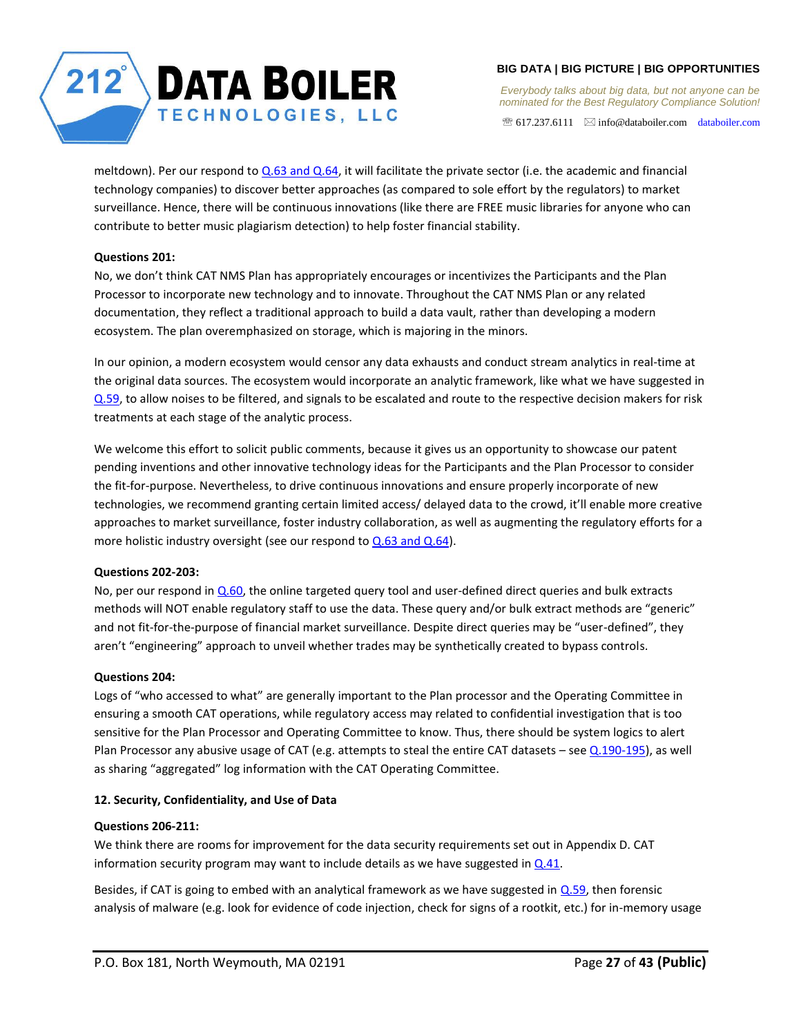

*Everybody talks about big data, but not anyone can be nominated for the Best Regulatory Compliance Solution!* 

 $\mathcal{F}$  617.237.6111  $\boxtimes$  info@databoiler.com databoiler.com

meltdown). Per our respond to [Q.63 and Q.64,](#page-13-1) it will facilitate the private sector (i.e. the academic and financial technology companies) to discover better approaches (as compared to sole effort by the regulators) to market surveillance. Hence, there will be continuous innovations (like there are FREE music libraries for anyone who can contribute to better music plagiarism detection) to help foster financial stability.

# <span id="page-26-0"></span>**Questions 201:**

No, we don't think CAT NMS Plan has appropriately encourages or incentivizes the Participants and the Plan Processor to incorporate new technology and to innovate. Throughout the CAT NMS Plan or any related documentation, they reflect a traditional approach to build a data vault, rather than developing a modern ecosystem. The plan overemphasized on storage, which is majoring in the minors.

In our opinion, a modern ecosystem would censor any data exhausts and conduct stream analytics in real-time at the original data sources. The ecosystem would incorporate an analytic framework, like what we have suggested in [Q.59,](#page-9-3) to allow noises to be filtered, and signals to be escalated and route to the respective decision makers for risk treatments at each stage of the analytic process.

We welcome this effort to solicit public comments, because it gives us an opportunity to showcase our patent pending inventions and other innovative technology ideas for the Participants and the Plan Processor to consider the fit-for-purpose. Nevertheless, to drive continuous innovations and ensure properly incorporate of new technologies, we recommend granting certain limited access/ delayed data to the crowd, it'll enable more creative approaches to market surveillance, foster industry collaboration, as well as augmenting the regulatory efforts for a more holistic industry oversight (see our respond to  $Q.63$  and  $Q.64$ ).

## <span id="page-26-1"></span>**Questions 202-203:**

No, per our respond in [Q.60,](#page-12-0) the online targeted query tool and user-defined direct queries and bulk extracts methods will NOT enable regulatory staff to use the data. These query and/or bulk extract methods are "generic" and not fit-for-the-purpose of financial market surveillance. Despite direct queries may be "user-defined", they aren't "engineering" approach to unveil whether trades may be synthetically created to bypass controls.

# <span id="page-26-2"></span>**Questions 204:**

Logs of "who accessed to what" are generally important to the Plan processor and the Operating Committee in ensuring a smooth CAT operations, while regulatory access may related to confidential investigation that is too sensitive for the Plan Processor and Operating Committee to know. Thus, there should be system logics to alert Plan Processor any abusive usage of CAT (e.g. attempts to steal the entire CAT datasets – see [Q.190-195\)](#page-25-1), as well as sharing "aggregated" log information with the CAT Operating Committee.

## <span id="page-26-3"></span>**12. Security, Confidentiality, and Use of Data**

## <span id="page-26-4"></span>**Questions 206-211:**

We think there are rooms for improvement for the data security requirements set out in Appendix D. CAT information security program may want to include details as we have suggested in  $Q.41$ .

Besides, if CAT is going to embed with an analytical framework as we have suggested in  $Q.59$ , then forensic analysis of malware (e.g. look for evidence of code injection, check for signs of a rootkit, etc.) for in-memory usage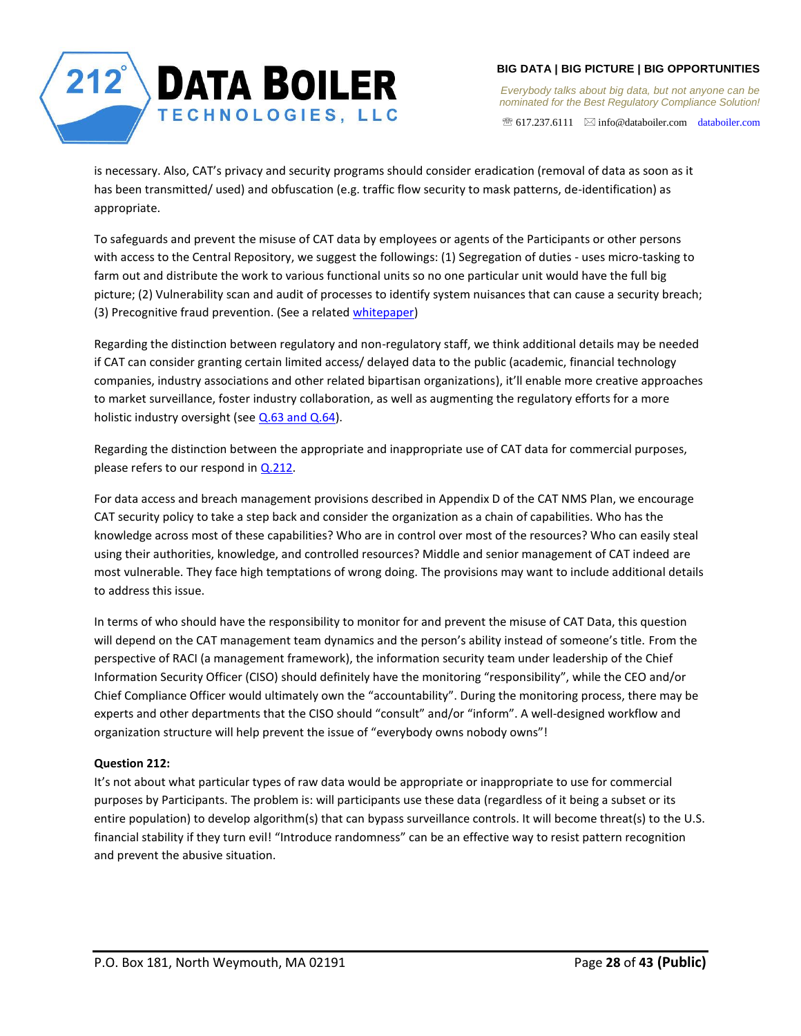

 $\mathcal{F}$  617.237.6111  $\boxtimes$  info@databoiler.com databoiler.com

is necessary. Also, CAT's privacy and security programs should consider eradication (removal of data as soon as it has been transmitted/ used) and obfuscation (e.g. traffic flow security to mask patterns, de-identification) as appropriate.

To safeguards and prevent the misuse of CAT data by employees or agents of the Participants or other persons with access to the Central Repository, we suggest the followings: (1) Segregation of duties - uses micro-tasking to farm out and distribute the work to various functional units so no one particular unit would have the full big picture; (2) Vulnerability scan and audit of processes to identify system nuisances that can cause a security breach; (3) Precognitive fraud prevention. (See a related whitepaper)

Regarding the distinction between regulatory and non-regulatory staff, we think additional details may be needed if CAT can consider granting certain limited access/ delayed data to the public (academic, financial technology companies, industry associations and other related bipartisan organizations), it'll enable more creative approaches to market surveillance, foster industry collaboration, as well as augmenting the regulatory efforts for a more holistic industry oversight (see [Q.63 and Q.64\)](#page-13-1).

Regarding the distinction between the appropriate and inappropriate use of CAT data for commercial purposes, please refers to our respond in [Q.212.](#page-27-0)

For data access and breach management provisions described in Appendix D of the CAT NMS Plan, we encourage CAT security policy to take a step back and consider the organization as a chain of capabilities. Who has the knowledge across most of these capabilities? Who are in control over most of the resources? Who can easily steal using their authorities, knowledge, and controlled resources? Middle and senior management of CAT indeed are most vulnerable. They face high temptations of wrong doing. The provisions may want to include additional details to address this issue.

In terms of who should have the responsibility to monitor for and prevent the misuse of CAT Data, this question will depend on the CAT management team dynamics and the person's ability instead of someone's title. From the perspective of RACI (a management framework), the information security team under leadership of the Chief Information Security Officer (CISO) should definitely have the monitoring "responsibility", while the CEO and/or Chief Compliance Officer would ultimately own the "accountability". During the monitoring process, there may be experts and other departments that the CISO should "consult" and/or "inform". A well-designed workflow and organization structure will help prevent the issue of "everybody owns nobody owns"!

# <span id="page-27-0"></span>**Question 212:**

It's not about what particular types of raw data would be appropriate or inappropriate to use for commercial purposes by Participants. The problem is: will participants use these data (regardless of it being a subset or its entire population) to develop algorithm(s) that can bypass surveillance controls. It will become threat(s) to the U.S. financial stability if they turn evil! "Introduce randomness" can be an effective way to resist pattern recognition and prevent the abusive situation.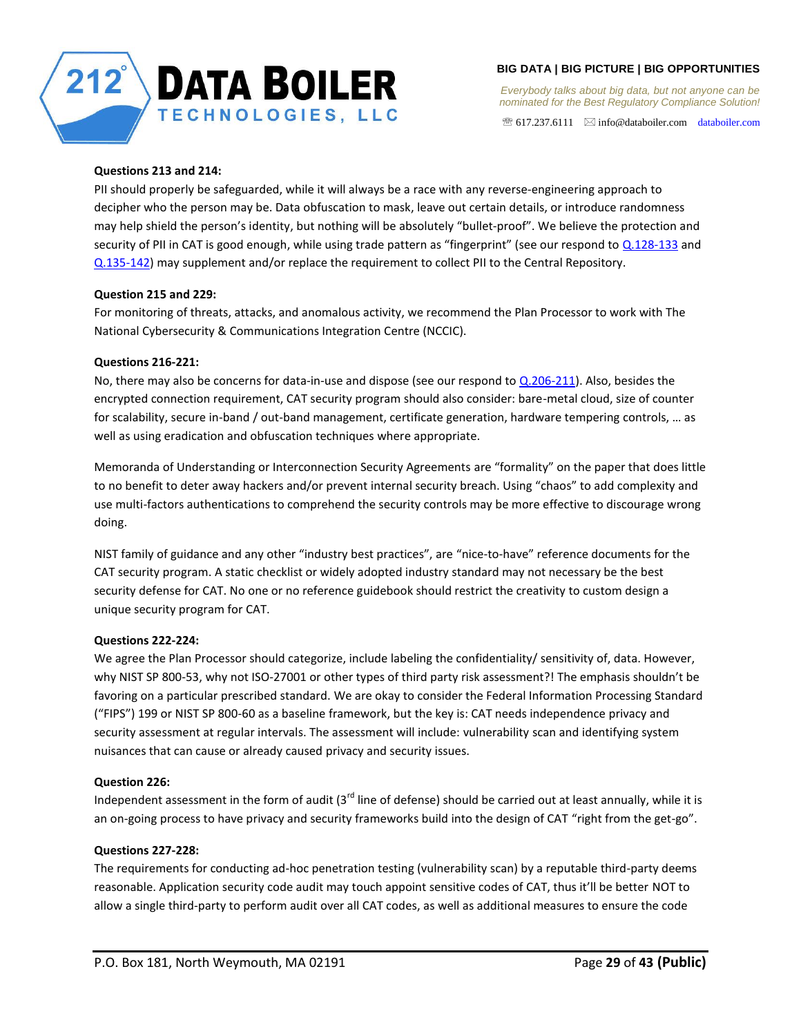

*Everybody talks about big data, but not anyone can be nominated for the Best Regulatory Compliance Solution!* 

 $\mathcal{F}$  617.237.6111  $\boxtimes$  info@databoiler.com databoiler.com

## <span id="page-28-0"></span>**Questions 213 and 214:**

PII should properly be safeguarded, while it will always be a race with any reverse-engineering approach to decipher who the person may be. Data obfuscation to mask, leave out certain details, or introduce randomness may help shield the person's identity, but nothing will be absolutely "bullet-proof". We believe the protection and security of PII in CAT is good enough, while using trade pattern as "fingerprint" (see our respond to [Q.128-133](#page-21-1) and [Q.135-142\)](#page-21-4) may supplement and/or replace the requirement to collect PII to the Central Repository.

## <span id="page-28-1"></span>**Question 215 and 229:**

For monitoring of threats, attacks, and anomalous activity, we recommend the Plan Processor to work with The National Cybersecurity & Communications Integration Centre (NCCIC).

# <span id="page-28-2"></span>**Questions 216-221:**

No, there may also be concerns for data-in-use and dispose (see our respond to  $Q.206-211$ ). Also, besides the encrypted connection requirement, CAT security program should also consider: bare-metal cloud, size of counter for scalability, secure in-band / out-band management, certificate generation, hardware tempering controls, … as well as using eradication and obfuscation techniques where appropriate.

Memoranda of Understanding or Interconnection Security Agreements are "formality" on the paper that does little to no benefit to deter away hackers and/or prevent internal security breach. Using "chaos" to add complexity and use multi-factors authentications to comprehend the security controls may be more effective to discourage wrong doing.

NIST family of guidance and any other "industry best practices", are "nice-to-have" reference documents for the CAT security program. A static checklist or widely adopted industry standard may not necessary be the best security defense for CAT. No one or no reference guidebook should restrict the creativity to custom design a unique security program for CAT.

## <span id="page-28-3"></span>**Questions 222-224:**

We agree the Plan Processor should categorize, include labeling the confidentiality/ sensitivity of, data. However, why NIST SP 800-53, why not ISO-27001 or other types of third party risk assessment?! The emphasis shouldn't be favoring on a particular prescribed standard. We are okay to consider the Federal Information Processing Standard ("FIPS") 199 or NIST SP 800-60 as a baseline framework, but the key is: CAT needs independence privacy and security assessment at regular intervals. The assessment will include: vulnerability scan and identifying system nuisances that can cause or already caused privacy and security issues.

## <span id="page-28-4"></span>**Question 226:**

Independent assessment in the form of audit  $3^{rd}$  line of defense) should be carried out at least annually, while it is an on-going process to have privacy and security frameworks build into the design of CAT "right from the get-go".

## <span id="page-28-5"></span>**Questions 227-228:**

The requirements for conducting ad-hoc penetration testing (vulnerability scan) by a reputable third-party deems reasonable. Application security code audit may touch appoint sensitive codes of CAT, thus it'll be better NOT to allow a single third-party to perform audit over all CAT codes, as well as additional measures to ensure the code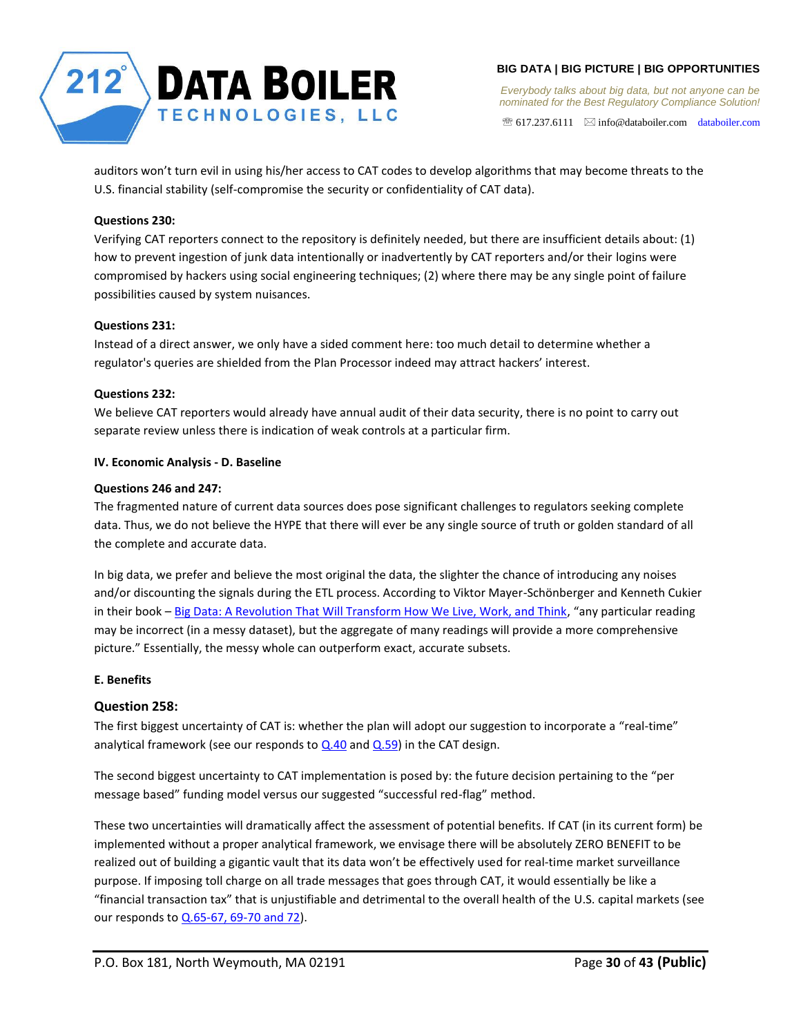

*Everybody talks about big data, but not anyone can be nominated for the Best Regulatory Compliance Solution!* 

 $\mathcal{F}$  617.237.6111  $\boxtimes$  info@databoiler.com databoiler.com

auditors won't turn evil in using his/her access to CAT codes to develop algorithms that may become threats to the U.S. financial stability (self-compromise the security or confidentiality of CAT data).

# <span id="page-29-0"></span>**Questions 230:**

Verifying CAT reporters connect to the repository is definitely needed, but there are insufficient details about: (1) how to prevent ingestion of junk data intentionally or inadvertently by CAT reporters and/or their logins were compromised by hackers using social engineering techniques; (2) where there may be any single point of failure possibilities caused by system nuisances.

# <span id="page-29-1"></span>**Questions 231:**

Instead of a direct answer, we only have a sided comment here: too much detail to determine whether a regulator's queries are shielded from the Plan Processor indeed may attract hackers' interest.

# <span id="page-29-2"></span>**Questions 232:**

We believe CAT reporters would already have annual audit of their data security, there is no point to carry out separate review unless there is indication of weak controls at a particular firm.

# <span id="page-29-3"></span>**IV. Economic Analysis - D. Baseline**

# <span id="page-29-4"></span>**Questions 246 and 247:**

The fragmented nature of current data sources does pose significant challenges to regulators seeking complete data. Thus, we do not believe the HYPE that there will ever be any single source of truth or golden standard of all the complete and accurate data.

In big data, we prefer and believe the most original the data, the slighter the chance of introducing any noises and/or discounting the signals during the ETL process. According to Viktor Mayer-Schönberger and Kenneth Cukier in their book - Big Data: A Revolution That Will Transform How We Live, Work, and Think, "any particular reading may be incorrect (in a messy dataset), but the aggregate of many readings will provide a more comprehensive picture." Essentially, the messy whole can outperform exact, accurate subsets.

# <span id="page-29-5"></span>**E. Benefits**

# <span id="page-29-6"></span>**Question 258:**

The first biggest uncertainty of CAT is: whether the plan will adopt our suggestion to incorporate a "real-time" analytical framework (see our responds to  $Q.40$  and  $Q.59$ ) in the CAT design.

The second biggest uncertainty to CAT implementation is posed by: the future decision pertaining to the "per message based" funding model versus our suggested "successful red-flag" method.

These two uncertainties will dramatically affect the assessment of potential benefits. If CAT (in its current form) be implemented without a proper analytical framework, we envisage there will be absolutely ZERO BENEFIT to be realized out of building a gigantic vault that its data won't be effectively used for real-time market surveillance purpose. If imposing toll charge on all trade messages that goes through CAT, it would essentially be like a "financial transaction tax" that is unjustifiable and detrimental to the overall health of the U.S. capital markets (see our responds t[o Q.65-67, 69-70 and 72\)](#page-13-3).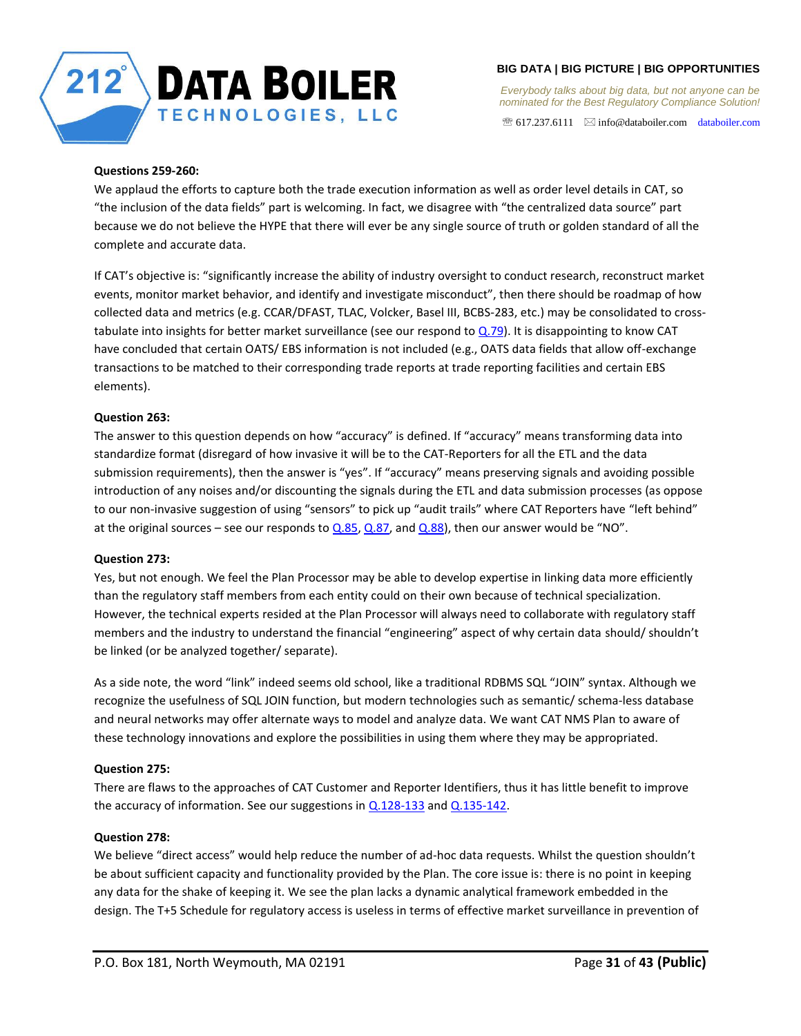

*Everybody talks about big data, but not anyone can be nominated for the Best Regulatory Compliance Solution!* 

 $\mathcal{F}$  617.237.6111  $\boxtimes$  info@databoiler.com databoiler.com

# <span id="page-30-0"></span>**Questions 259-260:**

We applaud the efforts to capture both the trade execution information as well as order level details in CAT, so "the inclusion of the data fields" part is welcoming. In fact, we disagree with "the centralized data source" part because we do not believe the HYPE that there will ever be any single source of truth or golden standard of all the complete and accurate data.

If CAT's objective is: "significantly increase the ability of industry oversight to conduct research, reconstruct market events, monitor market behavior, and identify and investigate misconduct", then there should be roadmap of how collected data and metrics (e.g. CCAR/DFAST, TLAC, Volcker, Basel III, BCBS-283, etc.) may be consolidated to crosstabulate into insights for better market surveillance (see our respond t[o Q.79\)](#page-15-1). It is disappointing to know CAT have concluded that certain OATS/ EBS information is not included (e.g., OATS data fields that allow off-exchange transactions to be matched to their corresponding trade reports at trade reporting facilities and certain EBS elements).

# <span id="page-30-1"></span>**Question 263:**

The answer to this question depends on how "accuracy" is defined. If "accuracy" means transforming data into standardize format (disregard of how invasive it will be to the CAT-Reporters for all the ETL and the data submission requirements), then the answer is "yes". If "accuracy" means preserving signals and avoiding possible introduction of any noises and/or discounting the signals during the ETL and data submission processes (as oppose to our non-invasive suggestion of using "sensors" to pick up "audit trails" where CAT Reporters have "left behind" at the original sources – see our responds to  $Q.85$ ,  $Q.87$ , and  $Q.88$ ), then our answer would be "NO".

## <span id="page-30-2"></span>**Question 273:**

Yes, but not enough. We feel the Plan Processor may be able to develop expertise in linking data more efficiently than the regulatory staff members from each entity could on their own because of technical specialization. However, the technical experts resided at the Plan Processor will always need to collaborate with regulatory staff members and the industry to understand the financial "engineering" aspect of why certain data should/ shouldn't be linked (or be analyzed together/ separate).

As a side note, the word "link" indeed seems old school, like a traditional RDBMS SQL "JOIN" syntax. Although we recognize the usefulness of SQL JOIN function, but modern technologies such as semantic/ schema-less database and neural networks may offer alternate ways to model and analyze data. We want CAT NMS Plan to aware of these technology innovations and explore the possibilities in using them where they may be appropriated.

## <span id="page-30-3"></span>**Question 275:**

There are flaws to the approaches of CAT Customer and Reporter Identifiers, thus it has little benefit to improve the accuracy of information. See our suggestions in  $Q.128-133$  and  $Q.135-142$ .

## <span id="page-30-4"></span>**Question 278:**

We believe "direct access" would help reduce the number of ad-hoc data requests. Whilst the question shouldn't be about sufficient capacity and functionality provided by the Plan. The core issue is: there is no point in keeping any data for the shake of keeping it. We see the plan lacks a dynamic analytical framework embedded in the design. The T+5 Schedule for regulatory access is useless in terms of effective market surveillance in prevention of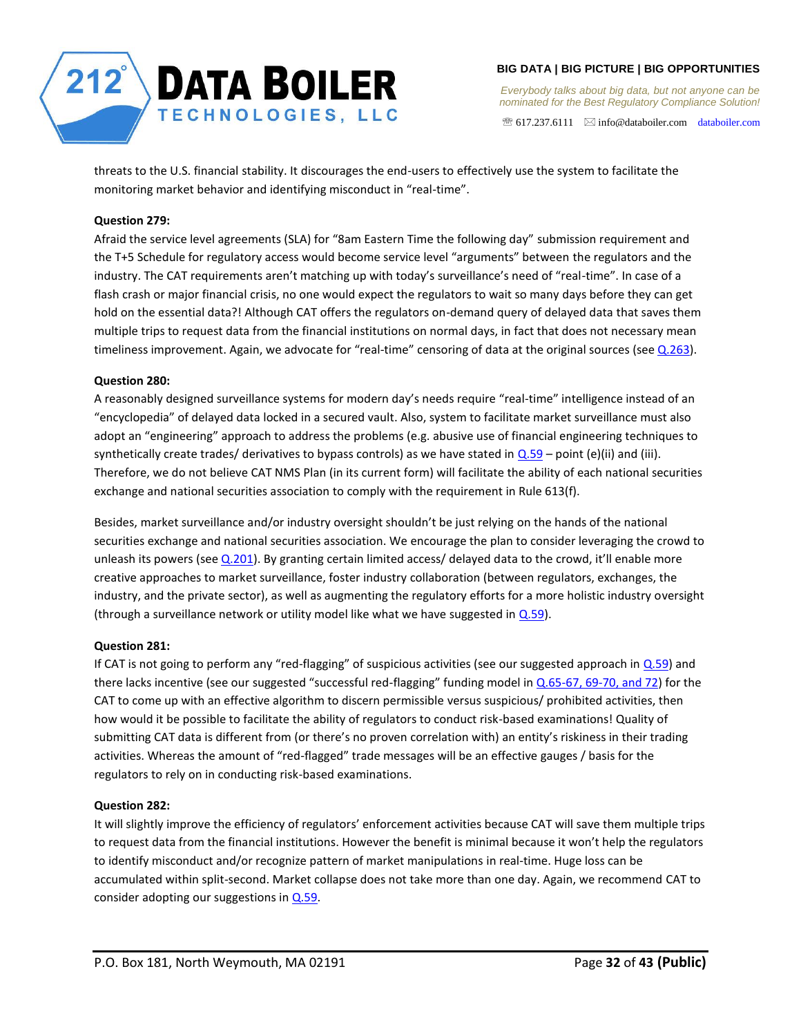

 $\mathcal{F}$  617.237.6111  $\boxtimes$  info@databoiler.com databoiler.com

threats to the U.S. financial stability. It discourages the end-users to effectively use the system to facilitate the monitoring market behavior and identifying misconduct in "real-time".

# <span id="page-31-0"></span>**Question 279:**

Afraid the service level agreements (SLA) for "8am Eastern Time the following day" submission requirement and the T+5 Schedule for regulatory access would become service level "arguments" between the regulators and the industry. The CAT requirements aren't matching up with today's surveillance's need of "real-time". In case of a flash crash or major financial crisis, no one would expect the regulators to wait so many days before they can get hold on the essential data?! Although CAT offers the regulators on-demand query of delayed data that saves them multiple trips to request data from the financial institutions on normal days, in fact that does not necessary mean timeliness improvement. Again, we advocate for "real-time" censoring of data at the original sources (see  $Q.263$ ).

# <span id="page-31-1"></span>**Question 280:**

A reasonably designed surveillance systems for modern day's needs require "real-time" intelligence instead of an "encyclopedia" of delayed data locked in a secured vault. Also, system to facilitate market surveillance must also adopt an "engineering" approach to address the problems (e.g. abusive use of financial engineering techniques to synthetically create trades/ derivatives to bypass controls) as we have stated in  $Q.59$  – point (e)(ii) and (iii). Therefore, we do not believe CAT NMS Plan (in its current form) will facilitate the ability of each national securities exchange and national securities association to comply with the requirement in Rule 613(f).

Besides, market surveillance and/or industry oversight shouldn't be just relying on the hands of the national securities exchange and national securities association. We encourage the plan to consider leveraging the crowd to unleash its powers (see  $Q.201$ ). By granting certain limited access/ delayed data to the crowd, it'll enable more creative approaches to market surveillance, foster industry collaboration (between regulators, exchanges, the industry, and the private sector), as well as augmenting the regulatory efforts for a more holistic industry oversight (through a surveillance network or utility model like what we have suggested in  $Q.59$ ).

# <span id="page-31-2"></span>**Question 281:**

If CAT is not going to perform any "red-flagging" of suspicious activities (see our suggested approach in  $Q$ .59) and there lacks incentive (see our suggested "successful red-flagging" funding model in Q.65-67, [69-70, and 72\)](#page-13-3) for the CAT to come up with an effective algorithm to discern permissible versus suspicious/ prohibited activities, then how would it be possible to facilitate the ability of regulators to conduct risk-based examinations! Quality of submitting CAT data is different from (or there's no proven correlation with) an entity's riskiness in their trading activities. Whereas the amount of "red-flagged" trade messages will be an effective gauges / basis for the regulators to rely on in conducting risk-based examinations.

# <span id="page-31-3"></span>**Question 282:**

It will slightly improve the efficiency of regulators' enforcement activities because CAT will save them multiple trips to request data from the financial institutions. However the benefit is minimal because it won't help the regulators to identify misconduct and/or recognize pattern of market manipulations in real-time. Huge loss can be accumulated within split-second. Market collapse does not take more than one day. Again, we recommend CAT to consider adopting our suggestions in  $Q.59$ .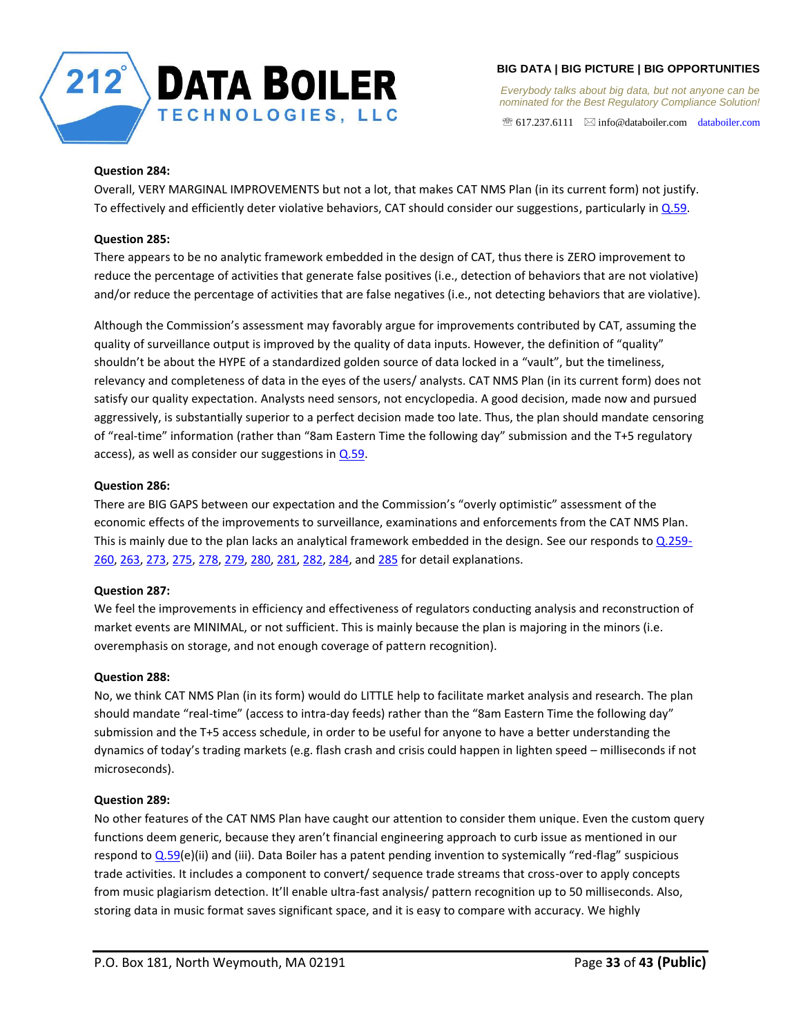

*Everybody talks about big data, but not anyone can be nominated for the Best Regulatory Compliance Solution!* 

 $\mathcal{F}$  617.237.6111  $\boxtimes$  info@databoiler.com databoiler.com

# <span id="page-32-0"></span>**Question 284:**

Overall, VERY MARGINAL IMPROVEMENTS but not a lot, that makes CAT NMS Plan (in its current form) not justify. To effectively and efficiently deter violative behaviors, CAT should consider our suggestions, particularly in  $Q.59$ .

# <span id="page-32-1"></span>**Question 285:**

There appears to be no analytic framework embedded in the design of CAT, thus there is ZERO improvement to reduce the percentage of activities that generate false positives (i.e., detection of behaviors that are not violative) and/or reduce the percentage of activities that are false negatives (i.e., not detecting behaviors that are violative).

Although the Commission's assessment may favorably argue for improvements contributed by CAT, assuming the quality of surveillance output is improved by the quality of data inputs. However, the definition of "quality" shouldn't be about the HYPE of a standardized golden source of data locked in a "vault", but the timeliness, relevancy and completeness of data in the eyes of the users/ analysts. CAT NMS Plan (in its current form) does not satisfy our quality expectation. Analysts need sensors, not encyclopedia. A good decision, made now and pursued aggressively, is substantially superior to a perfect decision made too late. Thus, the plan should mandate censoring of "real-time" information (rather than "8am Eastern Time the following day" submission and the T+5 regulatory access), as well as consider our suggestions in  $Q.59$ .

# <span id="page-32-2"></span>**Question 286:**

There are BIG GAPS between our expectation and the Commission's "overly optimistic" assessment of the economic effects of the improvements to surveillance, examinations and enforcements from the CAT NMS Plan. This is mainly due to the plan lacks an analytical framework embedded in the design. See our responds t[o Q.259-](#page-30-0) [260,](#page-30-0) [263,](#page-30-1) [273,](#page-30-2) [275,](#page-30-3) [278,](#page-30-4) [279,](#page-31-0) [280,](#page-31-1) [281,](#page-31-2) [282,](#page-31-3) [284,](#page-32-0) and [285](#page-32-1) for detail explanations.

## <span id="page-32-3"></span>**Question 287:**

We feel the improvements in efficiency and effectiveness of regulators conducting analysis and reconstruction of market events are MINIMAL, or not sufficient. This is mainly because the plan is majoring in the minors (i.e. overemphasis on storage, and not enough coverage of pattern recognition).

## <span id="page-32-4"></span>**Question 288:**

No, we think CAT NMS Plan (in its form) would do LITTLE help to facilitate market analysis and research. The plan should mandate "real-time" (access to intra-day feeds) rather than the "8am Eastern Time the following day" submission and the T+5 access schedule, in order to be useful for anyone to have a better understanding the dynamics of today's trading markets (e.g. flash crash and crisis could happen in lighten speed – milliseconds if not microseconds).

## <span id="page-32-5"></span>**Question 289:**

No other features of the CAT NMS Plan have caught our attention to consider them unique. Even the custom query functions deem generic, because they aren't financial engineering approach to curb issue as mentioned in our respond to  $Q.59(e)$ (ii) and (iii). Data Boiler has a patent pending invention to systemically "red-flag" suspicious trade activities. It includes a component to convert/ sequence trade streams that cross-over to apply concepts from music plagiarism detection. It'll enable ultra-fast analysis/ pattern recognition up to 50 milliseconds. Also, storing data in music format saves significant space, and it is easy to compare with accuracy. We highly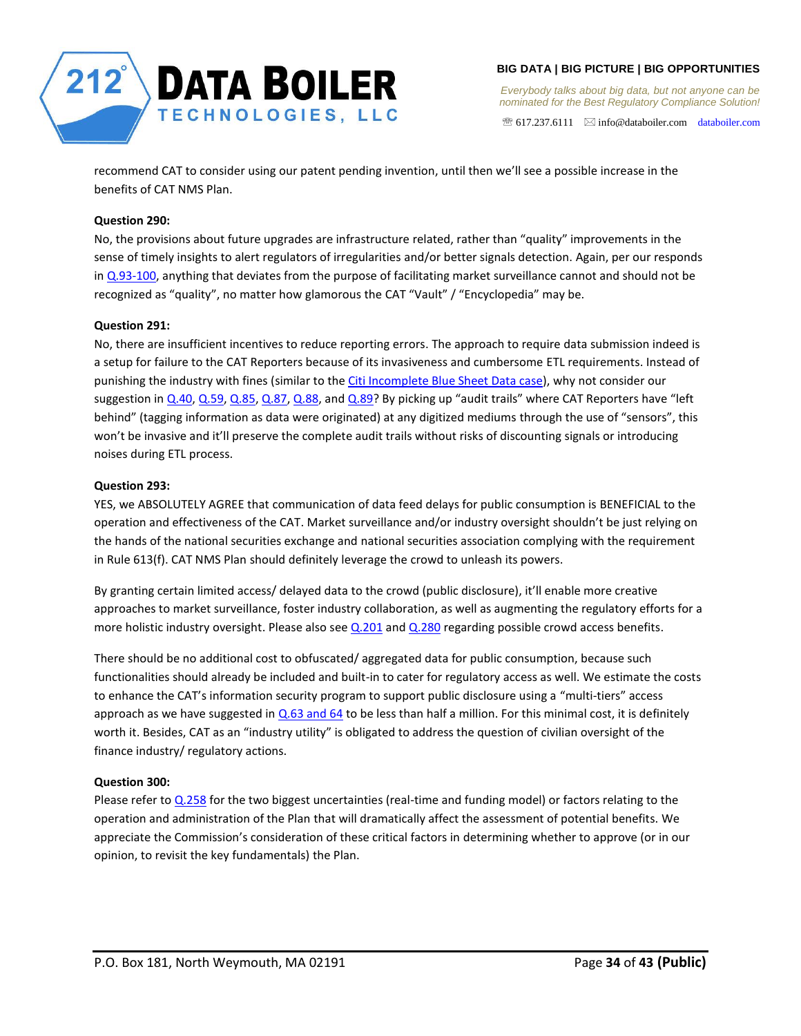

 $\mathcal{F}$  617.237.6111  $\boxtimes$  info@databoiler.com databoiler.com

recommend CAT to consider using our patent pending invention, until then we'll see a possible increase in the benefits of CAT NMS Plan.

# <span id="page-33-0"></span>**Question 290:**

No, the provisions about future upgrades are infrastructure related, rather than "quality" improvements in the sense of timely insights to alert regulators of irregularities and/or better signals detection. Again, per our responds in [Q.93-100,](#page-19-3) anything that deviates from the purpose of facilitating market surveillance cannot and should not be recognized as "quality", no matter how glamorous the CAT "Vault" / "Encyclopedia" may be.

# <span id="page-33-1"></span>**Question 291:**

No, there are insufficient incentives to reduce reporting errors. The approach to require data submission indeed is a setup for failure to the CAT Reporters because of its invasiveness and cumbersome ETL requirements. Instead of punishing the industry with fines (similar to the Citi Incomplete Blue Sheet Data case), why not consider our suggestion i[n Q.40,](#page-7-2) [Q.59,](#page-9-3) [Q.85,](#page-17-2) [Q.87,](#page-17-3) [Q.88,](#page-17-4) and [Q.89?](#page-17-6) By picking up "audit trails" where CAT Reporters have "left behind" (tagging information as data were originated) at any digitized mediums through the use of "sensors", this won't be invasive and it'll preserve the complete audit trails without risks of discounting signals or introducing noises during ETL process.

# <span id="page-33-2"></span>**Question 293:**

YES, we ABSOLUTELY AGREE that communication of data feed delays for public consumption is BENEFICIAL to the operation and effectiveness of the CAT. Market surveillance and/or industry oversight shouldn't be just relying on the hands of the national securities exchange and national securities association complying with the requirement in Rule 613(f). CAT NMS Plan should definitely leverage the crowd to unleash its powers.

By granting certain limited access/ delayed data to the crowd (public disclosure), it'll enable more creative approaches to market surveillance, foster industry collaboration, as well as augmenting the regulatory efforts for a more holistic industry oversight. Please also see [Q.201](#page-26-0) an[d Q.280](#page-31-1) regarding possible crowd access benefits.

There should be no additional cost to obfuscated/ aggregated data for public consumption, because such functionalities should already be included and built-in to cater for regulatory access as well. We estimate the costs to enhance the CAT's information security program to support public disclosure using a "multi-tiers" access approach as we have suggested in [Q.63 and 64](#page-13-1) to be less than half a million. For this minimal cost, it is definitely worth it. Besides, CAT as an "industry utility" is obligated to address the question of civilian oversight of the finance industry/ regulatory actions.

## <span id="page-33-3"></span>**Question 300:**

Please refer t[o Q.258](#page-29-6) for the two biggest uncertainties (real-time and funding model) or factors relating to the operation and administration of the Plan that will dramatically affect the assessment of potential benefits. We appreciate the Commission's consideration of these critical factors in determining whether to approve (or in our opinion, to revisit the key fundamentals) the Plan.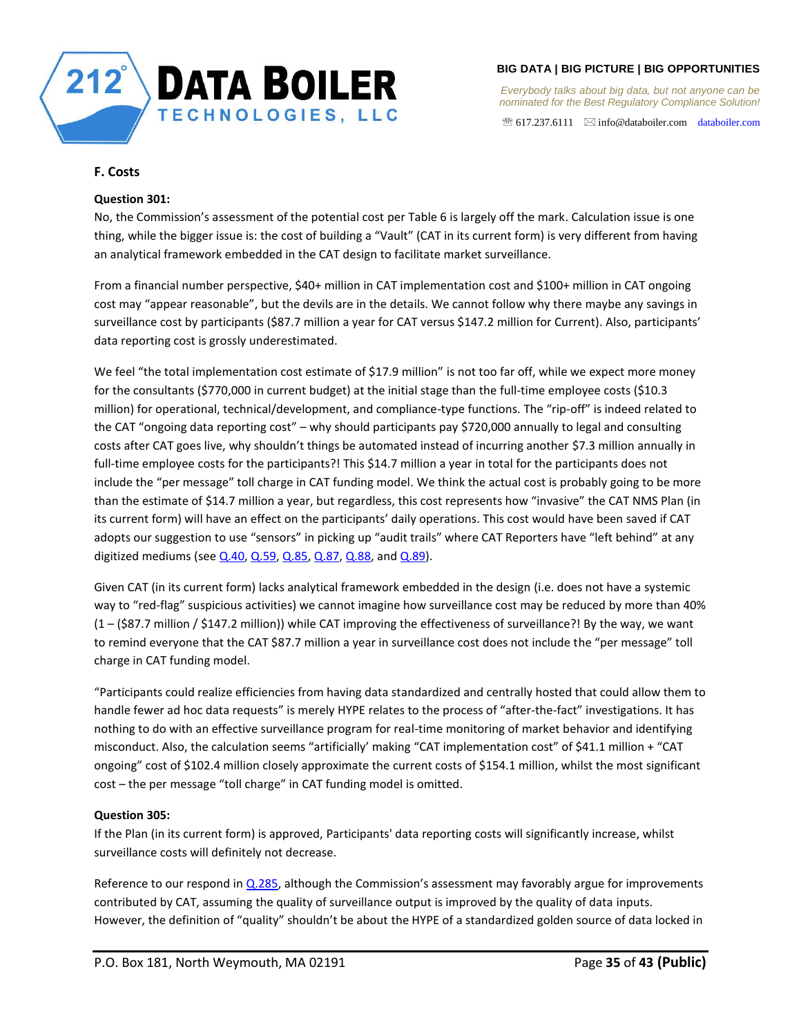

*Everybody talks about big data, but not anyone can be nominated for the Best Regulatory Compliance Solution!* 

 $\mathcal{F}$  617.237.6111  $\boxtimes$  info@databoiler.com databoiler.com

# <span id="page-34-0"></span>**F. Costs**

## <span id="page-34-1"></span>**Question 301:**

No, the Commission's assessment of the potential cost per Table 6 is largely off the mark. Calculation issue is one thing, while the bigger issue is: the cost of building a "Vault" (CAT in its current form) is very different from having an analytical framework embedded in the CAT design to facilitate market surveillance.

From a financial number perspective, \$40+ million in CAT implementation cost and \$100+ million in CAT ongoing cost may "appear reasonable", but the devils are in the details. We cannot follow why there maybe any savings in surveillance cost by participants (\$87.7 million a year for CAT versus \$147.2 million for Current). Also, participants' data reporting cost is grossly underestimated.

We feel "the total implementation cost estimate of \$17.9 million" is not too far off, while we expect more money for the consultants (\$770,000 in current budget) at the initial stage than the full-time employee costs (\$10.3 million) for operational, technical/development, and compliance-type functions. The "rip-off" is indeed related to the CAT "ongoing data reporting cost" – why should participants pay \$720,000 annually to legal and consulting costs after CAT goes live, why shouldn't things be automated instead of incurring another \$7.3 million annually in full-time employee costs for the participants?! This \$14.7 million a year in total for the participants does not include the "per message" toll charge in CAT funding model. We think the actual cost is probably going to be more than the estimate of \$14.7 million a year, but regardless, this cost represents how "invasive" the CAT NMS Plan (in its current form) will have an effect on the participants' daily operations. This cost would have been saved if CAT adopts our suggestion to use "sensors" in picking up "audit trails" where CAT Reporters have "left behind" at any digitized mediums (see  $Q.40$ ,  $Q.59$ ,  $Q.85$ ,  $Q.87$ ,  $Q.88$ , and  $Q.89$ ).

Given CAT (in its current form) lacks analytical framework embedded in the design (i.e. does not have a systemic way to "red-flag" suspicious activities) we cannot imagine how surveillance cost may be reduced by more than 40% (1 – (\$87.7 million / \$147.2 million)) while CAT improving the effectiveness of surveillance?! By the way, we want to remind everyone that the CAT \$87.7 million a year in surveillance cost does not include the "per message" toll charge in CAT funding model.

"Participants could realize efficiencies from having data standardized and centrally hosted that could allow them to handle fewer ad hoc data requests" is merely HYPE relates to the process of "after-the-fact" investigations. It has nothing to do with an effective surveillance program for real-time monitoring of market behavior and identifying misconduct. Also, the calculation seems "artificially' making "CAT implementation cost" of \$41.1 million + "CAT ongoing" cost of \$102.4 million closely approximate the current costs of \$154.1 million, whilst the most significant cost – the per message "toll charge" in CAT funding model is omitted.

# <span id="page-34-2"></span>**Question 305:**

If the Plan (in its current form) is approved, Participants' data reporting costs will significantly increase, whilst surveillance costs will definitely not decrease.

Reference to our respond in  $Q.285$ , although the Commission's assessment may favorably argue for improvements contributed by CAT, assuming the quality of surveillance output is improved by the quality of data inputs. However, the definition of "quality" shouldn't be about the HYPE of a standardized golden source of data locked in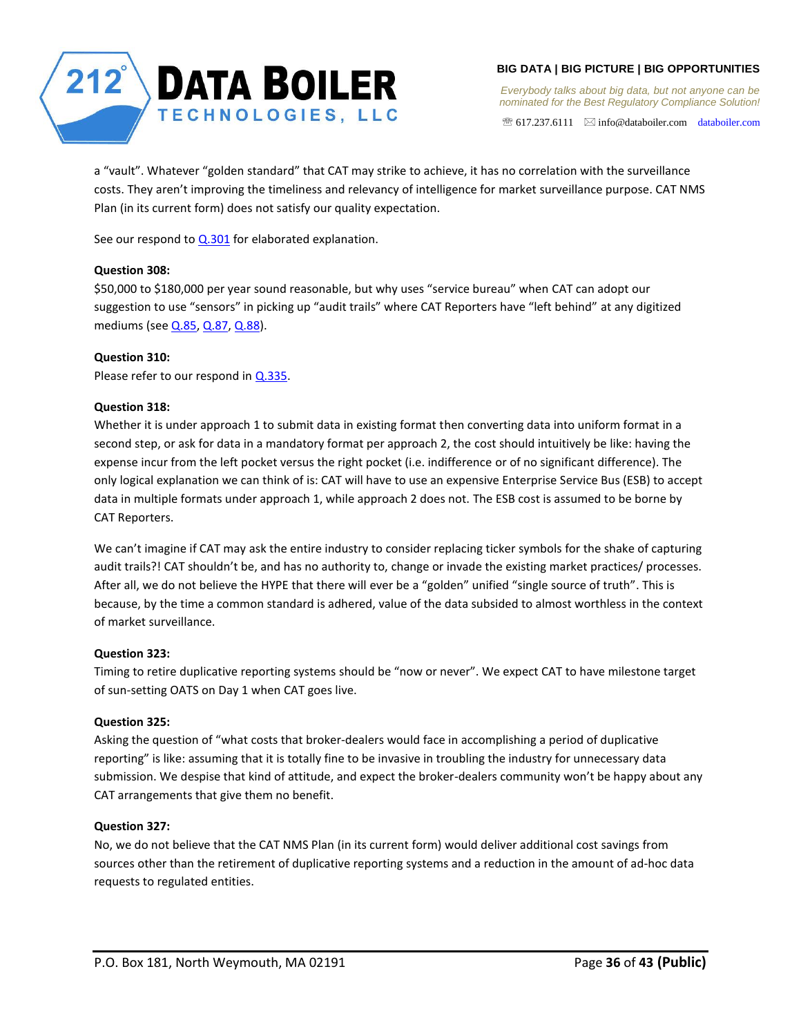

*Everybody talks about big data, but not anyone can be nominated for the Best Regulatory Compliance Solution!* 

 $\mathcal{F}$  617.237.6111  $\boxtimes$  info@databoiler.com databoiler.com

a "vault". Whatever "golden standard" that CAT may strike to achieve, it has no correlation with the surveillance costs. They aren't improving the timeliness and relevancy of intelligence for market surveillance purpose. CAT NMS Plan (in its current form) does not satisfy our quality expectation.

See our respond to  $Q.301$  for elaborated explanation.

# <span id="page-35-0"></span>**Question 308:**

\$50,000 to \$180,000 per year sound reasonable, but why uses "service bureau" when CAT can adopt our suggestion to use "sensors" in picking up "audit trails" where CAT Reporters have "left behind" at any digitized mediums (see [Q.85,](#page-17-2) [Q.87,](#page-17-3) [Q.88\)](#page-17-4).

# <span id="page-35-1"></span>**Question 310:**

Please refer to our respond in [Q.335.](#page-36-2)

# <span id="page-35-2"></span>**Question 318:**

Whether it is under approach 1 to submit data in existing format then converting data into uniform format in a second step, or ask for data in a mandatory format per approach 2, the cost should intuitively be like: having the expense incur from the left pocket versus the right pocket (i.e. indifference or of no significant difference). The only logical explanation we can think of is: CAT will have to use an expensive Enterprise Service Bus (ESB) to accept data in multiple formats under approach 1, while approach 2 does not. The ESB cost is assumed to be borne by CAT Reporters.

We can't imagine if CAT may ask the entire industry to consider replacing ticker symbols for the shake of capturing audit trails?! CAT shouldn't be, and has no authority to, change or invade the existing market practices/ processes. After all, we do not believe the HYPE that there will ever be a "golden" unified "single source of truth". This is because, by the time a common standard is adhered, value of the data subsided to almost worthless in the context of market surveillance.

## <span id="page-35-3"></span>**Question 323:**

Timing to retire duplicative reporting systems should be "now or never". We expect CAT to have milestone target of sun-setting OATS on Day 1 when CAT goes live.

## <span id="page-35-4"></span>**Question 325:**

Asking the question of "what costs that broker-dealers would face in accomplishing a period of duplicative reporting" is like: assuming that it is totally fine to be invasive in troubling the industry for unnecessary data submission. We despise that kind of attitude, and expect the broker-dealers community won't be happy about any CAT arrangements that give them no benefit.

## <span id="page-35-5"></span>**Question 327:**

No, we do not believe that the CAT NMS Plan (in its current form) would deliver additional cost savings from sources other than the retirement of duplicative reporting systems and a reduction in the amount of ad-hoc data requests to regulated entities.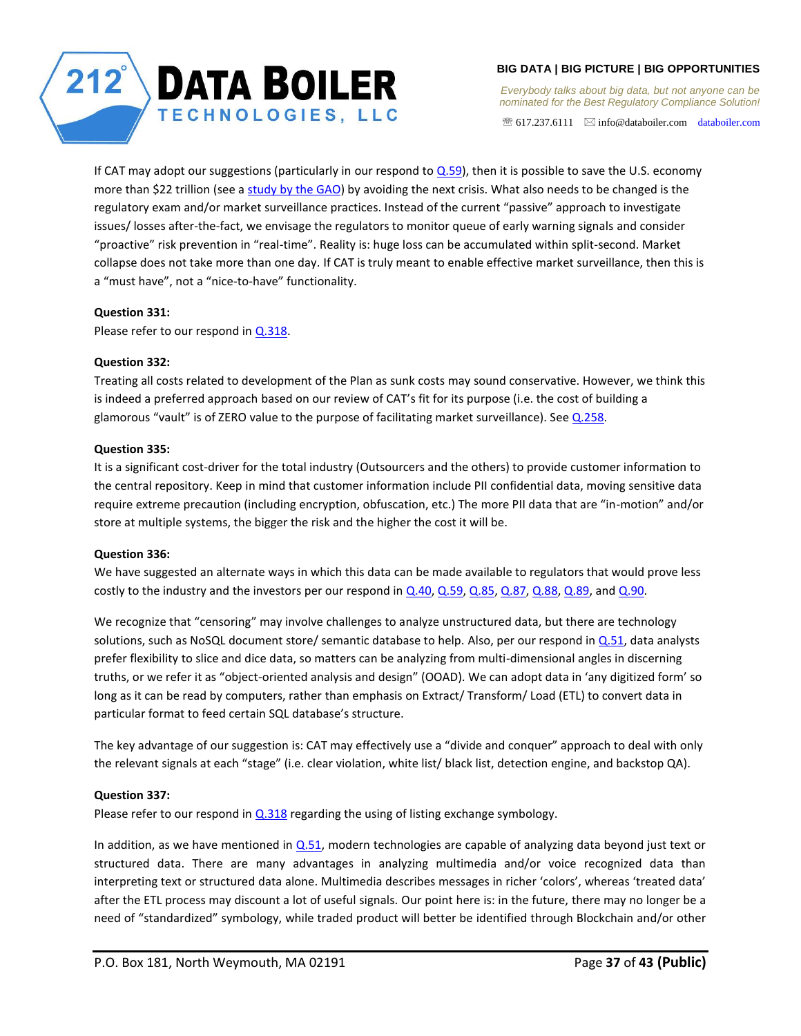

*Everybody talks about big data, but not anyone can be nominated for the Best Regulatory Compliance Solution!* 

 $\mathcal{F}$  617.237.6111  $\boxtimes$  info@databoiler.com databoiler.com

If CAT may adopt our suggestions (particularly in our respond to  $Q.59$ ), then it is possible to save the U.S. economy more than \$22 trillion (see a study by the GAO) by avoiding the next crisis. What also needs to be changed is the regulatory exam and/or market surveillance practices. Instead of the current "passive" approach to investigate issues/ losses after-the-fact, we envisage the regulators to monitor queue of early warning signals and consider "proactive" risk prevention in "real-time". Reality is: huge loss can be accumulated within split-second. Market collapse does not take more than one day. If CAT is truly meant to enable effective market surveillance, then this is a "must have", not a "nice-to-have" functionality.

# <span id="page-36-0"></span>**Question 331:**

Please refer to our respond in [Q.318.](#page-35-2)

# <span id="page-36-1"></span>**Question 332:**

Treating all costs related to development of the Plan as sunk costs may sound conservative. However, we think this is indeed a preferred approach based on our review of CAT's fit for its purpose (i.e. the cost of building a glamorous "vault" is of ZERO value to the purpose of facilitating market surveillance). Se[e Q.258.](#page-29-6)

# <span id="page-36-2"></span>**Question 335:**

It is a significant cost-driver for the total industry (Outsourcers and the others) to provide customer information to the central repository. Keep in mind that customer information include PII confidential data, moving sensitive data require extreme precaution (including encryption, obfuscation, etc.) The more PII data that are "in-motion" and/or store at multiple systems, the bigger the risk and the higher the cost it will be.

## <span id="page-36-3"></span>**Question 336:**

We have suggested an alternate ways in which this data can be made available to regulators that would prove less costly to the industry and the investors per our respond i[n Q.40,](#page-7-2) [Q.59,](#page-9-3) [Q.85,](#page-17-2) [Q.87,](#page-17-3) [Q.88,](#page-17-4) [Q.89,](#page-17-6) and [Q.90.](#page-18-0)

We recognize that "censoring" may involve challenges to analyze unstructured data, but there are technology solutions, such as NoSQL document store/ semantic database to help. Also, per our respond in  $Q.51$ , data analysts prefer flexibility to slice and dice data, so matters can be analyzing from multi-dimensional angles in discerning truths, or we refer it as "object-oriented analysis and design" (OOAD). We can adopt data in 'any digitized form' so long as it can be read by computers, rather than emphasis on Extract/ Transform/ Load (ETL) to convert data in particular format to feed certain SQL database's structure.

The key advantage of our suggestion is: CAT may effectively use a "divide and conquer" approach to deal with only the relevant signals at each "stage" (i.e. clear violation, white list/ black list, detection engine, and backstop QA).

# <span id="page-36-4"></span>**Question 337:**

Please refer to our respond in  $Q.318$  regarding the using of listing exchange symbology.

In addition, as we have mentioned in  $Q.51$ , modern technologies are capable of analyzing data beyond just text or structured data. There are many advantages in analyzing multimedia and/or voice recognized data than interpreting text or structured data alone. Multimedia describes messages in richer 'colors', whereas 'treated data' after the ETL process may discount a lot of useful signals. Our point here is: in the future, there may no longer be a need of "standardized" symbology, while traded product will better be identified through Blockchain and/or other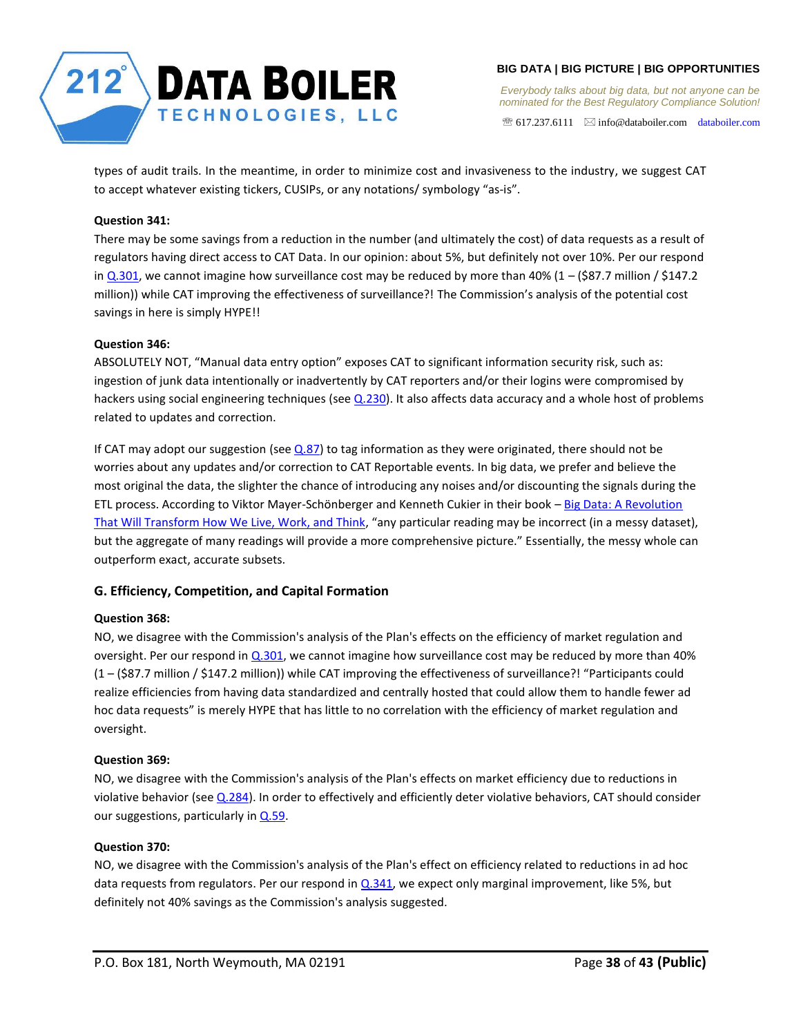

 $\mathcal{F}$  617.237.6111  $\boxtimes$  info@databoiler.com databoiler.com

types of audit trails. In the meantime, in order to minimize cost and invasiveness to the industry, we suggest CAT to accept whatever existing tickers, CUSIPs, or any notations/ symbology "as-is".

# <span id="page-37-0"></span>**Question 341:**

There may be some savings from a reduction in the number (and ultimately the cost) of data requests as a result of regulators having direct access to CAT Data. In our opinion: about 5%, but definitely not over 10%. Per our respond in  $Q.301$ , we cannot imagine how surveillance cost may be reduced by more than 40% (1 – (\$87.7 million / \$147.2 million)) while CAT improving the effectiveness of surveillance?! The Commission's analysis of the potential cost savings in here is simply HYPE!!

# <span id="page-37-1"></span>**Question 346:**

ABSOLUTELY NOT, "Manual data entry option" exposes CAT to significant information security risk, such as: ingestion of junk data intentionally or inadvertently by CAT reporters and/or their logins were compromised by hackers using social engineering techniques (see [Q.230\)](#page-29-0). It also affects data accuracy and a whole host of problems related to updates and correction.

If CAT may adopt our suggestion (see  $Q.87$ ) to tag information as they were originated, there should not be worries about any updates and/or correction to CAT Reportable events. In big data, we prefer and believe the most original the data, the slighter the chance of introducing any noises and/or discounting the signals during the ETL process. According to Viktor Mayer-Schönberger and Kenneth Cukier in their book - Big Data: A Revolution That Will Transform How We Live, Work, and Think, "any particular reading may be incorrect (in a messy dataset), but the aggregate of many readings will provide a more comprehensive picture." Essentially, the messy whole can outperform exact, accurate subsets.

# <span id="page-37-2"></span>**G. Efficiency, Competition, and Capital Formation**

# <span id="page-37-3"></span>**Question 368:**

NO, we disagree with the Commission's analysis of the Plan's effects on the efficiency of market regulation and oversight. Per our respond in [Q.301,](#page-34-1) we cannot imagine how surveillance cost may be reduced by more than 40% (1 – (\$87.7 million / \$147.2 million)) while CAT improving the effectiveness of surveillance?! "Participants could realize efficiencies from having data standardized and centrally hosted that could allow them to handle fewer ad hoc data requests" is merely HYPE that has little to no correlation with the efficiency of market regulation and oversight.

## <span id="page-37-4"></span>**Question 369:**

NO, we disagree with the Commission's analysis of the Plan's effects on market efficiency due to reductions in violative behavior (see  $Q.284$ ). In order to effectively and efficiently deter violative behaviors, CAT should consider our suggestions, particularly i[n Q.59.](#page-9-3)

## <span id="page-37-5"></span>**Question 370:**

NO, we disagree with the Commission's analysis of the Plan's effect on efficiency related to reductions in ad hoc data requests from regulators. Per our respond in [Q.341,](#page-37-0) we expect only marginal improvement, like 5%, but definitely not 40% savings as the Commission's analysis suggested.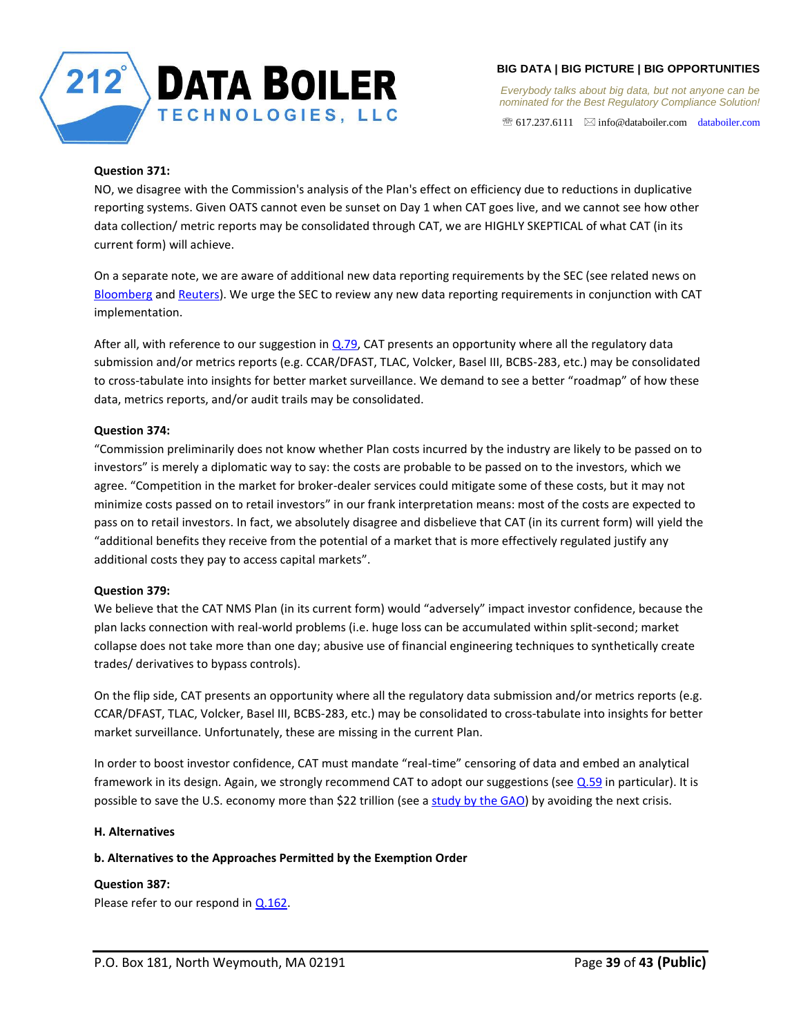

*Everybody talks about big data, but not anyone can be nominated for the Best Regulatory Compliance Solution!* 

 $\mathcal{F}$  617.237.6111  $\boxtimes$  info@databoiler.com databoiler.com

# <span id="page-38-0"></span>**Question 371:**

NO, we disagree with the Commission's analysis of the Plan's effect on efficiency due to reductions in duplicative reporting systems. Given OATS cannot even be sunset on Day 1 when CAT goes live, and we cannot see how other data collection/ metric reports may be consolidated through CAT, we are HIGHLY SKEPTICAL of what CAT (in its current form) will achieve.

On a separate note, we are aware of additional new data reporting requirements by the SEC (see related news on Bloomberg and Reuters). We urge the SEC to review any new data reporting requirements in conjunction with CAT implementation.

After all, with reference to our suggestion in [Q.79,](#page-15-1) CAT presents an opportunity where all the regulatory data submission and/or metrics reports (e.g. CCAR/DFAST, TLAC, Volcker, Basel III, BCBS-283, etc.) may be consolidated to cross-tabulate into insights for better market surveillance. We demand to see a better "roadmap" of how these data, metrics reports, and/or audit trails may be consolidated.

# <span id="page-38-1"></span>**Question 374:**

"Commission preliminarily does not know whether Plan costs incurred by the industry are likely to be passed on to investors" is merely a diplomatic way to say: the costs are probable to be passed on to the investors, which we agree. "Competition in the market for broker-dealer services could mitigate some of these costs, but it may not minimize costs passed on to retail investors" in our frank interpretation means: most of the costs are expected to pass on to retail investors. In fact, we absolutely disagree and disbelieve that CAT (in its current form) will yield the "additional benefits they receive from the potential of a market that is more effectively regulated justify any additional costs they pay to access capital markets".

## <span id="page-38-2"></span>**Question 379:**

We believe that the CAT NMS Plan (in its current form) would "adversely" impact investor confidence, because the plan lacks connection with real-world problems (i.e. huge loss can be accumulated within split-second; market collapse does not take more than one day; abusive use of financial engineering techniques to synthetically create trades/ derivatives to bypass controls).

On the flip side, CAT presents an opportunity where all the regulatory data submission and/or metrics reports (e.g. CCAR/DFAST, TLAC, Volcker, Basel III, BCBS-283, etc.) may be consolidated to cross-tabulate into insights for better market surveillance. Unfortunately, these are missing in the current Plan.

In order to boost investor confidence, CAT must mandate "real-time" censoring of data and embed an analytical framework in its design. Again, we strongly recommend CAT to adopt our suggestions (see [Q.59](#page-9-3) in particular). It is possible to save the U.S. economy more than \$22 trillion (see a study by the GAO) by avoiding the next crisis.

## <span id="page-38-3"></span>**H. Alternatives**

# <span id="page-38-4"></span>**b. Alternatives to the Approaches Permitted by the Exemption Order**

<span id="page-38-5"></span>**Question 387:**  Please refer to our respond in [Q.162.](#page-23-5)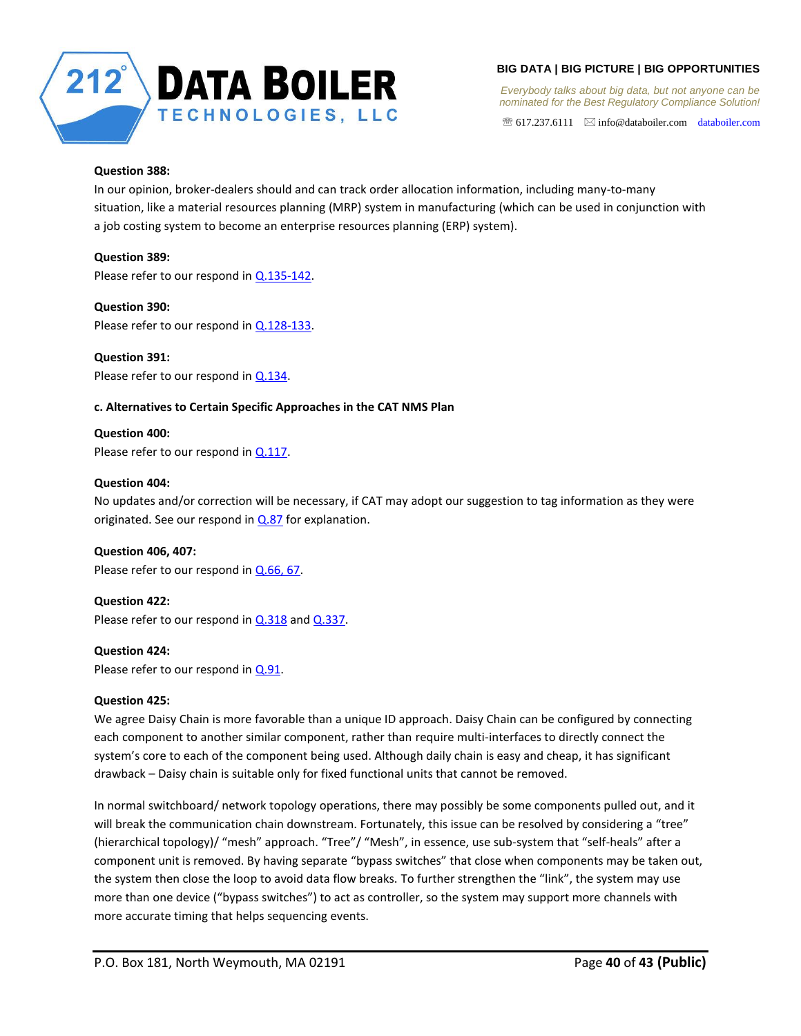

*Everybody talks about big data, but not anyone can be nominated for the Best Regulatory Compliance Solution!* 

 $\mathcal{F}$  617.237.6111  $\quad \boxtimes$  info@databoiler.com databoiler.com

## <span id="page-39-0"></span>**Question 388:**

In our opinion, broker-dealers should and can track order allocation information, including many-to-many situation, like a material resources planning (MRP) system in manufacturing (which can be used in conjunction with a job costing system to become an enterprise resources planning (ERP) system).

# <span id="page-39-1"></span>**Question 389:**

Please refer to our respond in [Q.135-142.](#page-21-4)

# <span id="page-39-2"></span>**Question 390:**

Please refer to our respond in [Q.128-133.](#page-21-1)

# <span id="page-39-3"></span>**Question 391:**

Please refer to our respond in [Q.134.](#page-21-2)

# <span id="page-39-4"></span>**c. Alternatives to Certain Specific Approaches in the CAT NMS Plan**

<span id="page-39-5"></span>**Question 400:**  Please refer to our respond in [Q.117.](#page-20-2)

# <span id="page-39-6"></span>**Question 404:**

No updates and/or correction will be necessary, if CAT may adopt our suggestion to tag information as they were originated. See our respond in  $Q.87$  for explanation.

# <span id="page-39-7"></span>**Question 406, 407:**

Please refer to our respond in [Q.66, 67.](#page-13-3)

# <span id="page-39-8"></span>**Question 422:**

Please refer to our respond in  $Q.318$  and  $Q.337$ .

# <span id="page-39-9"></span>**Question 424:**

Please refer to our respond in [Q.91.](#page-19-0)

# <span id="page-39-10"></span>**Question 425:**

We agree Daisy Chain is more favorable than a unique ID approach. Daisy Chain can be configured by connecting each component to another similar component, rather than require multi-interfaces to directly connect the system's core to each of the component being used. Although daily chain is easy and cheap, it has significant drawback – Daisy chain is suitable only for fixed functional units that cannot be removed.

In normal switchboard/ network topology operations, there may possibly be some components pulled out, and it will break the communication chain downstream. Fortunately, this issue can be resolved by considering a "tree" (hierarchical topology)/ "mesh" approach. "Tree"/ "Mesh", in essence, use sub-system that "self-heals" after a component unit is removed. By having separate "bypass switches" that close when components may be taken out, the system then close the loop to avoid data flow breaks. To further strengthen the "link", the system may use more than one device ("bypass switches") to act as controller, so the system may support more channels with more accurate timing that helps sequencing events.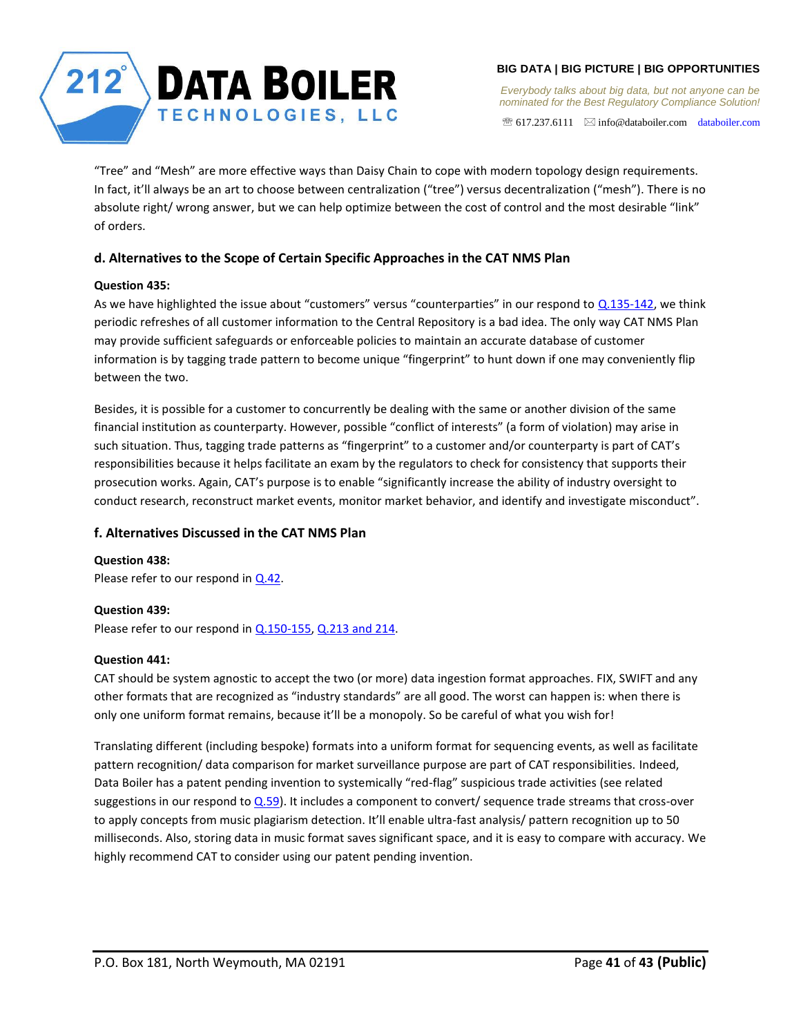

*Everybody talks about big data, but not anyone can be nominated for the Best Regulatory Compliance Solution!* 

 $\mathcal{F}$  617.237.6111  $\boxtimes$  info@databoiler.com databoiler.com

"Tree" and "Mesh" are more effective ways than Daisy Chain to cope with modern topology design requirements. In fact, it'll always be an art to choose between centralization ("tree") versus decentralization ("mesh"). There is no absolute right/ wrong answer, but we can help optimize between the cost of control and the most desirable "link" of orders.

# <span id="page-40-0"></span>**d. Alternatives to the Scope of Certain Specific Approaches in the CAT NMS Plan**

# <span id="page-40-1"></span>**Question 435:**

As we have highlighted the issue about "customers" versus "counterparties" in our respond to [Q.135-142,](#page-21-4) we think periodic refreshes of all customer information to the Central Repository is a bad idea. The only way CAT NMS Plan may provide sufficient safeguards or enforceable policies to maintain an accurate database of customer information is by tagging trade pattern to become unique "fingerprint" to hunt down if one may conveniently flip between the two.

Besides, it is possible for a customer to concurrently be dealing with the same or another division of the same financial institution as counterparty. However, possible "conflict of interests" (a form of violation) may arise in such situation. Thus, tagging trade patterns as "fingerprint" to a customer and/or counterparty is part of CAT's responsibilities because it helps facilitate an exam by the regulators to check for consistency that supports their prosecution works. Again, CAT's purpose is to enable "significantly increase the ability of industry oversight to conduct research, reconstruct market events, monitor market behavior, and identify and investigate misconduct".

# <span id="page-40-2"></span>**f. Alternatives Discussed in the CAT NMS Plan**

<span id="page-40-3"></span>**Question 438:**  Please refer to our respond in [Q.42.](#page-7-4)

## <span id="page-40-4"></span>**Question 439:**

Please refer to our respond in [Q.150-155,](#page-23-1) [Q.213 and 214.](#page-28-0)

## <span id="page-40-5"></span>**Question 441:**

CAT should be system agnostic to accept the two (or more) data ingestion format approaches. FIX, SWIFT and any other formats that are recognized as "industry standards" are all good. The worst can happen is: when there is only one uniform format remains, because it'll be a monopoly. So be careful of what you wish for!

Translating different (including bespoke) formats into a uniform format for sequencing events, as well as facilitate pattern recognition/ data comparison for market surveillance purpose are part of CAT responsibilities. Indeed, Data Boiler has a patent pending invention to systemically "red-flag" suspicious trade activities (see related suggestions in our respond to **Q.59**). It includes a component to convert/ sequence trade streams that cross-over to apply concepts from music plagiarism detection. It'll enable ultra-fast analysis/ pattern recognition up to 50 milliseconds. Also, storing data in music format saves significant space, and it is easy to compare with accuracy. We highly recommend CAT to consider using our patent pending invention.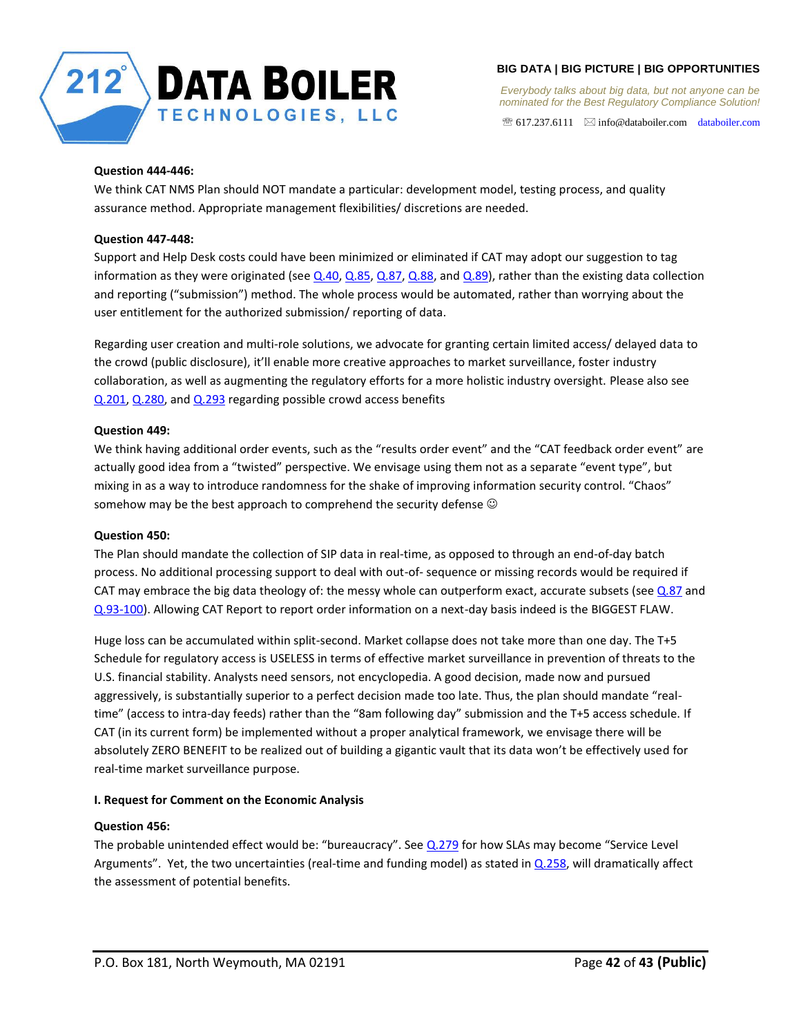

 $\mathcal{F}$  617.237.6111  $\boxtimes$  info@databoiler.com databoiler.com

# <span id="page-41-0"></span>**Question 444-446:**

We think CAT NMS Plan should NOT mandate a particular: development model, testing process, and quality assurance method. Appropriate management flexibilities/ discretions are needed.

# <span id="page-41-1"></span>**Question 447-448:**

Support and Help Desk costs could have been minimized or eliminated if CAT may adopt our suggestion to tag information as they were originated (see  $Q.40$ ,  $Q.85$ ,  $Q.87$ ,  $Q.88$ , and  $Q.89$ ), rather than the existing data collection and reporting ("submission") method. The whole process would be automated, rather than worrying about the user entitlement for the authorized submission/ reporting of data.

Regarding user creation and multi-role solutions, we advocate for granting certain limited access/ delayed data to the crowd (public disclosure), it'll enable more creative approaches to market surveillance, foster industry collaboration, as well as augmenting the regulatory efforts for a more holistic industry oversight. Please also see [Q.201,](#page-26-0) [Q.280,](#page-31-1) and [Q.293](#page-33-2) regarding possible crowd access benefits

# <span id="page-41-2"></span>**Question 449:**

We think having additional order events, such as the "results order event" and the "CAT feedback order event" are actually good idea from a "twisted" perspective. We envisage using them not as a separate "event type", but mixing in as a way to introduce randomness for the shake of improving information security control. "Chaos" somehow may be the best approach to comprehend the security defense  $\odot$ 

## <span id="page-41-3"></span>**Question 450:**

The Plan should mandate the collection of SIP data in real-time, as opposed to through an end-of-day batch process. No additional processing support to deal with out-of- sequence or missing records would be required if CAT may embrace the big data theology of: the messy whole can outperform exact, accurate subsets (see  $Q.87$  and [Q.93-100\)](#page-19-3). Allowing CAT Report to report order information on a next-day basis indeed is the BIGGEST FLAW.

Huge loss can be accumulated within split-second. Market collapse does not take more than one day. The T+5 Schedule for regulatory access is USELESS in terms of effective market surveillance in prevention of threats to the U.S. financial stability. Analysts need sensors, not encyclopedia. A good decision, made now and pursued aggressively, is substantially superior to a perfect decision made too late. Thus, the plan should mandate "realtime" (access to intra-day feeds) rather than the "8am following day" submission and the T+5 access schedule. If CAT (in its current form) be implemented without a proper analytical framework, we envisage there will be absolutely ZERO BENEFIT to be realized out of building a gigantic vault that its data won't be effectively used for real-time market surveillance purpose.

## <span id="page-41-4"></span>**I. Request for Comment on the Economic Analysis**

## <span id="page-41-5"></span>**Question 456:**

The probable unintended effect would be: "bureaucracy". See [Q.279](#page-31-0) for how SLAs may become "Service Level Arguments". Yet, the two uncertainties (real-time and funding model) as stated i[n Q.258,](#page-29-6) will dramatically affect the assessment of potential benefits.